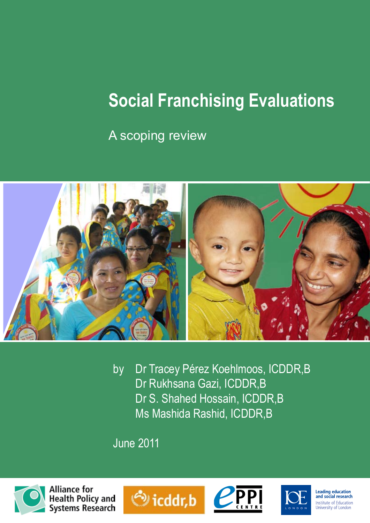# **Social Franchising Evaluations**

## A scoping review



by Dr Tracey Pérez Koehlmoos, ICDDR, B Dr Rukhsana Gazi, ICDDR,B Dr S. Shahed Hossain, ICDDR,B Ms Mashida Rashid, ICDDR,B

June 2011



Alliance for<br>Health Policy and<br>Systems Research







Leading education<br>and social research Institute of Education University of London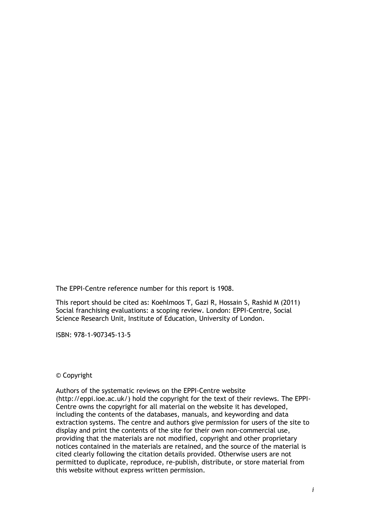The EPPI-Centre reference number for this report is 1908.

This report should be cited as: Koehlmoos T, Gazi R, Hossain S, Rashid M (2011) Social franchising evaluations: a scoping review. London: EPPI-Centre, Social Science Research Unit, Institute of Education, University of London.

ISBN: 978-1-907345-13-5

#### © Copyright

Authors of the systematic reviews on the EPPI-Centre website [\(http://eppi.ioe.ac.uk/\)](http://eppi.ioe.ac.uk/) hold the copyright for the text of their reviews. The EPPI-Centre owns the copyright for all material on the website it has developed, including the contents of the databases, manuals, and keywording and data extraction systems. The centre and authors give permission for users of the site to display and print the contents of the site for their own non-commercial use, providing that the materials are not modified, copyright and other proprietary notices contained in the materials are retained, and the source of the material is cited clearly following the citation details provided. Otherwise users are not permitted to duplicate, reproduce, re-publish, distribute, or store material from this website without express written permission.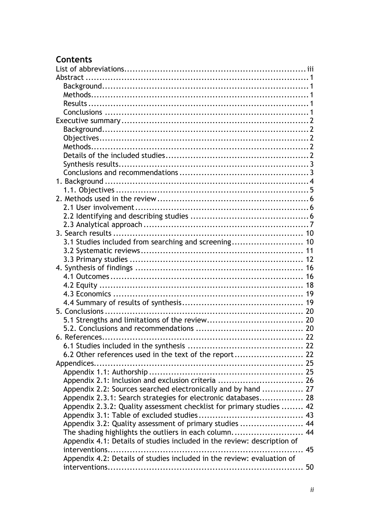## **Contents**

| 3.1 Studies included from searching and screening 10                    |    |
|-------------------------------------------------------------------------|----|
|                                                                         |    |
|                                                                         |    |
|                                                                         |    |
|                                                                         |    |
|                                                                         |    |
|                                                                         |    |
|                                                                         |    |
|                                                                         |    |
|                                                                         |    |
|                                                                         |    |
|                                                                         |    |
|                                                                         |    |
| 6.2 Other references used in the text of the report 22                  |    |
|                                                                         |    |
|                                                                         |    |
| Appendix 2.1: Inclusion and exclusion criteria  26                      |    |
| Appendix 2.2: Sources searched electronically and by hand  27           |    |
| Appendix 2.3.1: Search strategies for electronic databases 28           |    |
| Appendix 2.3.2: Quality assessment checklist for primary studies  42    |    |
|                                                                         |    |
| Appendix 3.2: Quality assessment of primary studies  44                 |    |
| The shading highlights the outliers in each column 44                   |    |
| Appendix 4.1: Details of studies included in the review: description of |    |
| interventions                                                           | 45 |
| Appendix 4.2: Details of studies included in the review: evaluation of  |    |
|                                                                         |    |
|                                                                         |    |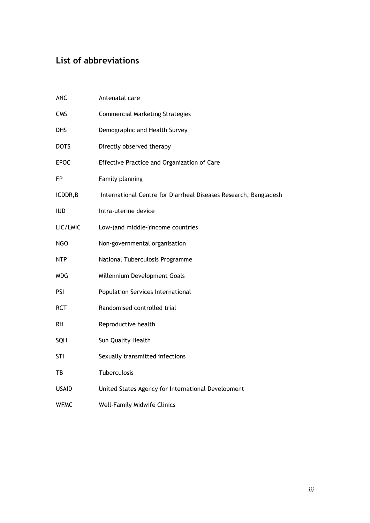## <span id="page-3-0"></span>**List of abbreviations**

| <b>ANC</b>   | Antenatal care                                                   |
|--------------|------------------------------------------------------------------|
| CMS          | <b>Commercial Marketing Strategies</b>                           |
| <b>DHS</b>   | Demographic and Health Survey                                    |
| <b>DOTS</b>  | Directly observed therapy                                        |
| <b>EPOC</b>  | Effective Practice and Organization of Care                      |
| <b>FP</b>    | Family planning                                                  |
| ICDDR, B     | International Centre for Diarrheal Diseases Research, Bangladesh |
| <b>IUD</b>   | Intra-uterine device                                             |
| LIC/LMIC     | Low-(and middle-)income countries                                |
| NGO          | Non-governmental organisation                                    |
| <b>NTP</b>   | National Tuberculosis Programme                                  |
| <b>MDG</b>   | Millennium Development Goals                                     |
| <b>PSI</b>   | <b>Population Services International</b>                         |
| <b>RCT</b>   | Randomised controlled trial                                      |
| <b>RH</b>    | Reproductive health                                              |
| SQH          | Sun Quality Health                                               |
| STI          | Sexually transmitted infections                                  |
| ΤВ           | Tuberculosis                                                     |
| <b>USAID</b> | United States Agency for International Development               |
| WFMC         | <b>Well-Family Midwife Clinics</b>                               |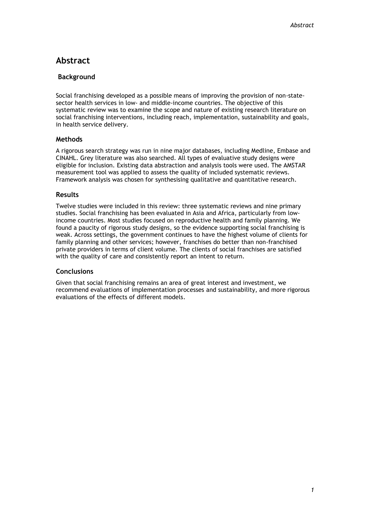## <span id="page-4-0"></span>**Abstract**

#### <span id="page-4-1"></span>**Background**

Social franchising developed as a possible means of improving the provision of non-statesector health services in low- and middle-income countries. The objective of this systematic review was to examine the scope and nature of existing research literature on social franchising interventions, including reach, implementation, sustainability and goals, in health service delivery.

#### <span id="page-4-2"></span>**Methods**

A rigorous search strategy was run in nine major databases, including Medline, Embase and CINAHL. Grey literature was also searched. All types of evaluative study designs were eligible for inclusion. Existing data abstraction and analysis tools were used. The AMSTAR measurement tool was applied to assess the quality of included systematic reviews. Framework analysis was chosen for synthesising qualitative and quantitative research.

#### <span id="page-4-3"></span>**Results**

Twelve studies were included in this review: three systematic reviews and nine primary studies. Social franchising has been evaluated in Asia and Africa, particularly from lowincome countries. Most studies focused on reproductive health and family planning. We found a paucity of rigorous study designs, so the evidence supporting social franchising is weak. Across settings, the government continues to have the highest volume of clients for family planning and other services; however, franchises do better than non-franchised private providers in terms of client volume. The clients of social franchises are satisfied with the quality of care and consistently report an intent to return.

#### <span id="page-4-4"></span>**Conclusions**

Given that social franchising remains an area of great interest and investment, we recommend evaluations of implementation processes and sustainability, and more rigorous evaluations of the effects of different models.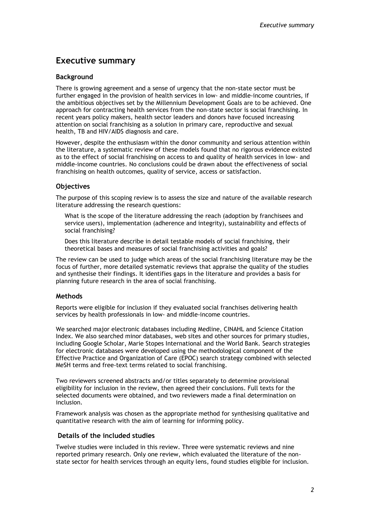## <span id="page-5-0"></span>**Executive summary**

#### <span id="page-5-1"></span>**Background**

There is growing agreement and a sense of urgency that the non-state sector must be further engaged in the provision of health services in low- and middle-income countries, if the ambitious objectives set by the Millennium Development Goals are to be achieved. One approach for contracting health services from the non-state sector is social franchising. In recent years policy makers, health sector leaders and donors have focused increasing attention on social franchising as a solution in primary care, reproductive and sexual health, TB and HIV/AIDS diagnosis and care.

However, despite the enthusiasm within the donor community and serious attention within the literature, a systematic review of these models found that no rigorous evidence existed as to the effect of social franchising on access to and quality of health services in low- and middle-income countries. No conclusions could be drawn about the effectiveness of social franchising on health outcomes, quality of service, access or satisfaction.

#### <span id="page-5-2"></span>**Objectives**

The purpose of this scoping review is to assess the size and nature of the available research literature addressing the research questions:

What is the scope of the literature addressing the reach (adoption by franchisees and service users), implementation (adherence and integrity), sustainability and effects of social franchising?

Does this literature describe in detail testable models of social franchising, their theoretical bases and measures of social franchising activities and goals?

The review can be used to judge which areas of the social franchising literature may be the focus of further, more detailed systematic reviews that appraise the quality of the studies and synthesise their findings. It identifies gaps in the literature and provides a basis for planning future research in the area of social franchising.

#### <span id="page-5-3"></span>**Methods**

Reports were eligible for inclusion if they evaluated social franchises delivering health services by health professionals in low- and middle-income countries.

We searched major electronic databases including Medline, CINAHL and Science Citation Index. We also searched minor databases, web sites and other sources for primary studies, including Google Scholar, Marie Stopes International and the World Bank. Search strategies for electronic databases were developed using the methodological component of the Effective Practice and Organization of Care (EPOC) search strategy combined with selected MeSH terms and free-text terms related to social franchising.

Two reviewers screened abstracts and/or titles separately to determine provisional eligibility for inclusion in the review, then agreed their conclusions. Full texts for the selected documents were obtained, and two reviewers made a final determination on inclusion.

Framework analysis was chosen as the appropriate method for synthesising qualitative and quantitative research with the aim of learning for informing policy.

#### <span id="page-5-4"></span>**Details of the included studies**

Twelve studies were included in this review. Three were systematic reviews and nine reported primary research. Only one review, which evaluated the literature of the nonstate sector for health services through an equity lens, found studies eligible for inclusion.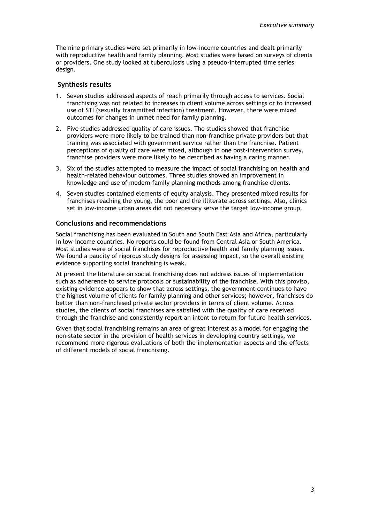The nine primary studies were set primarily in low-income countries and dealt primarily with reproductive health and family planning. Most studies were based on surveys of clients or providers. One study looked at tuberculosis using a pseudo-interrupted time series design.

#### <span id="page-6-0"></span>**Synthesis results**

- 1. Seven studies addressed aspects of reach primarily through access to services. Social franchising was not related to increases in client volume across settings or to increased use of STI (sexually transmitted infection) treatment. However, there were mixed outcomes for changes in unmet need for family planning.
- 2. Five studies addressed quality of care issues. The studies showed that franchise providers were more likely to be trained than non-franchise private providers but that training was associated with government service rather than the franchise. Patient perceptions of quality of care were mixed, although in one post-intervention survey, franchise providers were more likely to be described as having a caring manner.
- 3. Six of the studies attempted to measure the impact of social franchising on health and health-related behaviour outcomes. Three studies showed an improvement in knowledge and use of modern family planning methods among franchise clients.
- 4. Seven studies contained elements of equity analysis. They presented mixed results for franchises reaching the young, the poor and the illiterate across settings. Also, clinics set in low-income urban areas did not necessary serve the target low-income group.

#### <span id="page-6-1"></span>**Conclusions and recommendations**

Social franchising has been evaluated in South and South East Asia and Africa, particularly in low-income countries. No reports could be found from Central Asia or South America. Most studies were of social franchises for reproductive health and family planning issues. We found a paucity of rigorous study designs for assessing impact, so the overall existing evidence supporting social franchising is weak.

At present the literature on social franchising does not address issues of implementation such as adherence to service protocols or sustainability of the franchise. With this proviso, existing evidence appears to show that across settings, the government continues to have the highest volume of clients for family planning and other services; however, franchises do better than non-franchised private sector providers in terms of client volume. Across studies, the clients of social franchises are satisfied with the quality of care received through the franchise and consistently report an intent to return for future health services.

Given that social franchising remains an area of great interest as a model for engaging the non-state sector in the provision of health services in developing country settings, we recommend more rigorous evaluations of both the implementation aspects and the effects of different models of social franchising.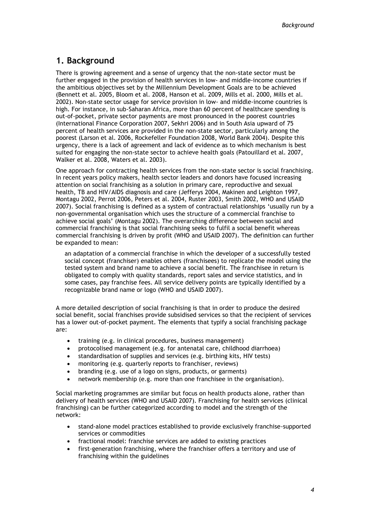## <span id="page-7-0"></span>**1. Background**

There is growing agreement and a sense of urgency that the non-state sector must be further engaged in the provision of health services in low- and middle-income countries if the ambitious objectives set by the Millennium Development Goals are to be achieved (Bennett et al. 2005, Bloom et al. 2008, Hanson et al. 2009, Mills et al. 2000, Mills et al. 2002). Non-state sector usage for service provision in low- and middle-income countries is high. For instance, in sub-Saharan Africa, more than 60 percent of healthcare spending is out-of-pocket, private sector payments are most pronounced in the poorest countries (International Finance Corporation 2007, Sekhri 2006) and in South Asia upward of 75 percent of health services are provided in the non-state sector, particularly among the poorest (Larson et al. 2006, Rockefeller Foundation 2008, World Bank 2004). Despite this urgency, there is a lack of agreement and lack of evidence as to which mechanism is best suited for engaging the non-state sector to achieve health goals (Patouillard et al. 2007, Walker et al. 2008, Waters et al. 2003).

One approach for contracting health services from the non-state sector is social franchising. In recent years policy makers, health sector leaders and donors have focused increasing attention on social franchising as a solution in primary care, reproductive and sexual health, TB and HIV/AIDS diagnosis and care (Jefferys 2004, Makinen and Leighton 1997, Montagu 2002, Perrot 2006, Peters et al. 2004, Ruster 2003, Smith 2002, WHO and USAID 2007). Social franchising is defined as a system of contractual relationships 'usually run by a non-governmental organisation which uses the structure of a commercial franchise to achieve social goals' (Montagu 2002). The overarching difference between social and commercial franchising is that social franchising seeks to fulfil a social benefit whereas commercial franchising is driven by profit (WHO and USAID 2007). The definition can further be expanded to mean:

an adaptation of a commercial franchise in which the developer of a successfully tested social concept (franchiser) enables others (franchisees) to replicate the model using the tested system and brand name to achieve a social benefit. The franchisee in return is obligated to comply with quality standards, report sales and service statistics, and in some cases, pay franchise fees. All service delivery points are typically identified by a recognizable brand name or logo (WHO and USAID 2007).

A more detailed description of social franchising is that in order to produce the desired social benefit, social franchises provide subsidised services so that the recipient of services has a lower out-of-pocket payment. The elements that typify a social franchising package are:

- training (e.g. in clinical procedures, business management)
- protocolised management (e.g. for antenatal care, childhood diarrhoea)
- standardisation of supplies and services (e.g. birthing kits, HIV tests)
- monitoring (e.g. quarterly reports to franchiser, reviews)
- branding (e.g. use of a logo on signs, products, or garments)
- network membership (e.g. more than one franchisee in the organisation).

Social marketing programmes are similar but focus on health products alone, rather than delivery of health services (WHO and USAID 2007). Franchising for health services (clinical franchising) can be further categorized according to model and the strength of the network:

- stand-alone model practices established to provide exclusively franchise-supported services or commodities
- fractional model: franchise services are added to existing practices
- first-generation franchising, where the franchiser offers a territory and use of franchising within the guidelines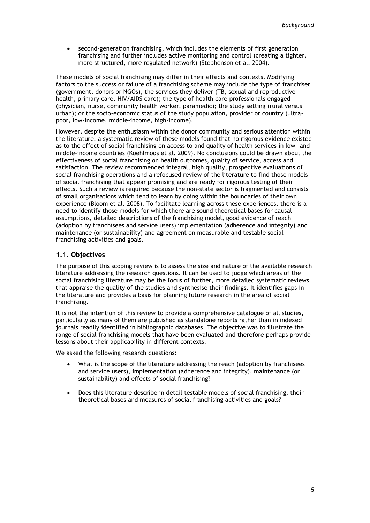second-generation franchising, which includes the elements of first generation franchising and further includes active monitoring and control (creating a tighter, more structured, more regulated network) (Stephenson et al. 2004).

These models of social franchising may differ in their effects and contexts. Modifying factors to the success or failure of a franchising scheme may include the type of franchiser (government, donors or NGOs), the services they deliver (TB, sexual and reproductive health, primary care, HIV/AIDS care); the type of health care professionals engaged (physician, nurse, community health worker, paramedic); the study setting (rural versus urban); or the socio-economic status of the study population, provider or country (ultrapoor, low-income, middle-income, high-income).

However, despite the enthusiasm within the donor community and serious attention within the literature, a systematic review of these models found that no rigorous evidence existed as to the effect of social franchising on access to and quality of health services in low- and middle-income countries (Koehlmoos et al. 2009). No conclusions could be drawn about the effectiveness of social franchising on health outcomes, quality of service, access and satisfaction. The review recommended integral, high quality, prospective evaluations of social franchising operations and a refocused review of the literature to find those models of social franchising that appear promising and are ready for rigorous testing of their effects. Such a review is required because the non-state sector is fragmented and consists of small organisations which tend to learn by doing within the boundaries of their own experience (Bloom et al. 2008). To facilitate learning across these experiences, there is a need to identify those models for which there are sound theoretical bases for causal assumptions, detailed descriptions of the franchising model, good evidence of reach (adoption by franchisees and service users) implementation (adherence and integrity) and maintenance (or sustainability) and agreement on measurable and testable social franchising activities and goals.

#### <span id="page-8-0"></span>**1.1. Objectives**

The purpose of this scoping review is to assess the size and nature of the available research literature addressing the research questions. It can be used to judge which areas of the social franchising literature may be the focus of further, more detailed systematic reviews that appraise the quality of the studies and synthesise their findings. It identifies gaps in the literature and provides a basis for planning future research in the area of social franchising.

It is not the intention of this review to provide a comprehensive catalogue of all studies, particularly as many of them are published as standalone reports rather than in indexed journals readily identified in bibliographic databases. The objective was to illustrate the range of social franchising models that have been evaluated and therefore perhaps provide lessons about their applicability in different contexts.

We asked the following research questions:

- What is the scope of the literature addressing the reach (adoption by franchisees and service users), implementation (adherence and integrity), maintenance (or sustainability) and effects of social franchising?
- Does this literature describe in detail testable models of social franchising, their theoretical bases and measures of social franchising activities and goals?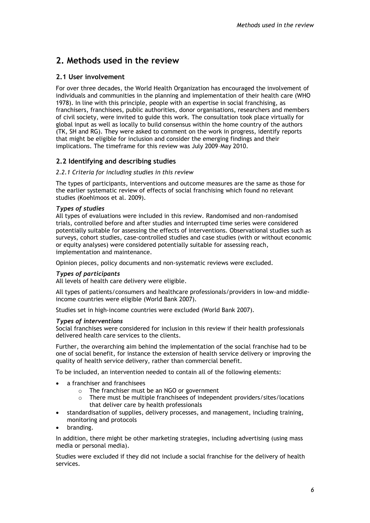## <span id="page-9-0"></span>**2. Methods used in the review**

#### <span id="page-9-1"></span>**2.1 User involvement**

For over three decades, the World Health Organization has encouraged the involvement of individuals and communities in the planning and implementation of their health care (WHO 1978). In line with this principle, people with an expertise in social franchising, as franchisers, franchisees, public authorities, donor organisations, researchers and members of civil society, were invited to guide this work. The consultation took place virtually for global input as well as locally to build consensus within the home country of the authors (TK, SH and RG). They were asked to comment on the work in progress, identify reports that might be eligible for inclusion and consider the emerging findings and their implications. The timeframe for this review was July 2009–May 2010.

#### <span id="page-9-2"></span>**2.2 Identifying and describing studies**

#### *2.2.1 Criteria for including studies in this review*

The types of participants, interventions and outcome measures are the same as those for the earlier systematic review of effects of social franchising which found no relevant studies (Koehlmoos et al. 2009).

#### *Types of studies*

All types of evaluations were included in this review. Randomised and non-randomised trials, controlled before and after studies and interrupted time series were considered potentially suitable for assessing the effects of interventions. Observational studies such as surveys, cohort studies, case-controlled studies and case studies (with or without economic or equity analyses) were considered potentially suitable for assessing reach, implementation and maintenance.

Opinion pieces, policy documents and non-systematic reviews were excluded.

#### *Types of participants*

All levels of health care delivery were eligible.

All types of patients/consumers and healthcare professionals/providers in low-and middleincome countries were eligible (World Bank 2007).

Studies set in high-income countries were excluded (World Bank 2007).

#### *Types of interventions*

Social franchises were considered for inclusion in this review if their health professionals delivered health care services to the clients.

Further, the overarching aim behind the implementation of the social franchise had to be one of social benefit, for instance the extension of health service delivery or improving the quality of health service delivery, rather than commercial benefit.

To be included, an intervention needed to contain all of the following elements:

- a franchiser and franchisees
	- o The franchiser must be an NGO or government
	- o There must be multiple franchisees of independent providers/sites/locations that deliver care by health professionals
- standardisation of supplies, delivery processes, and management, including training, monitoring and protocols
- branding.

In addition, there might be other marketing strategies, including advertising (using mass media or personal media).

Studies were excluded if they did not include a social franchise for the delivery of health services.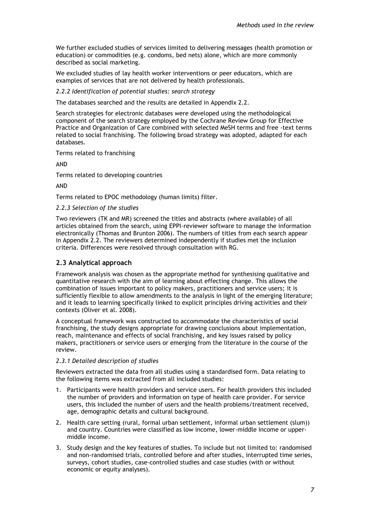We further excluded studies of services limited to delivering messages (health promotion or education) or commodities (e.g. condoms, bed nets) alone, which are more commonly described as social marketing.

We excluded studies of lay health worker interventions or peer educators, which are examples of services that are not delivered by health professionals.

#### *2.2.2 Identification of potential studies: search strategy*

The databases searched and the results are detailed in Appendix 2.2.

Search strategies for electronic databases were developed using the methodological component of the search strategy employed by the Cochrane Review Group for Effective Practice and Organization of Care combined with selected MeSH terms and free -text terms related to social franchising. The following broad strategy was adopted, adapted for each databases.

Terms related to franchising

AND

Terms related to developing countries

AND

Terms related to EPOC methodology (human limits) filter.

#### *2.2.3 Selection of the studies*

Two reviewers (TK and MR) screened the titles and abstracts (where available) of all articles obtained from the search, using EPPI-reviewer software to manage the information electronically (Thomas and Brunton 2006). The numbers of titles from each search appear in Appendix 2.2. The reviewers determined independently if studies met the inclusion criteria. Differences were resolved through consultation with RG.

#### <span id="page-10-0"></span>**2.3 Analytical approach**

Framework analysis was chosen as the appropriate method for synthesising qualitative and quantitative research with the aim of learning about effecting change. This allows the combination of issues important to policy makers, practitioners and service users; it is sufficiently flexible to allow amendments to the analysis in light of the emerging literature; and it leads to learning specifically linked to explicit principles driving activities and their contexts (Oliver et al. 2008).

A conceptual framework was constructed to accommodate the characteristics of social franchising, the study designs appropriate for drawing conclusions about implementation, reach, maintenance and effects of social franchising, and key issues raised by policy makers, practitioners or service users or emerging from the literature in the course of the review.

#### *2.3.1 Detailed description of studies*

Reviewers extracted the data from all studies using a standardised form. Data relating to the following items was extracted from all included studies:

- 1. Participants were health providers and service users. For health providers this included the number of providers and information on type of health care provider. For service users, this included the number of users and the health problems/treatment received, age, demographic details and cultural background.
- 2. Health care setting (rural, formal urban settlement, informal urban settlement (slum)) and country. Countries were classified as low income, lower-middle income or uppermiddle income.
- 3. Study design and the key features of studies. To include but not limited to: randomised and non-randomised trials, controlled before and after studies, interrupted time series, surveys, cohort studies, case-controlled studies and case studies (with or without economic or equity analyses).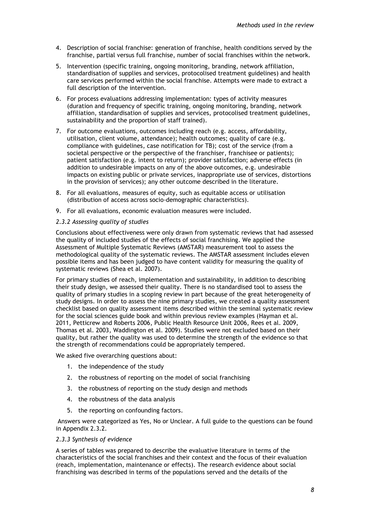- 4. Description of social franchise: generation of franchise, health conditions served by the franchise, partial versus full franchise, number of social franchises within the network.
- 5. Intervention (specific training, ongoing monitoring, branding, network affiliation, standardisation of supplies and services, protocolised treatment guidelines) and health care services performed within the social franchise. Attempts were made to extract a full description of the intervention.
- 6. For process evaluations addressing implementation: types of activity measures (duration and frequency of specific training, ongoing monitoring, branding, network affiliation, standardisation of supplies and services, protocolised treatment guidelines, sustainability and the proportion of staff trained).
- 7. For outcome evaluations, outcomes including reach (e.g. access, affordability, utilisation, client volume, attendance); health outcomes; quality of care (e.g. compliance with guidelines, case notification for TB); cost of the service (from a societal perspective or the perspective of the franchiser, franchisee or patients); patient satisfaction (e.g. intent to return); provider satisfaction; adverse effects (in addition to undesirable impacts on any of the above outcomes, e.g. undesirable impacts on existing public or private services, inappropriate use of services, distortions in the provision of services); any other outcome described in the literature.
- 8. For all evaluations, measures of equity, such as equitable access or utilisation (distribution of access across socio-demographic characteristics).
- 9. For all evaluations, economic evaluation measures were included.

#### *2.3.2 Assessing quality of studies*

Conclusions about effectiveness were only drawn from systematic reviews that had assessed the quality of included studies of the effects of social franchising. We applied the Assessment of Multiple Systematic Reviews (AMSTAR) measurement tool to assess the methodological quality of the systematic reviews. The AMSTAR assessment includes eleven possible items and has been judged to have content validity for measuring the quality of systematic reviews (Shea et al. 2007).

For primary studies of reach, implementation and sustainability, in addition to describing their study design, we assessed their quality. There is no standardised tool to assess the quality of primary studies in a scoping review in part because of the great heterogeneity of study designs. In order to assess the nine primary studies, we created a quality assessment checklist based on quality assessment items described within the seminal systematic review for the social sciences guide book and within previous review examples (Hayman et al. 2011, Petticrew and Roberts 2006, Public Health Resource Unit 2006, Rees et al. 2009, Thomas et al. 2003, Waddington et al. 2009). Studies were not excluded based on their quality, but rather the quality was used to determine the strength of the evidence so that the strength of recommendations could be appropriately tempered.

We asked five overarching questions about:

- 1. the independence of the study
- 2. the robustness of reporting on the model of social franchising
- 3. the robustness of reporting on the study design and methods
- 4. the robustness of the data analysis
- 5. the reporting on confounding factors.

Answers were categorized as Yes, No or Unclear. A full guide to the questions can be found in Appendix 2.3.2.

#### *2.3.3 Synthesis of evidence*

A series of tables was prepared to describe the evaluative literature in terms of the characteristics of the social franchises and their context and the focus of their evaluation (reach, implementation, maintenance or effects). The research evidence about social franchising was described in terms of the populations served and the details of the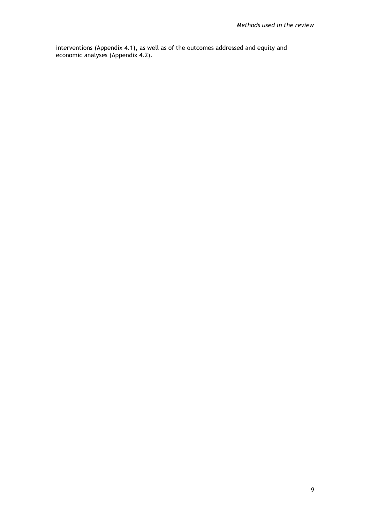interventions (Appendix 4.1), as well as of the outcomes addressed and equity and economic analyses (Appendix 4.2).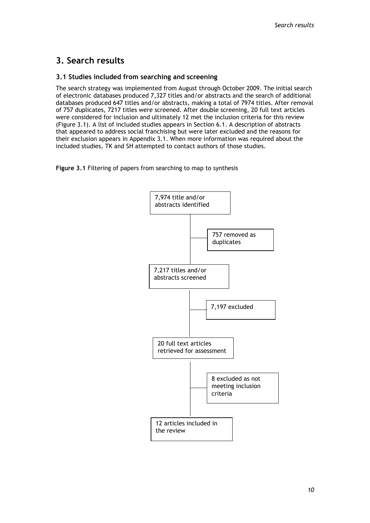## <span id="page-13-0"></span>**3. Search results**

#### <span id="page-13-1"></span>**3.1 Studies included from searching and screening**

The search strategy was implemented from August through October 2009. The initial search of electronic databases produced 7,327 titles and/or abstracts and the search of additional databases produced 647 titles and/or abstracts, making a total of 7974 titles. After removal of 757 duplicates, 7217 titles were screened. After double screening, 20 full text articles were considered for inclusion and ultimately 12 met the inclusion criteria for this review (Figure 3.1). A list of included studies appears in Section 6.1. A description of abstracts that appeared to address social franchising but were later excluded and the reasons for their exclusion appears in Appendix 3.1. When more information was required about the included studies, TK and SH attempted to contact authors of those studies.

**Figure 3.1** Filtering of papers from searching to map to synthesis

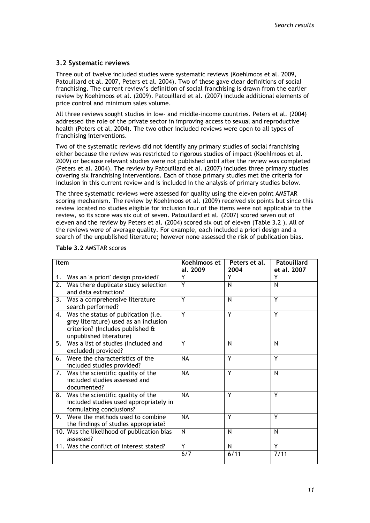#### <span id="page-14-0"></span>**3.2 Systematic reviews**

Three out of twelve included studies were systematic reviews (Koehlmoos et al. 2009, Patouillard et al. 2007, Peters et al. 2004). Two of these gave clear definitions of social franchising. The current review's definition of social franchising is drawn from the earlier review by Koehlmoos et al. (2009). Patouillard et al. (2007) include additional elements of price control and minimum sales volume.

All three reviews sought studies in low- and middle-income countries. Peters et al. (2004) addressed the role of the private sector in improving access to sexual and reproductive health (Peters et al. 2004). The two other included reviews were open to all types of franchising interventions.

Two of the systematic reviews did not identify any primary studies of social franchising either because the review was restricted to rigorous studies of impact (Koehlmoos et al. 2009) or because relevant studies were not published until after the review was completed (Peters et al. 2004). The review by Patouillard et al. (2007) includes three primary studies covering six franchising interventions. Each of those primary studies met the criteria for inclusion in this current review and is included in the analysis of primary studies below.

The three systematic reviews were assessed for quality using the eleven point AMSTAR scoring mechanism. The review by Koehlmoos et al. (2009) received six points but since this review located no studies eligible for inclusion four of the items were not applicable to the review, so its score was six out of seven. Patouillard et al. (2007) scored seven out of eleven and the review by Peters et al. (2004) scored six out of eleven (Table 3.2 ). All of the reviews were of average quality. For example, each included a priori design and a search of the unpublished literature; however none assessed the risk of publication bias.

| <b>Item</b> |                                                                                                                                             | Koehlmoos et<br>al. 2009 | Peters et al.<br>2004 | Patouillard<br>et al. 2007 |
|-------------|---------------------------------------------------------------------------------------------------------------------------------------------|--------------------------|-----------------------|----------------------------|
| 1.          | Was an 'a priori' design provided?                                                                                                          | Y                        | Y                     | Y                          |
| 2.          | Was there duplicate study selection<br>and data extraction?                                                                                 | Y                        | N                     | N                          |
| 3.          | Was a comprehensive literature<br>search performed?                                                                                         | Y                        | N                     | Y                          |
| 4.          | Was the status of publication (i.e.<br>grey literature) used as an inclusion<br>criterion? (Includes published &<br>unpublished literature) | Y                        | Y                     | Y                          |
| 5.          | Was a list of studies (included and<br>excluded) provided?                                                                                  | Y                        | N                     | N                          |
| 6.          | Were the characteristics of the<br>included studies provided?                                                                               | <b>NA</b>                | Y                     | Y                          |
| 7.          | Was the scientific quality of the<br>included studies assessed and<br>documented?                                                           | <b>NA</b>                | Y                     | N                          |
| 8.          | Was the scientific quality of the<br>included studies used appropriately in<br>formulating conclusions?                                     | <b>NA</b>                | Y                     | Y                          |
| 9.          | Were the methods used to combine<br>the findings of studies appropriate?                                                                    | <b>NA</b>                | Y                     | Y                          |
|             | 10. Was the likelihood of publication bias<br>assessed?                                                                                     | N                        | N                     | N                          |
|             | 11. Was the conflict of interest stated?                                                                                                    | Y                        | N                     | Y                          |
|             |                                                                                                                                             | 6/7                      | 6/11                  | 7/11                       |

**Table 3.2** AMSTAR scores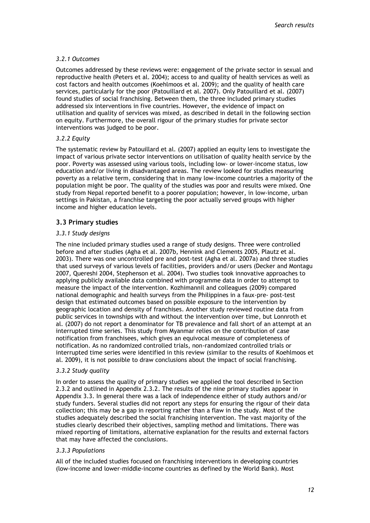#### *3.2.1 Outcomes*

Outcomes addressed by these reviews were: engagement of the private sector in sexual and reproductive health (Peters et al. 2004); access to and quality of health services as well as cost factors and health outcomes (Koehlmoos et al. 2009); and the quality of health care services, particularly for the poor (Patouillard et al. 2007). Only Patouillard et al. (2007) found studies of social franchising. Between them, the three included primary studies addressed six interventions in five countries. However, the evidence of impact on utilisation and quality of services was mixed, as described in detail in the following section on equity. Furthermore, the overall rigour of the primary studies for private sector interventions was judged to be poor.

#### *3.2.2 Equity*

The systematic review by Patouillard et al. (2007) applied an equity lens to investigate the impact of various private sector interventions on utilisation of quality health service by the poor. Poverty was assessed using various tools, including low- or lower-income status, low education and/or living in disadvantaged areas. The review looked for studies measuring poverty as a relative term, considering that in many low-income countries a majority of the population might be poor. The quality of the studies was poor and results were mixed. One study from Nepal reported benefit to a poorer population; however, in low-income, urban settings in Pakistan, a franchise targeting the poor actually served groups with higher income and higher education levels.

#### <span id="page-15-0"></span>**3.3 Primary studies**

#### *3.3.1 Study designs*

The nine included primary studies used a range of study designs. Three were controlled before and after studies (Agha et al. 2007b, Hennink and Clements 2005, Plautz et al. 2003). There was one uncontrolled pre and post-test (Agha et al. 2007a) and three studies that used surveys of various levels of facilities, providers and/or users (Decker and Montagu 2007, Quereshi 2004, Stephenson et al. 2004). Two studies took innovative approaches to applying publicly available data combined with programme data in order to attempt to measure the impact of the intervention. Kozhimannil and colleagues (2009) compared national demographic and health surveys from the Philippines in a faux-pre- post-test design that estimated outcomes based on possible exposure to the intervention by geographic location and density of franchises. Another study reviewed routine data from public services in townships with and without the intervention over time, but Lonnroth et al. (2007) do not report a denominator for TB prevalence and fall short of an attempt at an interrupted time series. This study from Myanmar relies on the contribution of case notification from franchisees, which gives an equivocal measure of completeness of notification. As no randomized controlled trials, non-randomized controlled trials or interrupted time series were identified in this review (similar to the results of Koehlmoos et al. 2009), it is not possible to draw conclusions about the impact of social franchising.

#### *3.3.2 Study quality*

In order to assess the quality of primary studies we applied the tool described in Section 2.3.2 and outlined in Appendix 2.3.2. The results of the nine primary studies appear in Appendix 3.3. In general there was a lack of independence either of study authors and/or study funders. Several studies did not report any steps for ensuring the rigour of their data collection; this may be a gap in reporting rather than a flaw in the study. Most of the studies adequately described the social franchising intervention. The vast majority of the studies clearly described their objectives, sampling method and limitations. There was mixed reporting of limitations, alternative explanation for the results and external factors that may have affected the conclusions.

#### *3.3.3 Populations*

All of the included studies focused on franchising interventions in developing countries (low-income and lower-middle-income countries as defined by the World Bank). Most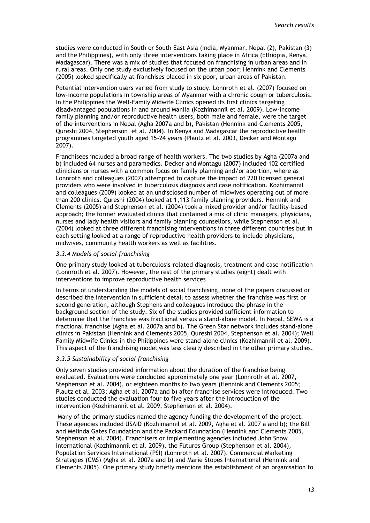studies were conducted in South or South East Asia (India, Myanmar, Nepal (2), Pakistan (3) and the Philippines), with only three interventions taking place in Africa (Ethiopia, Kenya, Madagascar). There was a mix of studies that focused on franchising in urban areas and in rural areas. Only one study exclusively focused on the urban poor; Hennink and Clements (2005) looked specifically at franchises placed in six poor, urban areas of Pakistan.

Potential intervention users varied from study to study. Lonnroth et al. (2007) focused on low-income populations in township areas of Myanmar with a chronic cough or tuberculosis. In the Philippines the Well-Family Midwife Clinics opened its first clinics targeting disadvantaged populations in and around Manila (Kozhimannil et al. 2009). Low-income family planning and/or reproductive health users, both male and female, were the target of the interventions in Nepal (Agha 2007a and b), Pakistan (Hennink and Clements 2005, Qureshi 2004, Stephenson et al. 2004). In Kenya and Madagascar the reproductive health programmes targeted youth aged 15-24 years (Plautz et al. 2003, Decker and Montagu 2007).

Franchisees included a broad range of health workers. The two studies by Agha (2007a and b) included 64 nurses and paramedics. Decker and Montagu (2007) included 102 certified clinicians or nurses with a common focus on family planning and/or abortion, where as Lonnroth and colleagues (2007) attempted to capture the impact of 220 licensed general providers who were involved in tuberculosis diagnosis and case notification. Kozhimannil and colleagues (2009) looked at an undisclosed number of midwives operating out of more than 200 clinics. Qureshi (2004) looked at 1,113 family planning providers. Hennink and Clements (2005) and Stephenson et al. (2004) took a mixed provider and/or facility-based approach; the former evaluated clinics that contained a mix of clinic managers, physicians, nurses and lady health visitors and family planning counsellors, while Stephenson et al. (2004) looked at three different franchising interventions in three different countries but in each setting looked at a range of reproductive health providers to include physicians, midwives, community health workers as well as facilities.

#### *3.3.4 Models of social franchising*

One primary study looked at tuberculosis-related diagnosis, treatment and case notification (Lonnroth et al. 2007). However, the rest of the primary studies (eight) dealt with interventions to improve reproductive health services

In terms of understanding the models of social franchising, none of the papers discussed or described the intervention in sufficient detail to assess whether the franchise was first or second generation, although Stephens and colleagues introduce the phrase in the background section of the study. Six of the studies provided sufficient information to determine that the franchise was fractional versus a stand-alone model. In Nepal, SEWA is a fractional franchise (Agha et al. 2007a and b). The Green Star network includes stand-alone clinics in Pakistan (Hennink and Clements 2005, Qureshi 2004, Stephenson et al. 2004); Well Family Midwife Clinics in the Philippines were stand-alone clinics (Kozhimannil et al. 2009). This aspect of the franchising model was less clearly described in the other primary studies.

#### *3.3.5 Sustainability of social franchising*

Only seven studies provided information about the duration of the franchise being evaluated. Evaluations were conducted approximately one year (Lonnroth et al. 2007, Stephenson et al. 2004), or eighteen months to two years (Hennink and Clements 2005; Plautz et al. 2003; Agha et al. 2007a and b) after franchise services were introduced. Two studies conducted the evaluation four to five years after the introduction of the intervention (Kozhimannil et al. 2009, Stephenson et al. 2004).

Many of the primary studies named the agency funding the development of the project. These agencies included USAID (Kozhimannil et al. 2009, Agha et al. 2007 a and b); the Bill and Melinda Gates Foundation and the Packard Foundation (Hennink and Clements 2005, Stephenson et al. 2004). Franchisers or implementing agencies included John Snow International (Kozhimannil et al. 2009), the Futures Group (Stephenson et al. 2004), Population Services International (PSI) (Lonnroth et al. 2007), Commercial Marketing Strategies (CMS) (Agha et al. 2007a and b) and Marie Stopes International (Hennink and Clements 2005). One primary study briefly mentions the establishment of an organisation to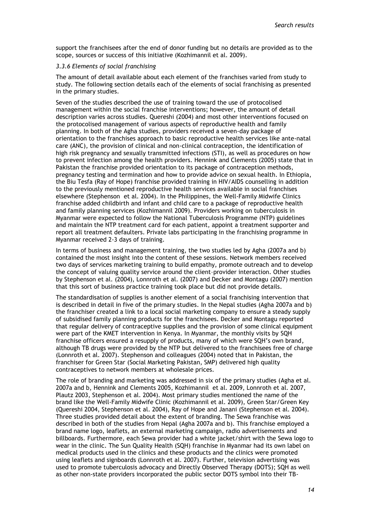support the franchisees after the end of donor funding but no details are provided as to the scope, sources or success of this initiative (Kozhimannil et al. 2009).

#### *3.3.6 Elements of social franchising*

The amount of detail available about each element of the franchises varied from study to study. The following section details each of the elements of social franchising as presented in the primary studies.

Seven of the studies described the use of training toward the use of protocolised management within the social franchise interventions; however, the amount of detail description varies across studies. Quereshi (2004) and most other interventions focused on the protocolised management of various aspects of reproductive health and family planning. In both of the Agha studies, providers received a seven-day package of orientation to the franchises approach to basic reproductive health services like ante-natal care (ANC), the provision of clinical and non-clinical contraception, the identification of high risk pregnancy and sexually transmitted infections (STI), as well as procedures on how to prevent infection among the health providers. Hennink and Clements (2005) state that in Pakistan the franchise provided orientation to its package of contraception methods, pregnancy testing and termination and how to provide advice on sexual health. In Ethiopia, the Biu Tesfa (Ray of Hope) franchise provided training in HIV/AIDS counselling in addition to the previously mentioned reproductive health services available in social franchises elsewhere (Stephenson et al. 2004). In the Philippines, the Well-Family Midwife Clinics franchise added childbirth and infant and child care to a package of reproductive health and family planning services (Kozhimannil 2009). Providers working on tuberculosis in Myanmar were expected to follow the National Tuberculosis Programme (NTP) guidelines and maintain the NTP treatment card for each patient, appoint a treatment supporter and report all treatment defaulters. Private labs participating in the franchising programme in Myanmar received 2-3 days of training.

In terms of business and management training, the two studies led by Agha (2007a and b) contained the most insight into the content of these sessions. Network members received two days of services marketing training to build empathy, promote outreach and to develop the concept of valuing quality service around the client–provider interaction. Other studies by Stephenson et al. (2004), Lonnroth et al. (2007) and Decker and Montagu (2007) mention that this sort of business practice training took place but did not provide details.

The standardisation of supplies is another element of a social franchising intervention that is described in detail in five of the primary studies. In the Nepal studies (Agha 2007a and b) the franchiser created a link to a local social marketing company to ensure a steady supply of subsidised family planning products for the franchisees. Decker and Montagu reported that regular delivery of contraceptive supplies and the provision of some clinical equipment were part of the KMET intervention in Kenya. In Myanmar, the monthly visits by SQH franchise officers ensured a resupply of products, many of which were SQH's own brand, although TB drugs were provided by the NTP but delivered to the franchisees free of charge (Lonnroth et al. 2007). Stephenson and colleagues (2004) noted that in Pakistan, the franchiser for Green Star (Social Marketing Pakistan, SMP) delivered high quality contraceptives to network members at wholesale prices.

The role of branding and marketing was addressed in six of the primary studies (Agha et al. 2007a and b, Hennink and Clements 2005, Kozhimannil et al. 2009, Lonnroth et al. 2007, Plautz 2003, Stephenson et al. 2004). Most primary studies mentioned the name of the brand like the Well-Family Midwife Clinic (Kozhimannil et al. 2009), Green Star/Green Key (Quereshi 2004, Stephenson et al. 2004), Ray of Hope and Janani (Stephenson et al. 2004). Three studies provided detail about the extent of branding. The Sewa franchise was described in both of the studies from Nepal (Agha 2007a and b). This franchise employed a brand name logo, leaflets, an external marketing campaign, radio advertisements and billboards. Furthermore, each Sewa provider had a white jacket/shirt with the Sewa logo to wear in the clinic. The Sun Quality Health (SQH) franchise in Myanmar had its own label on medical products used in the clinics and these products and the clinics were promoted using leaflets and signboards (Lonnroth et al. 2007). Further, television advertising was used to promote tuberculosis advocacy and Directly Observed Therapy (DOTS); SQH as well as other non-state providers incorporated the public sector DOTS symbol into their TB-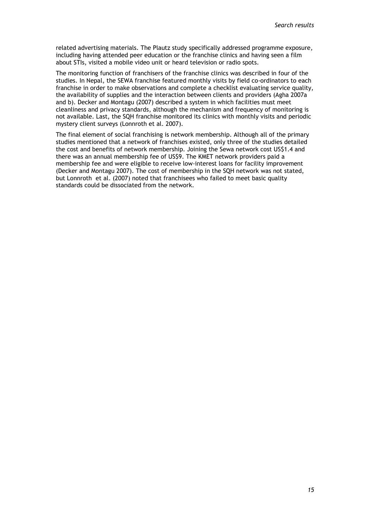related advertising materials. The Plautz study specifically addressed programme exposure, including having attended peer education or the franchise clinics and having seen a film about STIs, visited a mobile video unit or heard television or radio spots.

The monitoring function of franchisers of the franchise clinics was described in four of the studies. In Nepal, the SEWA franchise featured monthly visits by field co-ordinators to each franchise in order to make observations and complete a checklist evaluating service quality, the availability of supplies and the interaction between clients and providers (Agha 2007a and b). Decker and Montagu (2007) described a system in which facilities must meet cleanliness and privacy standards, although the mechanism and frequency of monitoring is not available. Last, the SQH franchise monitored its clinics with monthly visits and periodic mystery client surveys (Lonnroth et al. 2007).

The final element of social franchising is network membership. Although all of the primary studies mentioned that a network of franchises existed, only three of the studies detailed the cost and benefits of network membership. Joining the Sewa network cost US\$1.4 and there was an annual membership fee of US\$9. The KMET network providers paid a membership fee and were eligible to receive low-interest loans for facility improvement (Decker and Montagu 2007). The cost of membership in the SQH network was not stated, but Lonnroth et al. (2007) noted that franchisees who failed to meet basic quality standards could be dissociated from the network.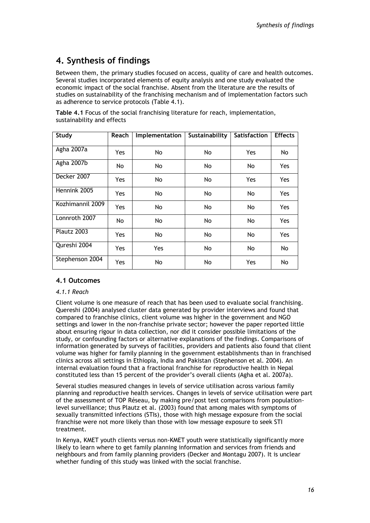## <span id="page-19-0"></span>**4. Synthesis of findings**

Between them, the primary studies focused on access, quality of care and health outcomes. Several studies incorporated elements of equity analysis and one study evaluated the economic impact of the social franchise. Absent from the literature are the results of studies on sustainability of the franchising mechanism and of implementation factors such as adherence to service protocols (Table 4.1).

| Study            | Reach      | Implementation | Sustainability | <b>Satisfaction</b> | <b>Effects</b> |
|------------------|------------|----------------|----------------|---------------------|----------------|
| Agha 2007a       | <b>Yes</b> | No             | No             | Yes                 | No             |
| Agha 2007b       | No         | No             | No             | No                  | Yes            |
| Decker 2007      | Yes        | No             | No             | Yes                 | Yes            |
| Hennink 2005     | Yes        | No             | No             | No                  | Yes            |
| Kozhimannil 2009 | Yes        | No             | No             | No                  | Yes            |
| Lonnroth 2007    | No         | No             | No             | No                  | Yes            |
| Plautz 2003      | Yes        | No             | No             | No                  | Yes            |
| Qureshi 2004     | Yes        | Yes            | No             | No                  | No.            |

Stephenson 2004 | Yes | No | No | Yes | No

**Table 4.1** Focus of the social franchising literature for reach, implementation, sustainability and effects

#### <span id="page-19-1"></span>**4.1 Outcomes**

#### *4.1.1 Reach*

Client volume is one measure of reach that has been used to evaluate social franchising. Quereshi (2004) analysed cluster data generated by provider interviews and found that compared to franchise clinics, client volume was higher in the government and NGO settings and lower in the non-franchise private sector; however the paper reported little about ensuring rigour in data collection, nor did it consider possible limitations of the study, or confounding factors or alternative explanations of the findings. Comparisons of information generated by surveys of facilities, providers and patients also found that client volume was higher for family planning in the government establishments than in franchised clinics across all settings in Ethiopia, India and Pakistan (Stephenson et al. 2004). An internal evaluation found that a fractional franchise for reproductive health in Nepal constituted less than 15 percent of the provider's overall clients (Agha et al. 2007a).

Several studies measured changes in levels of service utilisation across various family planning and reproductive health services. Changes in levels of service utilisation were part of the assessment of TOP Réseau, by making pre/post test comparisons from populationlevel surveillance; thus Plautz et al. (2003) found that among males with symptoms of sexually transmitted infections (STIs), those with high message exposure from the social franchise were not more likely than those with low message exposure to seek STI treatment.

In Kenya, KMET youth clients versus non-KMET youth were statistically significantly more likely to learn where to get family planning information and services from friends and neighbours and from family planning providers (Decker and Montagu 2007). It is unclear whether funding of this study was linked with the social franchise.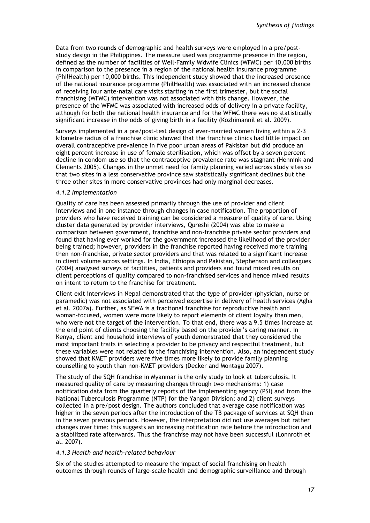Data from two rounds of demographic and health surveys were employed in a pre/poststudy design in the Philippines. The measure used was programme presence in the region, defined as the number of facilities of Well-Family Midwife Clinics (WFMC) per 10,000 births in comparison to the presence in a region of the national health insurance programme (PhilHealth) per 10,000 births. This independent study showed that the increased presence of the national insurance programme (PhilHealth) was associated with an increased chance of receiving four ante-natal care visits starting in the first trimester, but the social franchising (WFMC) intervention was not associated with this change. However, the presence of the WFMC was associated with increased odds of delivery in a private facility, although for both the national health insurance and for the WFMC there was no statistically significant increase in the odds of giving birth in a facility (Kozhimannil et al. 2009).

Surveys implemented in a pre/post-test design of ever-married women living within a 2-3 kilometre radius of a franchise clinic showed that the franchise clinics had little impact on overall contraceptive prevalence in five poor urban areas of Pakistan but did produce an eight percent increase in use of female sterilisation, which was offset by a seven percent decline in condom use so that the contraceptive prevalence rate was stagnant (Hennink and Clements 2005). Changes in the unmet need for family planning varied across study sites so that two sites in a less conservative province saw statistically significant declines but the three other sites in more conservative provinces had only marginal decreases.

#### *4.1.2 Implementation*

Quality of care has been assessed primarily through the use of provider and client interviews and in one instance through changes in case notification. The proportion of providers who have received training can be considered a measure of quality of care. Using cluster data generated by provider interviews, Qureshi (2004) was able to make a comparison between government, franchise and non-franchise private sector providers and found that having ever worked for the government increased the likelihood of the provider being trained; however, providers in the franchise reported having received more training then non-franchise, private sector providers and that was related to a significant increase in client volume across settings. In India, Ethiopia and Pakistan, Stephenson and colleagues (2004) analysed surveys of facilities, patients and providers and found mixed results on client perceptions of quality compared to non-franchised services and hence mixed results on intent to return to the franchise for treatment.

Client exit interviews in Nepal demonstrated that the type of provider (physician, nurse or paramedic) was not associated with perceived expertise in delivery of health services (Agha et al. 2007a). Further, as SEWA is a fractional franchise for reproductive health and woman-focused, women were more likely to report elements of client loyalty than men, who were not the target of the intervention. To that end, there was a 9.5 times increase at the end point of clients choosing the facility based on the provider's caring manner. In Kenya, client and household interviews of youth demonstrated that they considered the most important traits in selecting a provider to be privacy and respectful treatment, but these variables were not related to the franchising intervention. Also, an independent study showed that KMET providers were five times more likely to provide family planning counselling to youth than non-KMET providers (Decker and Montagu 2007).

The study of the SQH franchise in Myanmar is the only study to look at tuberculosis. It measured quality of care by measuring changes through two mechanisms: 1) case notification data from the quarterly reports of the implementing agency (PSI) and from the National Tuberculosis Programme (NTP) for the Yangon Division; and 2) client surveys collected in a pre/post design. The authors concluded that average case notification was higher in the seven periods after the introduction of the TB package of services at SQH than in the seven previous periods. However, the interpretation did not use averages but rather changes over time; this suggests an increasing notification rate before the introduction and a stabilized rate afterwards. Thus the franchise may not have been successful (Lonnroth et al. 2007).

#### *4.1.3 Health and health-related behaviour*

Six of the studies attempted to measure the impact of social franchising on health outcomes through rounds of large-scale health and demographic surveillance and through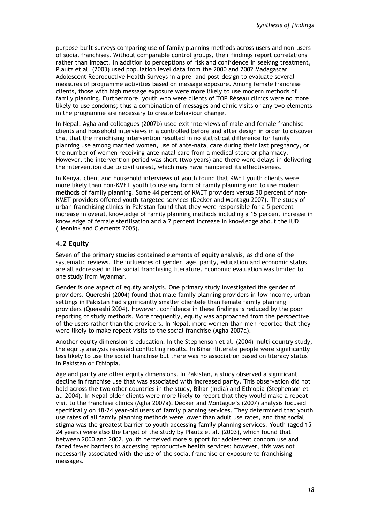purpose-built surveys comparing use of family planning methods across users and non-users of social franchises. Without comparable control groups, their findings report correlations rather than impact. In addition to perceptions of risk and confidence in seeking treatment, Plautz et al. (2003) used population level data from the 2000 and 2002 Madagascar Adolescent Reproductive Health Surveys in a pre- and post-design to evaluate several measures of programme activities based on message exposure. Among female franchise clients, those with high message exposure were more likely to use modern methods of family planning. Furthermore, youth who were clients of TOP Réseau clinics were no more likely to use condoms; thus a combination of messages and clinic visits or any two elements in the programme are necessary to create behaviour change.

In Nepal, Agha and colleagues (2007b) used exit interviews of male and female franchise clients and household interviews in a controlled before and after design in order to discover that that the franchising intervention resulted in no statistical difference for family planning use among married women, use of ante-natal care during their last pregnancy, or the number of women receiving ante-natal care from a medical store or pharmacy. However, the intervention period was short (two years) and there were delays in delivering the intervention due to civil unrest, which may have hampered its effectiveness.

In Kenya, client and household interviews of youth found that KMET youth clients were more likely than non-KMET youth to use any form of family planning and to use modern methods of family planning. Some 44 percent of KMET providers versus 30 percent of non-KMET providers offered youth-targeted services (Decker and Montagu 2007). The study of urban franchising clinics in Pakistan found that they were responsible for a 5 percent increase in overall knowledge of family planning methods including a 15 percent increase in knowledge of female sterilisation and a 7 percent increase in knowledge about the IUD (Hennink and Clements 2005).

#### <span id="page-21-0"></span>**4.2 Equity**

Seven of the primary studies contained elements of equity analysis, as did one of the systematic reviews. The influences of gender, age, parity, education and economic status are all addressed in the social franchising literature. Economic evaluation was limited to one study from Myanmar.

Gender is one aspect of equity analysis. One primary study investigated the gender of providers. Quereshi (2004) found that male family planning providers in low-income, urban settings in Pakistan had significantly smaller clientele than female family planning providers (Quereshi 2004). However, confidence in these findings is reduced by the poor reporting of study methods. More frequently, equity was approached from the perspective of the users rather than the providers. In Nepal, more women than men reported that they were likely to make repeat visits to the social franchise (Agha 2007a).

Another equity dimension is education. In the Stephenson et al. (2004) multi-country study, the equity analysis revealed conflicting results. In Bihar illiterate people were significantly less likely to use the social franchise but there was no association based on literacy status in Pakistan or Ethiopia.

Age and parity are other equity dimensions. In Pakistan, a study observed a significant decline in franchise use that was associated with increased parity. This observation did not hold across the two other countries in the study, Bihar (India) and Ethiopia (Stephenson et al. 2004). In Nepal older clients were more likely to report that they would make a repeat visit to the franchise clinics (Agha 2007a). Decker and Montague's (2007) analysis focused specifically on 18-24 year-old users of family planning services. They determined that youth use rates of all family planning methods were lower than adult use rates, and that social stigma was the greatest barrier to youth accessing family planning services. Youth (aged 15- 24 years) were also the target of the study by Plautz et al. (2003), which found that between 2000 and 2002, youth perceived more support for adolescent condom use and faced fewer barriers to accessing reproductive health services; however, this was not necessarily associated with the use of the social franchise or exposure to franchising messages.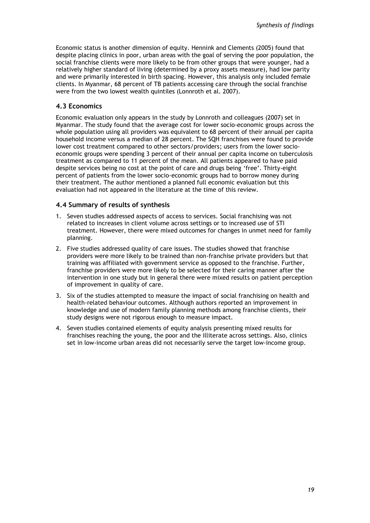Economic status is another dimension of equity. Hennink and Clements (2005) found that despite placing clinics in poor, urban areas with the goal of serving the poor population, the social franchise clients were more likely to be from other groups that were younger, had a relatively higher standard of living (determined by a proxy assets measure), had low parity and were primarily interested in birth spacing. However, this analysis only included female clients. In Myanmar, 68 percent of TB patients accessing care through the social franchise were from the two lowest wealth quintiles (Lonnroth et al. 2007).

#### <span id="page-22-0"></span>**4.3 Economics**

Economic evaluation only appears in the study by Lonnroth and colleagues (2007) set in Myanmar. The study found that the average cost for lower socio-economic groups across the whole population using all providers was equivalent to 68 percent of their annual per capita household income versus a median of 28 percent. The SQH franchises were found to provide lower cost treatment compared to other sectors/providers; users from the lower socioeconomic groups were spending 3 percent of their annual per capita income on tuberculosis treatment as compared to 11 percent of the mean. All patients appeared to have paid despite services being no cost at the point of care and drugs being 'free'. Thirty-eight percent of patients from the lower socio-economic groups had to borrow money during their treatment. The author mentioned a planned full economic evaluation but this evaluation had not appeared in the literature at the time of this review.

#### <span id="page-22-1"></span>**4.4 Summary of results of synthesis**

- 1. Seven studies addressed aspects of access to services. Social franchising was not related to increases in client volume across settings or to increased use of STI treatment. However, there were mixed outcomes for changes in unmet need for family planning.
- 2. Five studies addressed quality of care issues. The studies showed that franchise providers were more likely to be trained than non-franchise private providers but that training was affiliated with government service as opposed to the franchise. Further, franchise providers were more likely to be selected for their caring manner after the intervention in one study but in general there were mixed results on patient perception of improvement in quality of care.
- 3. Six of the studies attempted to measure the impact of social franchising on health and health-related behaviour outcomes. Although authors reported an improvement in knowledge and use of modern family planning methods among franchise clients, their study designs were not rigorous enough to measure impact.
- 4. Seven studies contained elements of equity analysis presenting mixed results for franchises reaching the young, the poor and the illiterate across settings. Also, clinics set in low-income urban areas did not necessarily serve the target low-income group.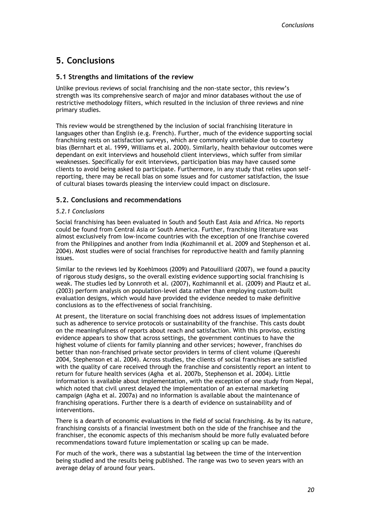## <span id="page-23-0"></span>**5. Conclusions**

#### <span id="page-23-1"></span>**5.1 Strengths and limitations of the review**

Unlike previous reviews of social franchising and the non-state sector, this review's strength was its comprehensive search of major and minor databases without the use of restrictive methodology filters, which resulted in the inclusion of three reviews and nine primary studies.

This review would be strengthened by the inclusion of social franchising literature in languages other than English (e.g. French). Further, much of the evidence supporting social franchising rests on satisfaction surveys, which are commonly unreliable due to courtesy bias (Bernhart et al. 1999, Williams et al. 2000). Similarly, health behaviour outcomes were dependant on exit interviews and household client interviews, which suffer from similar weaknesses. Specifically for exit interviews, participation bias may have caused some clients to avoid being asked to participate. Furthermore, in any study that relies upon selfreporting, there may be recall bias on some issues and for customer satisfaction, the issue of cultural biases towards pleasing the interview could impact on disclosure.

#### <span id="page-23-2"></span>**5.2. Conclusions and recommendations**

#### *5.2.1 Conclusions*

Social franchising has been evaluated in South and South East Asia and Africa. No reports could be found from Central Asia or South America. Further, franchising literature was almost exclusively from low-income countries with the exception of one franchise covered from the Philippines and another from India (Kozhimannil et al. 2009 and Stephenson et al. 2004). Most studies were of social franchises for reproductive health and family planning issues.

Similar to the reviews led by Koehlmoos (2009) and Patouilliard (2007), we found a paucity of rigorous study designs, so the overall existing evidence supporting social franchising is weak. The studies led by Lonnroth et al. (2007), Kozhimannil et al. (2009) and Plautz et al. (2003) perform analysis on population-level data rather than employing custom-built evaluation designs, which would have provided the evidence needed to make definitive conclusions as to the effectiveness of social franchising.

At present, the literature on social franchising does not address issues of implementation such as adherence to service protocols or sustainability of the franchise. This casts doubt on the meaningfulness of reports about reach and satisfaction. With this proviso, existing evidence appears to show that across settings, the government continues to have the highest volume of clients for family planning and other services; however, franchises do better than non-franchised private sector providers in terms of client volume (Quereshi 2004, Stephenson et al. 2004). Across studies, the clients of social franchises are satisfied with the quality of care received through the franchise and consistently report an intent to return for future health services (Agha et al. 2007b, Stephenson et al. 2004). Little information is available about implementation, with the exception of one study from Nepal, which noted that civil unrest delayed the implementation of an external marketing campaign (Agha et al. 2007a) and no information is available about the maintenance of franchising operations. Further there is a dearth of evidence on sustainability and of interventions.

There is a dearth of economic evaluations in the field of social franchising. As by its nature, franchising consists of a financial investment both on the side of the franchisee and the franchiser, the economic aspects of this mechanism should be more fully evaluated before recommendations toward future implementation or scaling up can be made.

For much of the work, there was a substantial lag between the time of the intervention being studied and the results being published. The range was two to seven years with an average delay of around four years.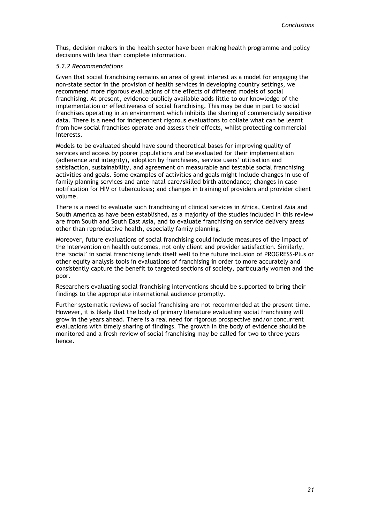Thus, decision makers in the health sector have been making health programme and policy decisions with less than complete information.

#### *5.2.2 Recommendations*

Given that social franchising remains an area of great interest as a model for engaging the non-state sector in the provision of health services in developing country settings, we recommend more rigorous evaluations of the effects of different models of social franchising. At present, evidence publicly available adds little to our knowledge of the implementation or effectiveness of social franchising. This may be due in part to social franchises operating in an environment which inhibits the sharing of commercially sensitive data. There is a need for independent rigorous evaluations to collate what can be learnt from how social franchises operate and assess their effects, whilst protecting commercial interests.

Models to be evaluated should have sound theoretical bases for improving quality of services and access by poorer populations and be evaluated for their implementation (adherence and integrity), adoption by franchisees, service users' utilisation and satisfaction, sustainability, and agreement on measurable and testable social franchising activities and goals. Some examples of activities and goals might include changes in use of family planning services and ante-natal care/skilled birth attendance; changes in case notification for HIV or tuberculosis; and changes in training of providers and provider client volume.

There is a need to evaluate such franchising of clinical services in Africa, Central Asia and South America as have been established, as a majority of the studies included in this review are from South and South East Asia, and to evaluate franchising on service delivery areas other than reproductive health, especially family planning.

Moreover, future evaluations of social franchising could include measures of the impact of the intervention on health outcomes, not only client and provider satisfaction. Similarly, the 'social' in social franchising lends itself well to the future inclusion of PROGRESS-Plus or other equity analysis tools in evaluations of franchising in order to more accurately and consistently capture the benefit to targeted sections of society, particularly women and the poor.

Researchers evaluating social franchising interventions should be supported to bring their findings to the appropriate international audience promptly.

Further systematic reviews of social franchising are not recommended at the present time. However, it is likely that the body of primary literature evaluating social franchising will grow in the years ahead. There is a real need for rigorous prospective and/or concurrent evaluations with timely sharing of findings. The growth in the body of evidence should be monitored and a fresh review of social franchising may be called for two to three years hence.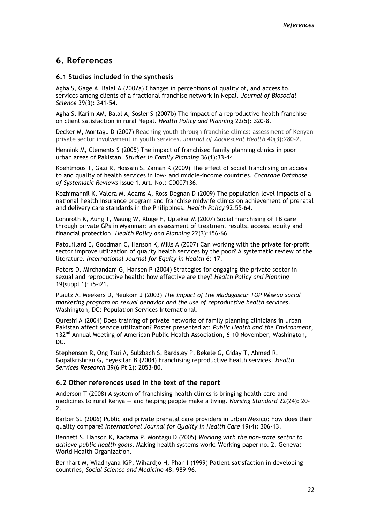## <span id="page-25-0"></span>**6. References**

#### <span id="page-25-1"></span>**6.1 Studies included in the synthesis**

Agha S, Gage A, Balal A (2007a) Changes in perceptions of quality of, and access to, services among clients of a fractional franchise network in Nepal. *Journal of Biosocial Science* 39(3): 341-54.

Agha S, Karim AM, Balal A, Sosler S (2007b) The impact of a reproductive health franchise on client satisfaction in rural Nepal. *Health Policy and Planning* 22(5): 320-8.

Decker M, Montagu D (2007) Reaching youth through franchise clinics: assessment of Kenyan private sector involvement in youth services. *Journal of Adolescent Health* 40(3):280-2.

Hennink M, Clements S (2005) The impact of franchised family planning clinics in poor urban areas of Pakistan. *Studies in Family Planning* 36(1):33-44.

Koehlmoos T, Gazi R, Hossain S, Zaman K (2009) The effect of social franchising on access to and quality of health services in low- and middle-income countries. *Cochrane Database of Systematic Reviews* Issue 1, Art. No.: CD007136.

Kozhimannil K, Valera M, Adams A, Ross-Degnan D (2009) The population-level impacts of a national health insurance program and franchise midwife clinics on achievement of prenatal and delivery care standards in the Philippines. *Health Policy* 92:55-64.

Lonnroth K, Aung T, Maung W, Kluge H, Uplekar M (2007) Social franchising of TB care through private GPs in Myanmar: an assessment of treatment results, access, equity and financial protection. *Health Policy and Planning* 22(3):156-66.

Patouillard E, Goodman C, Hanson K, Mills A (2007) Can working with the private for-profit sector improve utilization of quality health services by the poor? A systematic review of the literature. *International Journal for Equity in Health* 6: 17.

Peters D, Mirchandani G, Hansen P (2004) Strategies for engaging the private sector in sexual and reproductive health: how effective are they? *Health Policy and Planning* 19(suppl 1): i5-i21.

Plautz A, Meekers D, Neukom J (2003) *The impact of the Madagascar TOP Réseau social marketing program on sexual behavior and the use of reproductive health services*. Washington, DC: Population Services International.

Qureshi A (2004) Does training of private networks of family planning clinicians in urban Pakistan affect service utilization? Poster presented at: *Public Health and the Environment*, 132<sup>nd</sup> Annual Meeting of American Public Health Association, 6-10 November, Washington, DC.

Stephenson R, Ong Tsui A, Sulzbach S, Bardsley P, Bekele G, Giday T, Ahmed R, Gopalkrishnan G, Feyesitan B (2004) Franchising reproductive health services. *Health Services Research* 39(6 Pt 2): 2053–80.

#### <span id="page-25-2"></span>**6.2 Other references used in the text of the report**

Anderson T (2008) A system of franchising health clinics is bringing health care and medicines to rural Kenya — and helping people make a living. *Nursing Standard* 22(24): 20- 2.

Barber SL (2006) Public and private prenatal care providers in urban Mexico: how does their quality compare? *International Journal for Quality in Health Care* 19(4): 306-13.

Bennett S, Hanson K, Kadama P, Montagu D (2005) *Working with the non-state sector to achieve public health goals*. Making health systems work: Working paper no. 2. Geneva: World Health Organization.

Bernhart M, Wiadnyana IGP, Wihardjo H, Phan I (1999) Patient satisfaction in developing countries, *Social Science and Medicine* 48: 989-96.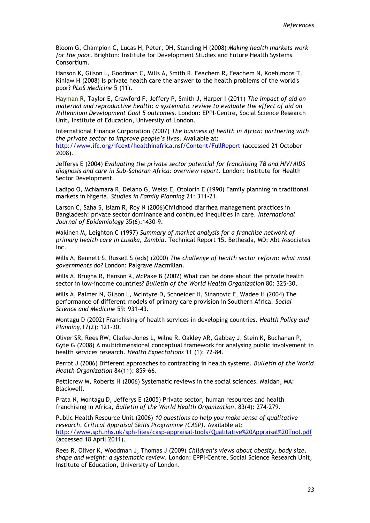Bloom G, Champion C, Lucas H, Peter, DH, Standing H (2008) *Making health markets work for the poor*. Brighton: Institute for Development Studies and Future Health Systems Consortium.

Hanson K, Gilson L, Goodman C, Mills A, Smith R, Feachem R, Feachem N, Koehlmoos T, Kinlaw H (2008) Is private health care the answer to the health problems of the world's poor? *PLoS Medicine* 5 (11).

Hayman R, Taylor E, Crawford F, Jeffery P, Smith J, Harper I (2011) *The impact of aid on maternal and reproductive health: a systematic review to evaluate the effect of aid on Millennium Development Goal 5 outcomes*. London: EPPI-Centre, Social Science Research Unit, Institute of Education, University of London.

International Finance Corporation (2007) *The business of health in Africa: partnering with the private sector to improve people's lives*. Available at: <http://www.ifc.org/ifcext/healthinafrica.nsf/Content/FullReport> (accessed 21 October 2008).

Jefferys E (2004) *Evaluating the private sector potential for franchising TB and HIV/AIDS diagnosis and care in Sub-Saharan Africa: overview report*. London: Institute for Health Sector Development.

Ladipo O, McNamara R, Delano G, Weiss E, Otolorin E (1990) Family planning in traditional markets in Nigeria. *Studies in Family Planning* 21: 311-21.

Larson C, Saha S, Islam R, Roy N (2006)Childhood diarrhea management practices in Bangladesh: private sector dominance and continued inequities in care. *International Journal of Epidemiology* 35(6):1430-9.

Makinen M, Leighton C (1997) *Summary of market analysis for a franchise network of primary health care in Lusaka, Zambia*. Technical Report 15. Bethesda, MD: Abt Associates Inc.

Mills A, Bennett S, Russell S (eds) (2000) *The challenge of health sector reform: what must governments do?* London: Palgrave Macmillan.

Mills A, Brugha R, Hanson K, McPake B (2002) What can be done about the private health sector in low-income countries? *Bulletin of the World Health Organization* 80: 325-30.

Mills A, Palmer N, Gilson L, McIntyre D, Schneider H, Sinanovic E, Wadee H (2004) The performance of different models of primary care provision in Southern Africa. *Social Science and Medicine* 59: 931-43.

Montagu D (2002) Franchising of health services in developing countries. *Health Policy and Planning*,17(2): 121-30.

Oliver SR, Rees RW, Clarke-Jones L, Milne R, Oakley AR, Gabbay J, Stein K, Buchanan P, Gyte G (2008) A multidimensional conceptual framework for analysing public involvement in health services research. *Health Expectations* 11 (1): 72–84.

Perrot J (2006) Different approaches to contracting in health systems. *Bulletin of the World Health Organization* 84(11): 859-66.

Petticrew M, Roberts H (2006) Systematic reviews in the social sciences. Maldan, MA: Blackwell.

Prata N, Montagu D, Jefferys E (2005) Private sector, human resources and health franchising in Africa, *Bulletin of the World Health Organization*, 83(4): 274-279.

Public Health Resource Unit (2006) *10 questions to help you make sense of qualitative research*, *Critical Appraisal Skills Programme (CASP)*. Available at; <http://www.sph.nhs.uk/sph-files/casp-appraisal-tools/Qualitative%20Appraisal%20Tool.pdf> (accessed 18 April 2011).

Rees R, Oliver K, Woodman J, Thomas J (2009) *Children's views about obesity, body size, shape and weight: a systematic review*. London: EPPI-Centre, Social Science Research Unit, Institute of Education, University of London.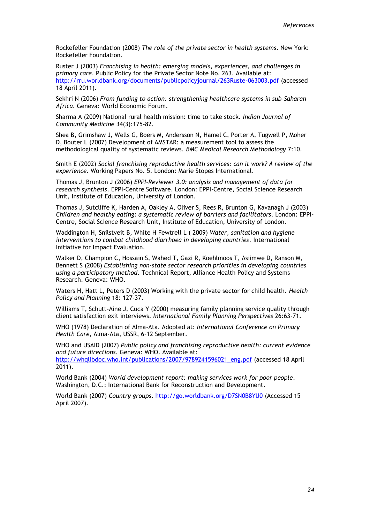Rockefeller Foundation (2008) *The role of the private sector in health systems*. New York: Rockefeller Foundation.

Ruster J (2003) *Franchising in health: emerging models, experiences, and challenges in primary care*. Public Policy for the Private Sector Note No. 263. Available at: <http://rru.worldbank.org/documents/publicpolicyjournal/263Ruste-063003.pdf> (accessed 18 April 2011).

Sekhri N (2006) *From funding to action: strengthening healthcare systems in sub-Saharan Africa*. Geneva: World Economic Forum.

Sharma A (2009) National rural health mission: time to take stock. *Indian Journal of Community Medicine* 34(3):175-82.

Shea B, Grimshaw J, Wells G, Boers M, Andersson N, Hamel C, Porter A, Tugwell P, Moher D, Bouter L (2007) Development of AMSTAR: a measurement tool to assess the methodological quality of systematic reviews. *BMC Medical Research Methodology* 7:10.

Smith E (2002) *Social franchising reproductive health services: can it work? A review of the experience*. Working Papers No. 5. London: Marie Stopes International.

Thomas J, Brunton J (2006) *EPPI-Reviewer 3.0: analysis and management of data for research synthesis*. EPPI-Centre Software. London: EPPI-Centre, Social Science Research Unit, Institute of Education, University of London.

Thomas J, Sutcliffe K, Harden A, Oakley A, Oliver S, Rees R, Brunton G, Kavanagh J (2003) *Children and healthy eating: a systematic review of barriers and facilitators*. London: EPPI-Centre, Social Science Research Unit, Institute of Education, University of London.

Waddington H, Snilstveit B, White H Fewtrell L ( 2009) *Water, sanitation and hygiene interventions to combat childhood diarrhoea in developing countries.* International Initiative for Impact Evaluation.

Walker D, Champion C, Hossain S, Wahed T, Gazi R, Koehlmoos T, Asiimwe D, Ranson M, Bennett S (2008) *Establishing non-state sector research priorities in developing countries using a participatory method*. Technical Report, Alliance Health Policy and Systems Research. Geneva: WHO.

Waters H, Hatt L, Peters D (2003) Working with the private sector for child health. *Health Policy and Planning* 18: 127-37.

Williams T, Schutt-Aine J, Cuca Y (2000) measuring family planning service quality through client satisfaction exit interviews. *International Family Planning Perspectives* 26:63-71.

WHO (1978) Declaration of Alma-Ata. Adopted at: *International Conference on Primary Health Care*, Alma-Ata, USSR, 6–12 September.

WHO and USAID (2007) *Public policy and franchising reproductive health: current evidence and future directions*. Geneva: WHO. Available at:

[http://whqlibdoc.who.int/publications/2007/9789241596021\\_eng.pdf](http://whqlibdoc.who.int/publications/2007/9789241596021_eng.pdf) (accessed 18 April 2011).

World Bank (2004) *World development report: making services work for poor people*. Washington, D.C.: International Bank for Reconstruction and Development.

World Bank (2007) *Country groups*.<http://go.worldbank.org/D7SN0B8YU0> (Accessed 15 April 2007).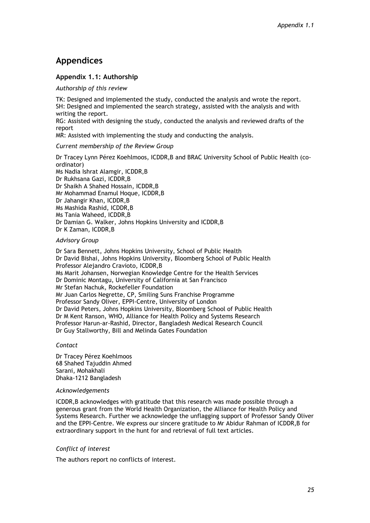## <span id="page-28-0"></span>**Appendices**

#### <span id="page-28-1"></span>**Appendix 1.1: Authorship**

*Authorship of this review*

TK: Designed and implemented the study, conducted the analysis and wrote the report. SH: Designed and implemented the search strategy, assisted with the analysis and with writing the report.

RG: Assisted with designing the study, conducted the analysis and reviewed drafts of the report

MR: Assisted with implementing the study and conducting the analysis.

#### *Current membership of the Review Group*

Dr Tracey Lynn Pérez Koehlmoos, ICDDR,B and BRAC University School of Public Health (coordinator) Ms Nadia Ishrat Alamgir, ICDDR,B Dr Rukhsana Gazi, ICDDR,B Dr Shaikh A Shahed Hossain, ICDDR,B Mr Mohammad Enamul Hoque, ICDDR,B Dr Jahangir Khan, ICDDR,B Ms Mashida Rashid, ICDDR,B Ms Tania Waheed, ICDDR,B Dr Damian G. Walker, Johns Hopkins University and ICDDR,B Dr K Zaman, ICDDR,B

#### *Advisory Group*

Dr Sara Bennett, Johns Hopkins University, School of Public Health Dr David Bishai, Johns Hopkins University, Bloomberg School of Public Health Professor Alejandro Cravioto, ICDDR,B Ms Marit Johansen, Norwegian Knowledge Centre for the Health Services Dr Dominic Montagu, University of California at San Francisco Mr Stefan Nachuk, Rockefeller Foundation Mr Juan Carlos Negrette, CP, Smiling Suns Franchise Programme Professor Sandy Oliver, EPPI-Centre, University of London Dr David Peters, Johns Hopkins University, Bloomberg School of Public Health Dr M Kent Ranson, WHO, Alliance for Health Policy and Systems Research Professor Harun-ar-Rashid, Director, Bangladesh Medical Research Council Dr Guy Stallworthy, Bill and Melinda Gates Foundation

#### *Contact*

Dr Tracey Pérez Koehlmoos 68 Shahed Tajuddin Ahmed Sarani, Mohakhali Dhaka-1212 Bangladesh

#### *Acknowledgements*

ICDDR,B acknowledges with gratitude that this research was made possible through a generous grant from the World Health Organization, the Alliance for Health Policy and Systems Research. Further we acknowledge the unflagging support of Professor Sandy Oliver and the EPPI-Centre. We express our sincere gratitude to Mr Abidur Rahman of ICDDR,B for extraordinary support in the hunt for and retrieval of full text articles.

#### *Conflict of interest*

The authors report no conflicts of interest.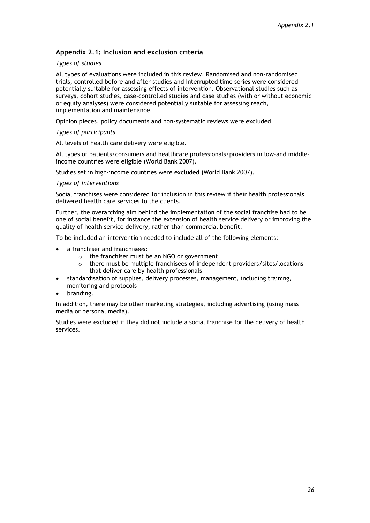#### <span id="page-29-0"></span>**Appendix 2.1: Inclusion and exclusion criteria**

#### *Types of studies*

All types of evaluations were included in this review. Randomised and non-randomised trials, controlled before and after studies and interrupted time series were considered potentially suitable for assessing effects of intervention. Observational studies such as surveys, cohort studies, case-controlled studies and case studies (with or without economic or equity analyses) were considered potentially suitable for assessing reach, implementation and maintenance.

Opinion pieces, policy documents and non-systematic reviews were excluded.

#### *Types of participants*

All levels of health care delivery were eligible.

All types of patients/consumers and healthcare professionals/providers in low-and middleincome countries were eligible (World Bank 2007).

Studies set in high-income countries were excluded (World Bank 2007).

#### *Types of interventions*

Social franchises were considered for inclusion in this review if their health professionals delivered health care services to the clients.

Further, the overarching aim behind the implementation of the social franchise had to be one of social benefit, for instance the extension of health service delivery or improving the quality of health service delivery, rather than commercial benefit.

To be included an intervention needed to include all of the following elements:

- a franchiser and franchisees:
	- o the franchiser must be an NGO or government
	- o there must be multiple franchisees of independent providers/sites/locations that deliver care by health professionals
- standardisation of supplies, delivery processes, management, including training, monitoring and protocols
- branding.

In addition, there may be other marketing strategies, including advertising (using mass media or personal media).

Studies were excluded if they did not include a social franchise for the delivery of health services.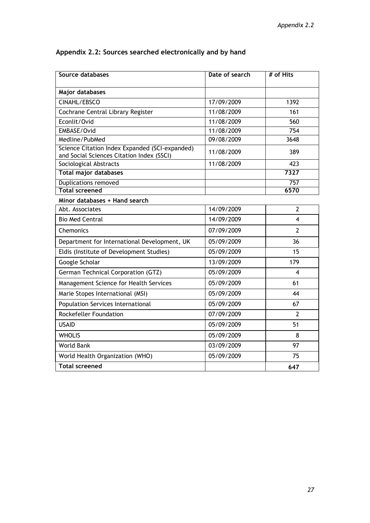| Source databases                                                                            | Date of search | $#$ of Hits    |
|---------------------------------------------------------------------------------------------|----------------|----------------|
| Major databases                                                                             |                |                |
| CINAHL/EBSCO                                                                                | 17/09/2009     | 1392           |
| Cochrane Central Library Register                                                           | 11/08/2009     | 161            |
| Econlit/Ovid                                                                                | 11/08/2009     | 560            |
| EMBASE/Ovid                                                                                 | 11/08/2009     | 754            |
| Medline/PubMed                                                                              | 09/08/2009     | 3648           |
| Science Citation Index Expanded (SCI-expanded)<br>and Social Sciences Citation Index (SSCI) | 11/08/2009     | 389            |
| Sociological Abstracts                                                                      | 11/08/2009     | 423            |
| <b>Total major databases</b>                                                                |                | 7327           |
| Duplications removed                                                                        |                | 757            |
| <b>Total screened</b>                                                                       |                | 6570           |
| Minor databases + Hand search                                                               |                |                |
| Abt. Associates                                                                             | 14/09/2009     | $\overline{2}$ |
| <b>Bio Med Central</b>                                                                      | 14/09/2009     | 4              |
| Chemonics                                                                                   | 07/09/2009     | $\overline{2}$ |
| Department for International Development, UK                                                | 05/09/2009     | 36             |
| Eldis (Institute of Development Studies)                                                    | 05/09/2009     | 15             |
| Google Scholar                                                                              | 13/09/2009     | 179            |
| German Technical Corporation (GTZ)                                                          | 05/09/2009     | 4              |
| Management Science for Health Services                                                      | 05/09/2009     | 61             |
| Marie Stopes International (MSI)                                                            | 05/09/2009     | 44             |
| Population Services International                                                           | 05/09/2009     | 67             |
| <b>Rockefeller Foundation</b>                                                               | 07/09/2009     | $\overline{2}$ |
| <b>USAID</b>                                                                                | 05/09/2009     | 51             |
| <b>WHOLIS</b>                                                                               | 05/09/2009     | 8              |
| <b>World Bank</b>                                                                           | 03/09/2009     | 97             |
| World Health Organization (WHO)                                                             | 05/09/2009     | 75             |
| <b>Total screened</b>                                                                       |                | 647            |

## <span id="page-30-0"></span>**Appendix 2.2: Sources searched electronically and by hand**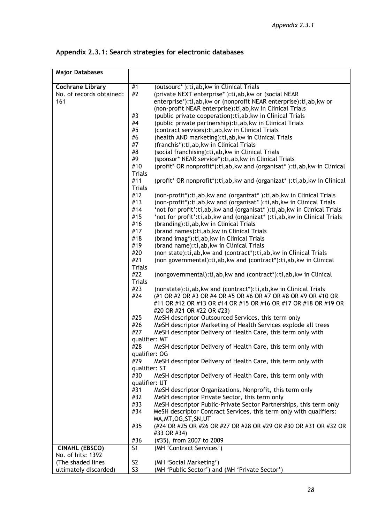| <b>Major Databases</b>                     |                       |                                                                                              |
|--------------------------------------------|-----------------------|----------------------------------------------------------------------------------------------|
| <b>Cochrane Library</b>                    | #1                    | (outsourc*): ti, ab, kw in Clinical Trials                                                   |
| No. of records obtained:                   | #2                    | (private NEXT enterprise*): ti, ab, kw or (social NEAR                                       |
| 161                                        |                       | enterprise*): ti, ab, kw or (nonprofit NEAR enterprise): ti, ab, kw or                       |
|                                            |                       | (non-profit NEAR enterprise): ti, ab, kw in Clinical Trials                                  |
|                                            | #3                    | (public private cooperation): ti, ab, kw in Clinical Trials                                  |
|                                            | #4                    | (public private partnership): ti, ab, kw in Clinical Trials                                  |
|                                            | #5                    | (contract services): ti, ab, kw in Clinical Trials                                           |
|                                            | #6                    | (health AND marketing): ti, ab, kw in Clinical Trials                                        |
|                                            | #7                    | (franchis*):ti,ab, kw in Clinical Trials                                                     |
|                                            | #8                    | (social franchising): ti, ab, kw in Clinical Trials                                          |
|                                            | #9                    | (sponsor* NEAR service*):ti,ab, kw in Clinical Trials                                        |
|                                            | #10                   | (profit* OR nonprofit*): ti, ab, kw and (organisat*): ti, ab, kw in Clinical                 |
|                                            | <b>Trials</b>         |                                                                                              |
|                                            | #11                   | (profit* OR nonprofit*): ti, ab, kw and (organizat*): ti, ab, kw in Clinical                 |
|                                            | <b>Trials</b>         |                                                                                              |
|                                            | #12                   | (non-profit*): ti, ab, kw and (organizat*): ti, ab, kw in Clinical Trials                    |
|                                            | #13                   | (non-profit*): ti, ab, kw and (organisat*): ti, ab, kw in Clinical Trials                    |
|                                            | #14                   | 'not for profit': ti, ab, kw and (organisat*): ti, ab, kw in Clinical Trials                 |
|                                            | #15                   | 'not for profit': ti, ab, kw and (organizat*): ti, ab, kw in Clinical Trials                 |
|                                            | #16                   | (branding): ti, ab, kw in Clinical Trials                                                    |
|                                            | #17                   | (brand names): ti, ab, kw in Clinical Trials                                                 |
|                                            | #18                   | (brand imag*):ti,ab, kw in Clinical Trials                                                   |
|                                            | #19                   | (brand name): ti, ab, kw in Clinical Trials                                                  |
|                                            | #20                   | (non state): ti, ab, kw and (contract*): ti, ab, kw in Clinical Trials                       |
|                                            | #21                   | (non governmental): ti, ab, kw and (contract*): ti, ab, kw in Clinical                       |
|                                            | <b>Trials</b>         |                                                                                              |
|                                            | #22                   | (nongovernmental): ti, ab, kw and (contract*): ti, ab, kw in Clinical                        |
|                                            | <b>Trials</b>         |                                                                                              |
|                                            | #23                   | (nonstate): ti, ab, kw and (contract*): ti, ab, kw in Clinical Trials                        |
|                                            | #24                   | (#1 OR #2 OR #3 OR #4 OR #5 OR #6 OR #7 OR #8 OR #9 OR #10 OR                                |
|                                            |                       | #11 OR #12 OR #13 OR #14 OR #15 OR #16 OR #17 OR #18 OR #19 OR<br>#20 OR #21 OR #22 OR #23)  |
|                                            | #25                   | MeSH descriptor Outsourced Services, this term only                                          |
|                                            | #26                   | MeSH descriptor Marketing of Health Services explode all trees                               |
|                                            | #27                   | MeSH descriptor Delivery of Health Care, this term only with                                 |
|                                            | qualifier: MT         |                                                                                              |
|                                            | #28                   | MeSH descriptor Delivery of Health Care, this term only with                                 |
|                                            | qualifier: OG         |                                                                                              |
|                                            | #29                   | MeSH descriptor Delivery of Health Care, this term only with                                 |
|                                            | qualifier: ST         |                                                                                              |
|                                            | #30                   | MeSH descriptor Delivery of Health Care, this term only with                                 |
|                                            | qualifier: UT         |                                                                                              |
|                                            | #31                   | MeSH descriptor Organizations, Nonprofit, this term only                                     |
|                                            | #32                   | MeSH descriptor Private Sector, this term only                                               |
|                                            | #33                   | MeSH descriptor Public-Private Sector Partnerships, this term only                           |
|                                            | #34                   | MeSH descriptor Contract Services, this term only with qualifiers:<br>MA, MT, OG, ST, SN, UT |
|                                            | #35                   | (#24 OR #25 OR #26 OR #27 OR #28 OR #29 OR #30 OR #31 OR #32 OR                              |
|                                            |                       | #33 OR #34)                                                                                  |
|                                            | #36<br>S <sub>1</sub> | (#35), from 2007 to 2009                                                                     |
| <b>CINAHL (EBSCO)</b><br>No. of hits: 1392 |                       | (MH 'Contract Services')                                                                     |
| (The shaded lines                          | S <sub>2</sub>        | (MH 'Social Marketing')                                                                      |
| ultimately discarded)                      | S <sub>3</sub>        | (MH 'Public Sector') and (MH 'Private Sector')                                               |

## <span id="page-31-0"></span>**Appendix 2.3.1: Search strategies for electronic databases**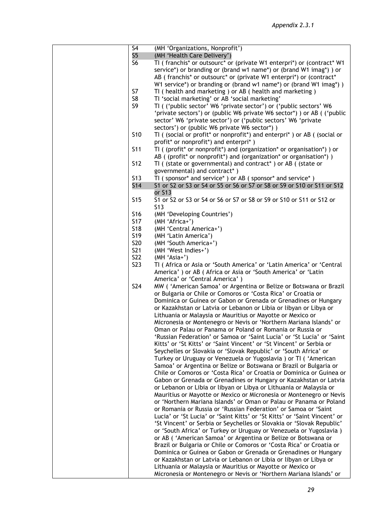| S <sub>4</sub>  | (MH 'Organizations, Nonprofit')                                           |
|-----------------|---------------------------------------------------------------------------|
| S <sub>5</sub>  | (MH 'Health Care Delivery')                                               |
| 56              | TI (franchis* or outsourc* or (private W1 enterpri*) or (contract* W1     |
|                 | service*) or branding or (brand w1 name*) or (brand W1 imag*) ) or        |
|                 | AB (franchis* or outsourc* or (private W1 enterpri*) or (contract*        |
|                 | W1 service*) or branding or (brand w1 name*) or (brand W1 imag*) )        |
|                 |                                                                           |
| S7              | TI (health and marketing) or AB (health and marketing)                    |
| S8              | TI 'social marketing' or AB 'social marketing'                            |
| S9              | TI (('public sector' W6 'private sector') or ('public sectors' W6         |
|                 | 'private sectors') or (public W6 private W6 sector*) ) or AB ( ('public   |
|                 | sector' W6 'private sector') or ('public sectors' W6 'private             |
|                 | sectors') or (public W6 private W6 sector*))                              |
| <b>S10</b>      | TI ((social or profit* or nonprofit*) and enterpri*) or AB ((social or    |
|                 | profit* or nonprofit*) and enterpri*)                                     |
| <b>S11</b>      | TI ((profit* or nonprofit*) and (organization* or organisation*)) or      |
|                 | AB ((profit* or nonprofit*) and (organization* or organisation*))         |
|                 |                                                                           |
| <b>S12</b>      | TI ((state or governmental) and contract*) or AB ((state or               |
|                 | governmental) and contract*)                                              |
| <b>S13</b>      | TI (sponsor* and service*) or AB (sponsor* and service*)                  |
| <b>S14</b>      | S1 or S2 or S3 or S4 or S5 or S6 or S7 or S8 or S9 or S10 or S11 or S12   |
|                 | or S13                                                                    |
| <b>S15</b>      | S1 or S2 or S3 or S4 or S6 or S7 or S8 or S9 or S10 or S11 or S12 or      |
|                 | <b>S13</b>                                                                |
| <b>S16</b>      | (MH 'Developing Countries')                                               |
| <b>S17</b>      | (MH 'Africa+')                                                            |
| <b>S18</b>      | (MH 'Central America+')                                                   |
| S <sub>19</sub> |                                                                           |
|                 | (MH 'Latin America')                                                      |
| <b>S20</b>      | (MH 'South America+')                                                     |
| <b>S21</b>      | (MH 'West Indies+')                                                       |
| <b>S22</b>      | $(MH 'Asia+)$                                                             |
| <b>S23</b>      | TI (Africa or Asia or 'South America' or 'Latin America' or 'Central      |
|                 | America') or AB (Africa or Asia or 'South America' or 'Latin              |
|                 | America' or 'Central America' )                                           |
| <b>S24</b>      | MW ('American Samoa' or Argentina or Belize or Botswana or Brazil         |
|                 | or Bulgaria or Chile or Comoros or 'Costa Rica' or Croatia or             |
|                 | Dominica or Guinea or Gabon or Grenada or Grenadines or Hungary           |
|                 | or Kazakhstan or Latvia or Lebanon or Libia or libyan or Libya or         |
|                 | Lithuania or Malaysia or Mauritius or Mayotte or Mexico or                |
|                 |                                                                           |
|                 | Micronesia or Montenegro or Nevis or 'Northern Mariana Islands' or        |
|                 | Oman or Palau or Panama or Poland or Romania or Russia or                 |
|                 | 'Russian Federation' or Samoa or 'Saint Lucia' or 'St Lucia' or 'Saint    |
|                 | Kitts' or 'St Kitts' or 'Saint Vincent' or 'St Vincent' or Serbia or      |
|                 | Seychelles or Slovakia or 'Slovak Republic' or 'South Africa' or          |
|                 | Turkey or Uruguay or Venezuela or Yugoslavia ) or TI ('American           |
|                 | Samoa' or Argentina or Belize or Botswana or Brazil or Bulgaria or        |
|                 | Chile or Comoros or 'Costa Rica' or Croatia or Dominica or Guinea or      |
|                 | Gabon or Grenada or Grenadines or Hungary or Kazakhstan or Latvia         |
|                 | or Lebanon or Libia or libyan or Libya or Lithuania or Malaysia or        |
|                 | Mauritius or Mayotte or Mexico or Micronesia or Montenegro or Nevis       |
|                 | or 'Northern Mariana Islands' or Oman or Palau or Panama or Poland        |
|                 |                                                                           |
|                 | or Romania or Russia or 'Russian Federation' or Samoa or 'Saint           |
|                 | Lucia' or 'St Lucia' or 'Saint Kitts' or 'St Kitts' or 'Saint Vincent' or |
|                 | 'St Vincent' or Serbia or Seychelles or Slovakia or 'Slovak Republic'     |
|                 | or 'South Africa' or Turkey or Uruguay or Venezuela or Yugoslavia)        |
|                 | or AB ('American Samoa' or Argentina or Belize or Botswana or             |
|                 | Brazil or Bulgaria or Chile or Comoros or 'Costa Rica' or Croatia or      |
|                 | Dominica or Guinea or Gabon or Grenada or Grenadines or Hungary           |
|                 | or Kazakhstan or Latvia or Lebanon or Libia or libyan or Libya or         |
|                 | Lithuania or Malaysia or Mauritius or Mayotte or Mexico or                |
|                 | Micronesia or Montenegro or Nevis or 'Northern Mariana Islands' or        |
|                 |                                                                           |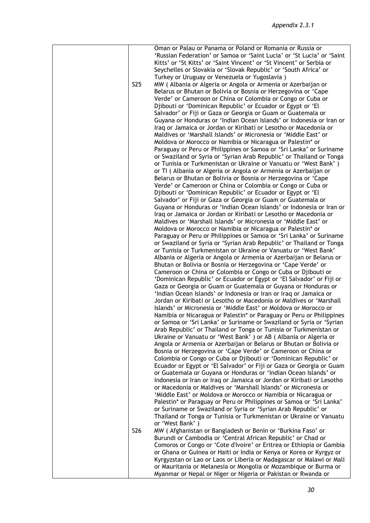|            | Oman or Palau or Panama or Poland or Romania or Russia or<br>'Russian Federation' or Samoa or 'Saint Lucia' or 'St Lucia' or 'Saint<br>Kitts' or 'St Kitts' or 'Saint Vincent' or 'St Vincent' or Serbia or  |
|------------|--------------------------------------------------------------------------------------------------------------------------------------------------------------------------------------------------------------|
|            | Seychelles or Slovakia or 'Slovak Republic' or 'South Africa' or                                                                                                                                             |
|            | Turkey or Uruguay or Venezuela or Yugoslavia)                                                                                                                                                                |
| <b>S25</b> | MW (Albania or Algeria or Angola or Armenia or Azerbaijan or<br>Belarus or Bhutan or Bolivia or Bosnia or Herzegovina or 'Cape                                                                               |
|            | Verde' or Cameroon or China or Colombia or Congo or Cuba or                                                                                                                                                  |
|            | Djibouti or 'Dominican Republic' or Ecuador or Egypt or 'El                                                                                                                                                  |
|            | Salvador' or Fiji or Gaza or Georgia or Guam or Guatemala or                                                                                                                                                 |
|            | Guyana or Honduras or 'Indian Ocean Islands' or Indonesia or Iran or<br>Iraq or Jamaica or Jordan or Kiribati or Lesotho or Macedonia or<br>Maldives or 'Marshall Islands' or Micronesia or 'Middle East' or |
|            | Moldova or Morocco or Namibia or Nicaragua or Palestin* or                                                                                                                                                   |
|            | Paraguay or Peru or Philippines or Samoa or 'Sri Lanka' or Suriname                                                                                                                                          |
|            | or Swaziland or Syria or 'Syrian Arab Republic' or Thailand or Tonga<br>or Tunisia or Turkmenistan or Ukraine or Vanuatu or 'West Bank')                                                                     |
|            | or TI (Albania or Algeria or Angola or Armenia or Azerbaijan or<br>Belarus or Bhutan or Bolivia or Bosnia or Herzegovina or 'Cape                                                                            |
|            | Verde' or Cameroon or China or Colombia or Congo or Cuba or                                                                                                                                                  |
|            | Djibouti or 'Dominican Republic' or Ecuador or Egypt or 'El                                                                                                                                                  |
|            | Salvador' or Fiji or Gaza or Georgia or Guam or Guatemala or                                                                                                                                                 |
|            | Guyana or Honduras or 'Indian Ocean Islands' or Indonesia or Iran or<br>Iraq or Jamaica or Jordan or Kiribati or Lesotho or Macedonia or                                                                     |
|            | Maldives or 'Marshall Islands' or Micronesia or 'Middle East' or                                                                                                                                             |
|            | Moldova or Morocco or Namibia or Nicaragua or Palestin* or                                                                                                                                                   |
|            | Paraguay or Peru or Philippines or Samoa or 'Sri Lanka' or Suriname                                                                                                                                          |
|            | or Swaziland or Syria or 'Syrian Arab Republic' or Thailand or Tonga                                                                                                                                         |
|            | or Tunisia or Turkmenistan or Ukraine or Vanuatu or 'West Bank'<br>Albania or Algeria or Angola or Armenia or Azerbaijan or Belarus or                                                                       |
|            | Bhutan or Bolivia or Bosnia or Herzegovina or 'Cape Verde' or                                                                                                                                                |
|            | Cameroon or China or Colombia or Congo or Cuba or Djibouti or                                                                                                                                                |
|            | 'Dominican Republic' or Ecuador or Egypt or 'El Salvador' or Fiji or                                                                                                                                         |
|            | Gaza or Georgia or Guam or Guatemala or Guyana or Honduras or                                                                                                                                                |
|            | 'Indian Ocean Islands' or Indonesia or Iran or Iraq or Jamaica or<br>Jordan or Kiribati or Lesotho or Macedonia or Maldives or 'Marshall                                                                     |
|            | Islands' or Micronesia or 'Middle East' or Moldova or Morocco or                                                                                                                                             |
|            | Namibia or Nicaragua or Palestin* or Paraguay or Peru or Philippines                                                                                                                                         |
|            | or Samoa or 'Sri Lanka' or Suriname or Swaziland or Syria or 'Syrian                                                                                                                                         |
|            | Arab Republic' or Thailand or Tonga or Tunisia or Turkmenistan or                                                                                                                                            |
|            | Ukraine or Vanuatu or 'West Bank' ) or AB ( Albania or Algeria or<br>Angola or Armenia or Azerbaijan or Belarus or Bhutan or Bolivia or                                                                      |
|            | Bosnia or Herzegovina or 'Cape Verde' or Cameroon or China or                                                                                                                                                |
|            | Colombia or Congo or Cuba or Djibouti or 'Dominican Republic' or                                                                                                                                             |
|            | Ecuador or Egypt or 'El Salvador' or Fiji or Gaza or Georgia or Guam                                                                                                                                         |
|            | or Guatemala or Guyana or Honduras or 'Indian Ocean Islands' or                                                                                                                                              |
|            | Indonesia or Iran or Iraq or Jamaica or Jordan or Kiribati or Lesotho<br>or Macedonia or Maldives or 'Marshall Islands' or Micronesia or                                                                     |
|            | 'Middle East' or Moldova or Morocco or Namibia or Nicaragua or                                                                                                                                               |
|            | Palestin* or Paraguay or Peru or Philippines or Samoa or 'Sri Lanka'                                                                                                                                         |
|            | or Suriname or Swaziland or Syria or 'Syrian Arab Republic' or                                                                                                                                               |
|            | Thailand or Tonga or Tunisia or Turkmenistan or Ukraine or Vanuatu                                                                                                                                           |
| <b>S26</b> | or 'West Bank')<br>MW (Afghanistan or Bangladesh or Benin or 'Burkina Faso' or                                                                                                                               |
|            | Burundi or Cambodia or 'Central African Republic' or Chad or                                                                                                                                                 |
|            | Comoros or Congo or 'Cote d'Ivoire' or Eritrea or Ethiopia or Gambia                                                                                                                                         |
|            | or Ghana or Guinea or Haiti or India or Kenya or Korea or Kyrgyz or                                                                                                                                          |
|            | Kyrgyzstan or Lao or Laos or Liberia or Madagascar or Malawi or Mali                                                                                                                                         |
|            | or Mauritania or Melanesia or Mongolia or Mozambique or Burma or<br>Myanmar or Nepal or Niger or Nigeria or Pakistan or Rwanda or                                                                            |
|            |                                                                                                                                                                                                              |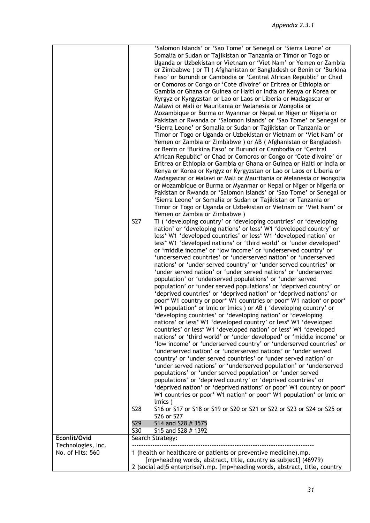|                    | 'Salomon Islands' or 'Sao Tome' or Senegal or 'Sierra Leone' or<br>Somalia or Sudan or Tajikistan or Tanzania or Timor or Togo or<br>Uganda or Uzbekistan or Vietnam or 'Viet Nam' or Yemen or Zambia<br>or Zimbabwe) or TI ( Afghanistan or Bangladesh or Benin or 'Burkina<br>Faso' or Burundi or Cambodia or 'Central African Republic' or Chad<br>or Comoros or Congo or 'Cote d'Ivoire' or Eritrea or Ethiopia or<br>Gambia or Ghana or Guinea or Haiti or India or Kenya or Korea or<br>Kyrgyz or Kyrgyzstan or Lao or Laos or Liberia or Madagascar or<br>Malawi or Mali or Mauritania or Melanesia or Mongolia or<br>Mozambique or Burma or Myanmar or Nepal or Niger or Nigeria or<br>Pakistan or Rwanda or 'Salomon Islands' or 'Sao Tome' or Senegal or<br>'Sierra Leone' or Somalia or Sudan or Tajikistan or Tanzania or<br>Timor or Togo or Uganda or Uzbekistan or Vietnam or 'Viet Nam' or                                                                                                                                                                                                                                                                                                                                                                                                                                                                                                                                                                                                                                                                                                                                                                                                                                                                                                                                         |
|--------------------|----------------------------------------------------------------------------------------------------------------------------------------------------------------------------------------------------------------------------------------------------------------------------------------------------------------------------------------------------------------------------------------------------------------------------------------------------------------------------------------------------------------------------------------------------------------------------------------------------------------------------------------------------------------------------------------------------------------------------------------------------------------------------------------------------------------------------------------------------------------------------------------------------------------------------------------------------------------------------------------------------------------------------------------------------------------------------------------------------------------------------------------------------------------------------------------------------------------------------------------------------------------------------------------------------------------------------------------------------------------------------------------------------------------------------------------------------------------------------------------------------------------------------------------------------------------------------------------------------------------------------------------------------------------------------------------------------------------------------------------------------------------------------------------------------------------------------------------------------|
|                    | Yemen or Zambia or Zimbabwe ) or AB (Afghanistan or Bangladesh<br>or Benin or 'Burkina Faso' or Burundi or Cambodia or 'Central<br>African Republic' or Chad or Comoros or Congo or 'Cote d'Ivoire' or<br>Eritrea or Ethiopia or Gambia or Ghana or Guinea or Haiti or India or<br>Kenya or Korea or Kyrgyz or Kyrgyzstan or Lao or Laos or Liberia or<br>Madagascar or Malawi or Mali or Mauritania or Melanesia or Mongolia<br>or Mozambique or Burma or Myanmar or Nepal or Niger or Nigeria or<br>Pakistan or Rwanda or 'Salomon Islands' or 'Sao Tome' or Senegal or<br>'Sierra Leone' or Somalia or Sudan or Tajikistan or Tanzania or<br>Timor or Togo or Uganda or Uzbekistan or Vietnam or 'Viet Nam' or<br>Yemen or Zambia or Zimbabwe)<br><b>S27</b><br>TI ('developing country' or 'developing countries' or 'developing                                                                                                                                                                                                                                                                                                                                                                                                                                                                                                                                                                                                                                                                                                                                                                                                                                                                                                                                                                                                               |
|                    | nation' or 'developing nations' or less* W1 'developed country' or<br>less* W1 'developed countries' or less* W1 'developed nation' or<br>less* W1 'developed nations' or 'third world' or 'under developed'<br>or 'middle income' or 'low income' or 'underserved country' or<br>'underserved countries' or 'underserved nation' or 'underserved<br>nations' or 'under served country' or 'under served countries' or<br>'under served nation' or 'under served nations' or 'underserved<br>population' or 'underserved populations' or 'under served<br>population' or 'under served populations' or 'deprived country' or<br>'deprived countries' or 'deprived nation' or 'deprived nations' or<br>poor* W1 country or poor* W1 countries or poor* W1 nation* or poor*<br>W1 population* or lmic or lmics) or AB ('developing country' or<br>'developing countries' or 'developing nation' or 'developing<br>nations' or less* W1 'developed country' or less* W1 'developed<br>countries' or less* W1 'developed nation' or less* W1 'developed<br>nations' or 'third world' or 'under developed' or 'middle income' or<br>'low income' or 'underserved country' or 'underserved countries' or<br>'underserved nation' or 'underserved nations' or 'under served<br>country' or 'under served countries' or 'under served nation' or<br>'under served nations' or 'underserved population' or 'underserved<br>populations' or 'under served population' or 'under served<br>populations' or 'deprived country' or 'deprived countries' or<br>'deprived nation' or 'deprived nations' or poor* W1 country or poor*<br>W1 countries or poor* W1 nation* or poor* W1 population* or lmic or<br>lmics)<br><b>S28</b><br>\$16 or \$17 or \$18 or \$19 or \$20 or \$21 or \$22 or \$23 or \$24 or \$25 or<br>S26 or S27<br>S29<br>S14 and S28 # 3575 |
| Econlit/Ovid       | <b>S30</b><br>S15 and S28 # 1392                                                                                                                                                                                                                                                                                                                                                                                                                                                                                                                                                                                                                                                                                                                                                                                                                                                                                                                                                                                                                                                                                                                                                                                                                                                                                                                                                                                                                                                                                                                                                                                                                                                                                                                                                                                                                   |
| Technologies, Inc. | Search Strategy:                                                                                                                                                                                                                                                                                                                                                                                                                                                                                                                                                                                                                                                                                                                                                                                                                                                                                                                                                                                                                                                                                                                                                                                                                                                                                                                                                                                                                                                                                                                                                                                                                                                                                                                                                                                                                                   |
| No. of Hits: 560   | 1 (health or healthcare or patients or preventive medicine).mp.<br>[mp=heading words, abstract, title, country as subject] (46979)<br>2 (social adj5 enterprise?).mp. [mp=heading words, abstract, title, country                                                                                                                                                                                                                                                                                                                                                                                                                                                                                                                                                                                                                                                                                                                                                                                                                                                                                                                                                                                                                                                                                                                                                                                                                                                                                                                                                                                                                                                                                                                                                                                                                                  |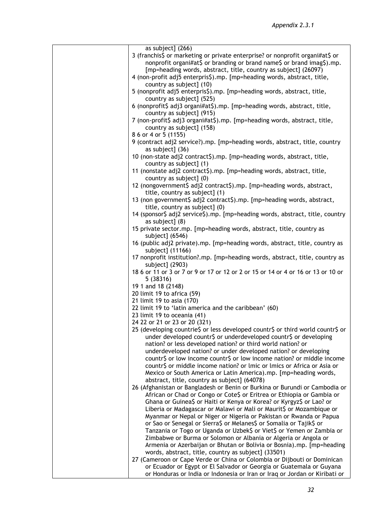| as subject] (266)                                                                                                                                  |
|----------------------------------------------------------------------------------------------------------------------------------------------------|
| 3 (franchis\$ or marketing or private enterprise? or nonprofit organi#at\$ or                                                                      |
| nonprofit organi#at\$ or branding or brand name\$ or brand imag\$).mp.                                                                             |
| [mp=heading words, abstract, title, country as subject] (26097)                                                                                    |
| 4 (non-profit adj5 enterpris\$).mp. [mp=heading words, abstract, title,                                                                            |
| country as subject] (10)                                                                                                                           |
| 5 (nonprofit adj5 enterpris\$).mp. [mp=heading words, abstract, title,                                                                             |
| country as subject] (525)                                                                                                                          |
| 6 (nonprofit\$ adj3 organi#at\$).mp. [mp=heading words, abstract, title,<br>country as subject] (915)                                              |
| 7 (non-profit\$ adj3 organi#at\$).mp. [mp=heading words, abstract, title,                                                                          |
| country as subject] (158)                                                                                                                          |
| 8 6 or 4 or 5 (1155)                                                                                                                               |
| 9 (contract adj2 service?).mp. [mp=heading words, abstract, title, country                                                                         |
| as subject] (36)                                                                                                                                   |
| 10 (non-state adj2 contract\$).mp. [mp=heading words, abstract, title,                                                                             |
| country as subject] (1)                                                                                                                            |
| 11 (nonstate adj2 contract\$).mp. [mp=heading words, abstract, title,                                                                              |
| country as subject] (0)                                                                                                                            |
| 12 (nongovernment\$ adj2 contract\$).mp. [mp=heading words, abstract,<br>title, country as subject] (1)                                            |
| 13 (non government\$ adj2 contract\$).mp. [mp=heading words, abstract,                                                                             |
| title, country as subject] (0)                                                                                                                     |
| 14 (sponsor\$ adj2 service\$).mp. [mp=heading words, abstract, title, country<br>as subject] (8)                                                   |
| 15 private sector.mp. [mp=heading words, abstract, title, country as                                                                               |
| subject] (6546)                                                                                                                                    |
| 16 (public adj2 private).mp. [mp=heading words, abstract, title, country as<br>subject] (11166)                                                    |
| 17 nonprofit institution?.mp. [mp=heading words, abstract, title, country as                                                                       |
| subject] (2903)                                                                                                                                    |
| 18 6 or 11 or 3 or 7 or 9 or 17 or 12 or 2 or 15 or 14 or 4 or 16 or 13 or 10 or<br>5(38316)                                                       |
| 19 1 and 18 (2148)                                                                                                                                 |
| 20 limit 19 to africa (59)                                                                                                                         |
| 21 limit 19 to asia (170)                                                                                                                          |
| 22 limit 19 to 'latin america and the caribbean' (60)                                                                                              |
| 23 limit 19 to oceania (41)                                                                                                                        |
| 24 22 or 21 or 23 or 20 (321)                                                                                                                      |
| 25 (developing countrie\$ or less developed countr\$ or third world countr\$ or                                                                    |
| under developed countr\$ or underdeveloped countr\$ or developing                                                                                  |
| nation? or less developed nation? or third world nation? or                                                                                        |
| underdeveloped nation? or under developed nation? or developing                                                                                    |
| countr\$ or low income countr\$ or low income nation? or middle income<br>countr\$ or middle income nation? or lmic or lmics or Africa or Asia or  |
| Mexico or South America or Latin America).mp. [mp=heading words,                                                                                   |
| abstract, title, country as subject] (64078)                                                                                                       |
| 26 (Afghanistan or Bangladesh or Benin or Burkina or Burundi or Cambodia or                                                                        |
| African or Chad or Congo or Cote\$ or Eritrea or Ethiopia or Gambia or                                                                             |
| Ghana or Guinea\$ or Haiti or Kenya or Korea? or Kyrgyz\$ or Lao? or                                                                               |
| Liberia or Madagascar or Malawi or Mali or Maurit\$ or Mozambique or                                                                               |
| Myanmar or Nepal or Niger or Nigeria or Pakistan or Rwanda or Papua                                                                                |
| or Sao or Senegal or Sierra\$ or Melanes\$ or Somalia or Tajik\$ or                                                                                |
| Tanzania or Togo or Uganda or Uzbek\$ or Viet\$ or Yemen or Zambia or                                                                              |
| Zimbabwe or Burma or Solomon or Albania or Algeria or Angola or                                                                                    |
| Armenia or Azerbaijan or Bhutan or Bolivia or Bosnia).mp. [mp=heading                                                                              |
| words, abstract, title, country as subject] (33501)                                                                                                |
| 27 (Cameroon or Cape Verde or China or Colombia or Dijbouti or Dominican                                                                           |
| or Ecuador or Egypt or El Salvador or Georgia or Guatemala or Guyana<br>or Honduras or India or Indonesia or Iran or Iraq or Jordan or Kiribati or |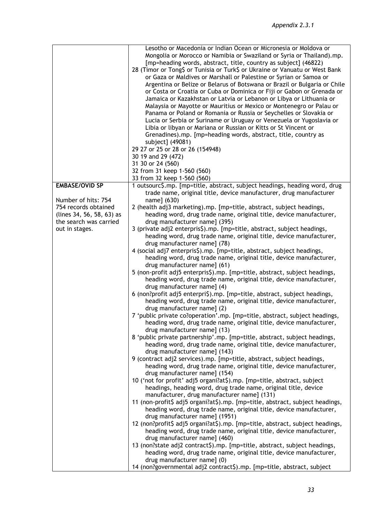|                                                     | Lesotho or Macedonia or Indian Ocean or Micronesia or Moldova or<br>Mongolia or Morocco or Namibia or Swaziland or Syria or Thailand).mp.<br>[mp=heading words, abstract, title, country as subject] (46822)<br>28 (Timor or Tong\$ or Tunisia or Turk\$ or Ukraine or Vanuatu or West Bank<br>or Gaza or Maldives or Marshall or Palestine or Syrian or Samoa or<br>Argentina or Belize or Belarus of Botswana or Brazil or Bulgaria or Chile<br>or Costa or Croatia or Cuba or Dominica or Fiji or Gabon or Grenada or<br>Jamaica or Kazakhstan or Latvia or Lebanon or Libya or Lithuania or<br>Malaysia or Mayotte or Mauritius or Mexico or Montenegro or Palau or<br>Panama or Poland or Romania or Russia or Seychelles or Slovakia or<br>Lucia or Serbia or Suriname or Uruguay or Venezuela or Yugoslavia or<br>Libia or libyan or Mariana or Russian or Kitts or St Vincent or<br>Grenadines).mp. [mp=heading words, abstract, title, country as<br>subject] (49081)<br>29 27 or 25 or 28 or 26 (154948)<br>30 19 and 29 (472) |
|-----------------------------------------------------|------------------------------------------------------------------------------------------------------------------------------------------------------------------------------------------------------------------------------------------------------------------------------------------------------------------------------------------------------------------------------------------------------------------------------------------------------------------------------------------------------------------------------------------------------------------------------------------------------------------------------------------------------------------------------------------------------------------------------------------------------------------------------------------------------------------------------------------------------------------------------------------------------------------------------------------------------------------------------------------------------------------------------------------|
|                                                     | 31 30 or 24 (560)<br>32 from 31 keep 1-560 (560)                                                                                                                                                                                                                                                                                                                                                                                                                                                                                                                                                                                                                                                                                                                                                                                                                                                                                                                                                                                         |
|                                                     | 33 from 32 keep 1-560 (560)                                                                                                                                                                                                                                                                                                                                                                                                                                                                                                                                                                                                                                                                                                                                                                                                                                                                                                                                                                                                              |
| <b>EMBASE/OVID SP</b>                               | 1 outsourc\$.mp. [mp=title, abstract, subject headings, heading word, drug                                                                                                                                                                                                                                                                                                                                                                                                                                                                                                                                                                                                                                                                                                                                                                                                                                                                                                                                                               |
|                                                     | trade name, original title, device manufacturer, drug manufacturer                                                                                                                                                                                                                                                                                                                                                                                                                                                                                                                                                                                                                                                                                                                                                                                                                                                                                                                                                                       |
| Number of hits: 754                                 | name] (630)                                                                                                                                                                                                                                                                                                                                                                                                                                                                                                                                                                                                                                                                                                                                                                                                                                                                                                                                                                                                                              |
| 754 records obtained                                | 2 (health adj3 marketing).mp. [mp=title, abstract, subject headings,                                                                                                                                                                                                                                                                                                                                                                                                                                                                                                                                                                                                                                                                                                                                                                                                                                                                                                                                                                     |
| (lines 34, 56, 58, 63) as<br>the search was carried | heading word, drug trade name, original title, device manufacturer,<br>drug manufacturer name] (395)                                                                                                                                                                                                                                                                                                                                                                                                                                                                                                                                                                                                                                                                                                                                                                                                                                                                                                                                     |
| out in stages.                                      | 3 (private adj2 enterpris\$).mp. [mp=title, abstract, subject headings,                                                                                                                                                                                                                                                                                                                                                                                                                                                                                                                                                                                                                                                                                                                                                                                                                                                                                                                                                                  |
|                                                     | heading word, drug trade name, original title, device manufacturer,                                                                                                                                                                                                                                                                                                                                                                                                                                                                                                                                                                                                                                                                                                                                                                                                                                                                                                                                                                      |
|                                                     | drug manufacturer name] (78)                                                                                                                                                                                                                                                                                                                                                                                                                                                                                                                                                                                                                                                                                                                                                                                                                                                                                                                                                                                                             |
|                                                     | 4 (social adj7 enterpris\$).mp. [mp=title, abstract, subject headings,                                                                                                                                                                                                                                                                                                                                                                                                                                                                                                                                                                                                                                                                                                                                                                                                                                                                                                                                                                   |
|                                                     | heading word, drug trade name, original title, device manufacturer,                                                                                                                                                                                                                                                                                                                                                                                                                                                                                                                                                                                                                                                                                                                                                                                                                                                                                                                                                                      |
|                                                     | drug manufacturer name] (61)<br>5 (non-profit adj5 enterpris\$).mp. [mp=title, abstract, subject headings,                                                                                                                                                                                                                                                                                                                                                                                                                                                                                                                                                                                                                                                                                                                                                                                                                                                                                                                               |
|                                                     | heading word, drug trade name, original title, device manufacturer,                                                                                                                                                                                                                                                                                                                                                                                                                                                                                                                                                                                                                                                                                                                                                                                                                                                                                                                                                                      |
|                                                     | drug manufacturer name] (4)                                                                                                                                                                                                                                                                                                                                                                                                                                                                                                                                                                                                                                                                                                                                                                                                                                                                                                                                                                                                              |
|                                                     | 6 (non?profit adj5 enterpri\$).mp. [mp=title, abstract, subject headings,                                                                                                                                                                                                                                                                                                                                                                                                                                                                                                                                                                                                                                                                                                                                                                                                                                                                                                                                                                |
|                                                     | heading word, drug trade name, original title, device manufacturer,                                                                                                                                                                                                                                                                                                                                                                                                                                                                                                                                                                                                                                                                                                                                                                                                                                                                                                                                                                      |
|                                                     | drug manufacturer name] (2)                                                                                                                                                                                                                                                                                                                                                                                                                                                                                                                                                                                                                                                                                                                                                                                                                                                                                                                                                                                                              |
|                                                     | 7 'public private co?operation'.mp. [mp=title, abstract, subject headings,<br>heading word, drug trade name, original title, device manufacturer,                                                                                                                                                                                                                                                                                                                                                                                                                                                                                                                                                                                                                                                                                                                                                                                                                                                                                        |
|                                                     | drug manufacturer name] (13)                                                                                                                                                                                                                                                                                                                                                                                                                                                                                                                                                                                                                                                                                                                                                                                                                                                                                                                                                                                                             |
|                                                     | 8 'public private partnership'.mp. [mp=title, abstract, subject headings,                                                                                                                                                                                                                                                                                                                                                                                                                                                                                                                                                                                                                                                                                                                                                                                                                                                                                                                                                                |
|                                                     | heading word, drug trade name, original title, device manufacturer,                                                                                                                                                                                                                                                                                                                                                                                                                                                                                                                                                                                                                                                                                                                                                                                                                                                                                                                                                                      |
|                                                     | drug manufacturer name] (143)                                                                                                                                                                                                                                                                                                                                                                                                                                                                                                                                                                                                                                                                                                                                                                                                                                                                                                                                                                                                            |
|                                                     | 9 (contract adj2 services).mp. [mp=title, abstract, subject headings,                                                                                                                                                                                                                                                                                                                                                                                                                                                                                                                                                                                                                                                                                                                                                                                                                                                                                                                                                                    |
|                                                     | heading word, drug trade name, original title, device manufacturer,                                                                                                                                                                                                                                                                                                                                                                                                                                                                                                                                                                                                                                                                                                                                                                                                                                                                                                                                                                      |
|                                                     | drug manufacturer name] (154)<br>10 ('not for profit' adj5 organi?at\$).mp. [mp=title, abstract, subject                                                                                                                                                                                                                                                                                                                                                                                                                                                                                                                                                                                                                                                                                                                                                                                                                                                                                                                                 |
|                                                     | headings, heading word, drug trade name, original title, device                                                                                                                                                                                                                                                                                                                                                                                                                                                                                                                                                                                                                                                                                                                                                                                                                                                                                                                                                                          |
|                                                     | manufacturer, drug manufacturer name] (131)                                                                                                                                                                                                                                                                                                                                                                                                                                                                                                                                                                                                                                                                                                                                                                                                                                                                                                                                                                                              |
|                                                     | 11 (non-profit\$ adj5 organi?at\$).mp. [mp=title, abstract, subject headings,                                                                                                                                                                                                                                                                                                                                                                                                                                                                                                                                                                                                                                                                                                                                                                                                                                                                                                                                                            |
|                                                     | heading word, drug trade name, original title, device manufacturer,                                                                                                                                                                                                                                                                                                                                                                                                                                                                                                                                                                                                                                                                                                                                                                                                                                                                                                                                                                      |
|                                                     | drug manufacturer name] (1951)                                                                                                                                                                                                                                                                                                                                                                                                                                                                                                                                                                                                                                                                                                                                                                                                                                                                                                                                                                                                           |
|                                                     | 12 (non?profit\$ adj5 organi?at\$).mp. [mp=title, abstract, subject headings,<br>heading word, drug trade name, original title, device manufacturer,                                                                                                                                                                                                                                                                                                                                                                                                                                                                                                                                                                                                                                                                                                                                                                                                                                                                                     |
|                                                     | drug manufacturer name] (460)                                                                                                                                                                                                                                                                                                                                                                                                                                                                                                                                                                                                                                                                                                                                                                                                                                                                                                                                                                                                            |
|                                                     | 13 (non?state adj2 contract\$).mp. [mp=title, abstract, subject headings,                                                                                                                                                                                                                                                                                                                                                                                                                                                                                                                                                                                                                                                                                                                                                                                                                                                                                                                                                                |
|                                                     | heading word, drug trade name, original title, device manufacturer,                                                                                                                                                                                                                                                                                                                                                                                                                                                                                                                                                                                                                                                                                                                                                                                                                                                                                                                                                                      |
|                                                     | drug manufacturer name] (0)                                                                                                                                                                                                                                                                                                                                                                                                                                                                                                                                                                                                                                                                                                                                                                                                                                                                                                                                                                                                              |
|                                                     | 14 (non?governmental adj2 contract\$).mp. [mp=title, abstract, subject                                                                                                                                                                                                                                                                                                                                                                                                                                                                                                                                                                                                                                                                                                                                                                                                                                                                                                                                                                   |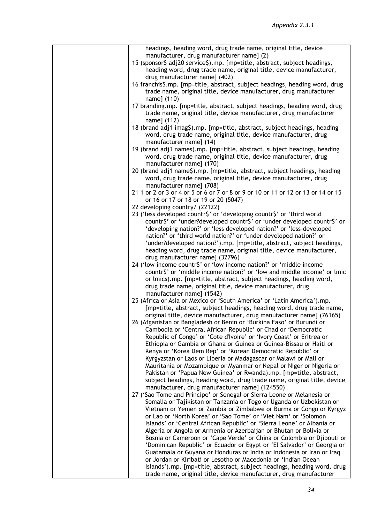| headings, heading word, drug trade name, original title, device                                        |
|--------------------------------------------------------------------------------------------------------|
| manufacturer, drug manufacturer name] (2)                                                              |
| 15 (sponsor\$ adj20 service\$).mp. [mp=title, abstract, subject headings,                              |
| heading word, drug trade name, original title, device manufacturer,                                    |
| drug manufacturer name] (402)                                                                          |
| 16 franchis\$.mp. [mp=title, abstract, subject headings, heading word, drug                            |
| trade name, original title, device manufacturer, drug manufacturer                                     |
| name] (110)                                                                                            |
| 17 branding.mp. [mp=title, abstract, subject headings, heading word, drug                              |
| trade name, original title, device manufacturer, drug manufacturer                                     |
| name] (112)                                                                                            |
| 18 (brand adj1 imag\$).mp. [mp=title, abstract, subject headings, heading                              |
| word, drug trade name, original title, device manufacturer, drug                                       |
| manufacturer name] (14)                                                                                |
| 19 (brand adj1 names).mp. [mp=title, abstract, subject headings, heading                               |
| word, drug trade name, original title, device manufacturer, drug                                       |
| manufacturer name] (170)                                                                               |
| 20 (brand adj1 name\$).mp. [mp=title, abstract, subject headings, heading                              |
| word, drug trade name, original title, device manufacturer, drug                                       |
| manufacturer name] (708)                                                                               |
| 21 1 or 2 or 3 or 4 or 5 or 6 or 7 or 8 or 9 or 10 or 11 or 12 or 13 or 14 or 15                       |
| or 16 or 17 or 18 or 19 or 20 (5047)                                                                   |
| 22 developing country/ (22122)                                                                         |
| 23 ('less developed countr\$' or 'developing countr\$' or 'third world                                 |
| countr\$' or 'under?developed countr\$' or 'under developed countr\$' or                               |
| 'developing nation?' or 'less developed nation?' or 'less-developed                                    |
| nation?' or 'third world nation?' or 'under developed nation?' or                                      |
| 'under?developed nation?').mp. [mp=title, abstract, subject headings,                                  |
| heading word, drug trade name, original title, device manufacturer,<br>drug manufacturer name] (32796) |
| 24 ('low income countr\$' or 'low income nation?' or 'middle income                                    |
| countr\$' or 'middle income nation?' or 'low and middle income' or lmic                                |
| or lmics).mp. [mp=title, abstract, subject headings, heading word,                                     |
| drug trade name, original title, device manufacturer, drug                                             |
| manufacturer name] (1542)                                                                              |
| 25 (Africa or Asia or Mexico or 'South America' or 'Latin America').mp.                                |
| [mp=title, abstract, subject headings, heading word, drug trade name,                                  |
| original title, device manufacturer, drug manufacturer name] (76165)                                   |
| 26 (Afganistan or Bangladesh or Benin or 'Burkina Faso' or Burundi or                                  |
| Cambodia or 'Central African Republic' or Chad or 'Democratic                                          |
| Republic of Congo' or 'Cote d'Ivoire' or 'Ivory Coast' or Eritrea or                                   |
| Ethiopia or Gambia or Ghana or Guinea or Guinea-Bissau or Haiti or                                     |
| Kenya or 'Korea Dem Rep' or 'Korean Democratic Republic' or                                            |
| Kyrgyzstan or Laos or Liberia or Madagascar or Malawi or Mali or                                       |
| Mauritania or Mozambique or Myanmar or Nepal or Niger or Nigeria or                                    |
| Pakistan or 'Papua New Guinea' or Rwanda).mp. [mp=title, abstract,                                     |
| subject headings, heading word, drug trade name, original title, device                                |
| manufacturer, drug manufacturer name] (124550)                                                         |
| 27 ('Sao Tome and Principe' or Senegal or Sierra Leone or Melanesia or                                 |
| Somalia or Tajikistan or Tanzania or Togo or Uganda or Uzbekistan or                                   |
| Vietnam or Yemen or Zambia or Zimbabwe or Burma or Congo or Kyrgyz                                     |
| or Lao or 'North Korea' or 'Sao Tome' or 'Viet Nam' or 'Solomon                                        |
| Islands' or 'Central African Republic' or 'Sierra Leone' or Albania or                                 |
| Algeria or Angola or Armenia or Azerbaijan or Bhutan or Bolivia or                                     |
| Bosnia or Cameroon or 'Cape Verde' or China or Colombia or Djibouti or                                 |
| 'Dominican Republic' or Ecuador or Egypt or 'El Salvador' or Georgia or                                |
| Guatamala or Guyana or Honduras or India or Indonesia or Iran or Iraq                                  |
| or Jordan or Kiribati or Lesotho or Macedonia or 'Indian Ocean                                         |
| Islands').mp. [mp=title, abstract, subject headings, heading word, drug                                |
| trade name, original title, device manufacturer, drug manufacturer                                     |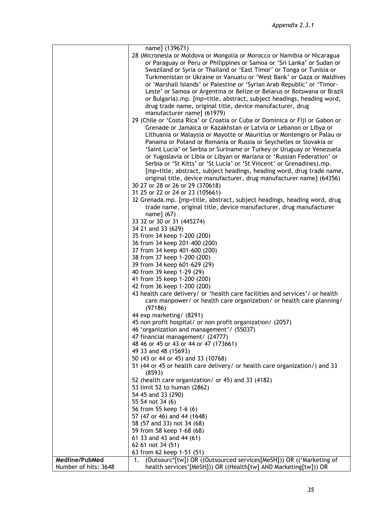|                      | name] (139671)                                                               |
|----------------------|------------------------------------------------------------------------------|
|                      | 28 (Micronesia or Moldova or Mongolia or Morocco or Namibia or Nicaragua     |
|                      | or Paraguay or Peru or Philippines or Samoa or 'Sri Lanka' or Sudan or       |
|                      | Swaziland or Syria or Thailand or 'East Timor' or Tonga or Tunisia or        |
|                      | Turkmenistan or Ukraine or Vanuatu or 'West Bank' or Gaza or Maldives        |
|                      | or 'Marshall Islands' or Palestine or 'Syrian Arab Republic' or 'Timor-      |
|                      | Leste' or Samoa or Argentina or Belize or Belarus or Botswana or Brazil      |
|                      | or Bulgaria).mp. [mp=title, abstract, subject headings, heading word,        |
|                      | drug trade name, original title, device manufacturer, drug                   |
|                      | manufacturer name] (61979)                                                   |
|                      | 29 (Chile or 'Costa Rica' or Croatia or Cuba or Dominica or Fiji or Gabon or |
|                      | Grenade or Jamaica or Kazakhstan or Latvia or Lebanon or Libya or            |
|                      | Lithuania or Malaysia or Mayotte or Mauritius or Montengro or Palau or       |
|                      |                                                                              |
|                      | Panama or Poland or Romania or Russia or Seychelles or Slovakia or           |
|                      | 'Saint Lucia' or Serbia or Suriname or Turkey or Uruguay or Venezuela        |
|                      | or Yugoslavia or Libia or Libyan or Mariana or 'Russian Federation' or       |
|                      | Serbia or 'St Kitts' or 'St Lucia' or 'St Vincent' or Grenadines).mp.        |
|                      | [mp=title, abstract, subject headings, heading word, drug trade name,        |
|                      | original title, device manufacturer, drug manufacturer name] (64356)         |
|                      | 30 27 or 28 or 26 or 29 (370618)                                             |
|                      | 31 25 or 22 or 24 or 23 (105661)                                             |
|                      | 32 Grenada.mp. [mp=title, abstract, subject headings, heading word, drug     |
|                      | trade name, original title, device manufacturer, drug manufacturer           |
|                      | name] $(67)$                                                                 |
|                      | 33 32 or 30 or 31 (445274)                                                   |
|                      | 34 21 and 33 (629)                                                           |
|                      | 35 from 34 keep 1-200 (200)                                                  |
|                      | 36 from 34 keep 201-400 (200)                                                |
|                      | 37 from 34 keep 401-600 (200)                                                |
|                      | 38 from 37 keep 1-200 (200)                                                  |
|                      | 39 from 34 keep 601-629 (29)                                                 |
|                      | 40 from 39 keep 1-29 (29)                                                    |
|                      | 41 from 35 keep 1-200 (200)                                                  |
|                      | 42 from 36 keep 1-200 (200)                                                  |
|                      | 43 health care delivery/ or 'health care facilities and services'/ or health |
|                      | care manpower/ or health care organization/ or health care planning/         |
|                      | (97186)                                                                      |
|                      | 44 exp marketing/ (8291)                                                     |
|                      | 45 non profit hospital/ or non profit organization/ (2057)                   |
|                      | 46 'organization and management' / (55037)                                   |
|                      | 47 financial management/ (24777)                                             |
|                      | 48 46 or 45 or 43 or 44 or 47 (173661)                                       |
|                      | 49 33 and 48 (15693)                                                         |
|                      | 50 (43 or 44 or 45) and 33 (10768)                                           |
|                      | 51 (44 or 45 or health care delivery/ or health care organization/) and 33   |
|                      | (8593)                                                                       |
|                      | 52 (health care organization/ or 45) and 33 (4182)                           |
|                      | 53 limit 52 to human (2862)                                                  |
|                      | 54 45 and 33 (290)                                                           |
|                      | 55 54 not 34 (6)                                                             |
|                      | 56 from 55 keep 1-6 (6)                                                      |
|                      | 57 (47 or 46) and 44 (1648)                                                  |
|                      | 58 (57 and 33) not 34 (68)                                                   |
|                      | 59 from 58 keep 1-68 (68)                                                    |
|                      | 61 33 and 43 and 44 (61)                                                     |
|                      | 62 61 not 34 (51)                                                            |
|                      | 63 from 62 keep 1-51 (51)                                                    |
| Medline/PubMed       | (Outsourc*[tw]) OR ((Outsourced services[MeSH])) OR (('Marketing of<br>1.    |
| Number of hits: 3648 | health services'[MeSH])) OR ((Health[tw] AND Marketing[tw])) OR              |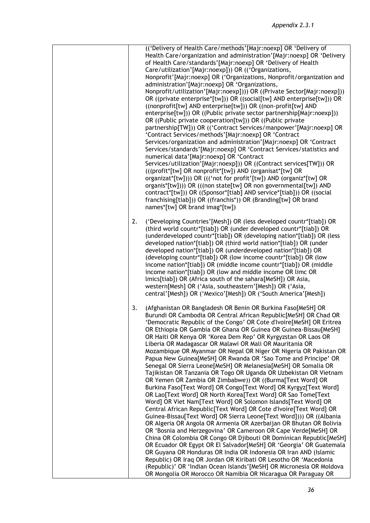| (('Delivery of Health Care/methods'[Majr:noexp] OR 'Delivery of<br>Health Care/organization and administration' [Majr:noexp] OR 'Delivery<br>of Health Care/standards' [Majr:noexp] OR 'Delivery of Health<br>Care/utilization'[Majr:noexp])) OR (('Organizations,<br>Nonprofit' [Majr:noexp] OR ('Organizations, Nonprofit/organization and<br>administration'[Majr:noexp] OR 'Organizations,<br>Nonprofit/utilization'[Majr:noexp]))) OR ((Private Sector[Majr:noexp]))<br>OR ((private enterprise*[tw])) OR ((social[tw] AND enterprise[tw])) OR<br>((nonprofit[tw] AND enterprise[tw])) OR ((non-profit[tw] AND<br>enterprise[tw])) OR ((Public private sector partnership[Majr:noexp]))<br>OR ((Public private cooperation[tw])) OR ((Public private<br>partnership[TW])) OR (('Contract Services/manpower'[Majr:noexp] OR<br>'Contract Services/methods'[Majr:noexp] OR 'Contract<br>Services/organization and administration' [Majr:noexp] OR 'Contract<br>Services/standards'[Majr:noexp] OR 'Contract Services/statistics and<br>numerical data'[Majr:noexp] OR 'Contract<br>Services/utilization'[Majr:noexp])) OR ((Contract services[TW])) OR<br>(((profit*[tw] OR nonprofit*[tw]) AND (organisat*[tw] OR<br>organizat*[tw]))) OR ((('not for profit'[tw]) AND (organiz*[tw] OR<br>organis*[tw]))) OR (((non state[tw] OR non governmental[tw]) AND<br>contract*[tw])) OR ((Sponsor*[tiab] AND service*[tiab])) OR ((social<br>franchising[tiab])) OR ((franchis*)) OR (Branding[tw] OR brand<br>names*[tw] OR brand imag*[tw])                                                                                                                                            |
|----------------------------------------------------------------------------------------------------------------------------------------------------------------------------------------------------------------------------------------------------------------------------------------------------------------------------------------------------------------------------------------------------------------------------------------------------------------------------------------------------------------------------------------------------------------------------------------------------------------------------------------------------------------------------------------------------------------------------------------------------------------------------------------------------------------------------------------------------------------------------------------------------------------------------------------------------------------------------------------------------------------------------------------------------------------------------------------------------------------------------------------------------------------------------------------------------------------------------------------------------------------------------------------------------------------------------------------------------------------------------------------------------------------------------------------------------------------------------------------------------------------------------------------------------------------------------------------------------------------------------------------------------------------------------------------|
| 2.<br>('Developing Countries'[Mesh]) OR (less developed countr*[tiab]) OR<br>(third world countr*[tiab]) OR (under developed countr*[tiab]) OR<br>(underdeveloped countr*[tiab]) OR (developing nation*[tiab]) OR (less<br>developed nation*[tiab]) OR (third world nation*[tiab]) OR (under<br>developed nation*[tiab]) OR (underdeveloped nation*[tiab]) OR<br>(developing countr*[tiab]) OR (low income countr*[tiab]) OR (low<br>income nation*[tiab]) OR (middle income countr*[tiab]) OR (middle<br>income nation*[tiab]) OR (low and middle income OR limc OR<br>Imics[tiab]) OR (Africa south of the sahara[MeSH]) OR Asia,<br>western[Mesh] OR ('Asia, southeastern'[Mesh]) OR ('Asia,<br>central'[Mesh]) OR ('Mexico'[Mesh]) OR ('South America'[Mesh])                                                                                                                                                                                                                                                                                                                                                                                                                                                                                                                                                                                                                                                                                                                                                                                                                                                                                                                      |
| 3.<br>(Afghanistan OR Bangladesh OR Benin OR Burkina Faso[MeSH] OR<br>Burundi OR Cambodia OR Central African Republic [MeSH] OR Chad OR<br>'Democratic Republic of the Congo' OR Cote d'Ivoire[MeSH] OR Eritrea<br>OR Ethiopia OR Gambia OR Ghana OR Guinea OR Guinea-Bissau[MeSH]<br>OR Haiti OR Kenya OR 'Korea Dem Rep' OR Kyrgyzstan OR Laos OR<br>Liberia OR Madagascar OR Malawi OR Mali OR Mauritania OR<br>Mozambique OR Myanmar OR Nepal OR Niger OR Nigeria OR Pakistan OR<br>Papua New Guinea[MeSH] OR Rwanda OR 'Sao Tome and Principe' OR<br>Senegal OR Sierra Leone [MeSH] OR Melanesia [MeSH] OR Somalia OR<br>Tajikistan OR Tanzania OR Togo OR Uganda OR Uzbekistan OR Vietnam<br>OR Yemen OR Zambia OR Zimbabwe)) OR ((Burma[Text Word] OR<br>Burkina Faso[Text Word] OR Congo[Text Word] OR Kyrgyz[Text Word]<br>OR Lao[Text Word] OR North Korea[Text Word] OR Sao Tome[Text<br>Word] OR Viet Nam[Text Word] OR Solomon Islands[Text Word] OR<br>Central African Republic [Text Word] OR Cote d'Ivoire [Text Word] OR<br>Guinea-Bissau[Text Word] OR Sierra Leone[Text Word]))) OR ((Albania<br>OR Algeria OR Angola OR Armenia OR Azerbaijan OR Bhutan OR Bolivia<br>OR 'Bosnia and Herzegovina' OR Cameroon OR Cape Verde[MeSH] OR<br>China OR Colombia OR Congo OR Djibouti OR Dominican Republic[MeSH]<br>OR Ecuador OR Egypt OR El Salvador[MeSH] OR 'Georgia' OR Guatemala<br>OR Guyana OR Honduras OR India OR Indonesia OR Iran AND (Islamic<br>Republic) OR Iraq OR Jordan OR Kiribati OR Lesotho OR 'Macedonia<br>(Republic)' OR 'Indian Ocean Islands' [MeSH] OR Micronesia OR Moldova<br>OR Mongolia OR Morocco OR Namibia OR Nicaragua OR Paraguay OR |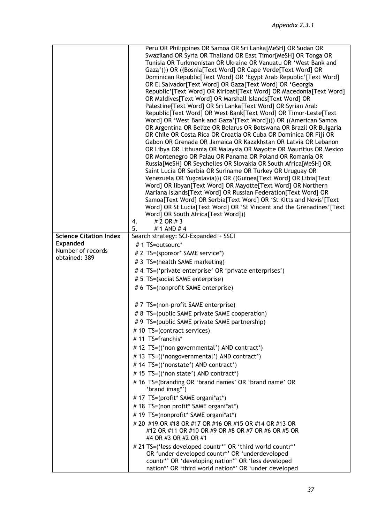|                               | Peru OR Philippines OR Samoa OR Sri Lanka[MeSH] OR Sudan OR<br>Swaziland OR Syria OR Thailand OR East Timor[MeSH] OR Tonga OR       |
|-------------------------------|-------------------------------------------------------------------------------------------------------------------------------------|
|                               | Tunisia OR Turkmenistan OR Ukraine OR Vanuatu OR 'West Bank and                                                                     |
|                               | Gaza'))) OR ((Bosnia[Text Word] OR Cape Verde[Text Word] OR                                                                         |
|                               | Dominican Republic [Text Word] OR 'Egypt Arab Republic' [Text Word]                                                                 |
|                               | OR El Salvador[Text Word] OR Gaza[Text Word] OR 'Georgia                                                                            |
|                               | Republic' [Text Word] OR Kiribati [Text Word] OR Macedonia [Text Word]                                                              |
|                               | OR Maldives[Text Word] OR Marshall Islands[Text Word] OR                                                                            |
|                               | Palestine[Text Word] OR Sri Lanka[Text Word] OR Syrian Arab                                                                         |
|                               | Republic[Text Word] OR West Bank[Text Word] OR Timor-Leste[Text<br>Word] OR 'West Bank and Gaza' [Text Word]))) OR ((American Samoa |
|                               | OR Argentina OR Belize OR Belarus OR Botswana OR Brazil OR Bulgaria                                                                 |
|                               | OR Chile OR Costa Rica OR Croatia OR Cuba OR Dominica OR Fiji OR                                                                    |
|                               | Gabon OR Grenada OR Jamaica OR Kazakhstan OR Latvia OR Lebanon                                                                      |
|                               | OR Libya OR Lithuania OR Malaysia OR Mayotte OR Mauritius OR Mexico                                                                 |
|                               | OR Montenegro OR Palau OR Panama OR Poland OR Romania OR                                                                            |
|                               | Russia[MeSH] OR Seychelles OR Slovakia OR South Africa[MeSH] OR<br>Saint Lucia OR Serbia OR Suriname OR Turkey OR Uruguay OR        |
|                               | Venezuela OR Yugoslavia))) OR ((Guinea[Text Word] OR Libia[Text                                                                     |
|                               | Word] OR libyan[Text Word] OR Mayotte[Text Word] OR Northern                                                                        |
|                               | Mariana Islands[Text Word] OR Russian Federation[Text Word] OR                                                                      |
|                               | Samoa[Text Word] OR Serbia[Text Word] OR 'St Kitts and Nevis'[Text                                                                  |
|                               | Word] OR St Lucia[Text Word] OR 'St Vincent and the Grenadines' [Text                                                               |
|                               | Word] OR South Africa[Text Word]))<br># 2 OR # 3<br>4.                                                                              |
|                               | 5.<br># 1 AND # 4                                                                                                                   |
| <b>Science Citation Index</b> | Search strategy: SCI-Expanded + SSCI                                                                                                |
| <b>Expanded</b>               | #1 TS=outsourc*                                                                                                                     |
| Number of records             | # 2 TS=(sponsor* SAME service*)                                                                                                     |
| obtained: 389                 | # 3 TS=(health SAME marketing)                                                                                                      |
|                               | # 4 TS=('private enterprise' OR 'private enterprises')                                                                              |
|                               | # 5 TS=(social SAME enterprise)                                                                                                     |
|                               | # 6 TS=(nonprofit SAME enterprise)                                                                                                  |
|                               | # 7 TS=(non-profit SAME enterprise)                                                                                                 |
|                               | # 8 TS=(public SAME private SAME cooperation)                                                                                       |
|                               | # 9 TS=(public SAME private SAME partnership)                                                                                       |
|                               | # 10 TS=(contract services)                                                                                                         |
|                               | #11 TS=franchis*                                                                                                                    |
|                               | # 12 TS=(('non governmental') AND contract*)                                                                                        |
|                               | #13 TS=(('nongovernmental') AND contract*)                                                                                          |
|                               | # 14 TS=(('nonstate') AND contract*)                                                                                                |
|                               | # 15 TS=(('non state') AND contract*)                                                                                               |
|                               | #16 TS=(branding OR 'brand names' OR 'brand name' OR<br>'brand imag*')                                                              |
|                               | # 17 TS=(profit* SAME organi*at*)                                                                                                   |
|                               | # 18 TS=(non profit* SAME organi*at*)                                                                                               |
|                               | # 19 TS=(nonprofit* SAME organi*at*)                                                                                                |
|                               | # 20 #19 OR #18 OR #17 OR #16 OR #15 OR #14 OR #13 OR<br>#12 OR #11 OR #10 OR #9 OR #8 OR #7 OR #6 OR #5 OR<br>#4 OR #3 OR #2 OR #1 |
|                               | # 21 TS=('less developed countr*' OR 'third world countr*'                                                                          |
|                               | OR 'under developed countr*' OR 'underdeveloped                                                                                     |
|                               | countr*' OR 'developing nation*' OR 'less developed                                                                                 |
|                               | nation*' OR 'third world nation*' OR 'under developed                                                                               |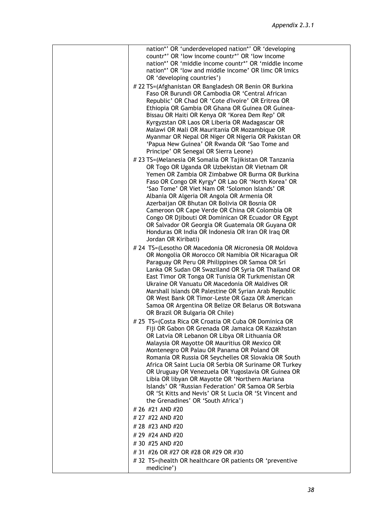| nation*' OR 'underdeveloped nation*' OR 'developing<br>countr*' OR 'low income countr*' OR 'low income<br>nation*' OR 'middle income countr*' OR 'middle income<br>nation*' OR 'low and middle income' OR limc OR lmics<br>OR 'developing countries')<br># 22 TS=(Afghanistan OR Bangladesh OR Benin OR Burkina<br>Faso OR Burundi OR Cambodia OR 'Central African<br>Republic' OR Chad OR 'Cote d'Ivoire' OR Eritrea OR<br>Ethiopia OR Gambia OR Ghana OR Guinea OR Guinea-<br>Bissau OR Haiti OR Kenya OR 'Korea Dem Rep' OR<br>Kyrgyzstan OR Laos OR Liberia OR Madagascar OR<br>Malawi OR Mali OR Mauritania OR Mozambique OR<br>Myanmar OR Nepal OR Niger OR Nigeria OR Pakistan OR<br>'Papua New Guinea' OR Rwanda OR 'Sao Tome and<br>Principe' OR Senegal OR Sierra Leone) |
|------------------------------------------------------------------------------------------------------------------------------------------------------------------------------------------------------------------------------------------------------------------------------------------------------------------------------------------------------------------------------------------------------------------------------------------------------------------------------------------------------------------------------------------------------------------------------------------------------------------------------------------------------------------------------------------------------------------------------------------------------------------------------------|
| # 23 TS=(Melanesia OR Somalia OR Tajikistan OR Tanzania<br>OR Togo OR Uganda OR Uzbekistan OR Vietnam OR<br>Yemen OR Zambia OR Zimbabwe OR Burma OR Burkina<br>Faso OR Congo OR Kyrgy* OR Lao OR 'North Korea' OR<br>'Sao Tome' OR Viet Nam OR 'Solomon Islands' OR<br>Albania OR Algeria OR Angola OR Armenia OR<br>Azerbaijan OR Bhutan OR Bolivia OR Bosnia OR<br>Cameroon OR Cape Verde OR China OR Colombia OR<br>Congo OR Djibouti OR Dominican OR Ecuador OR Egypt<br>OR Salvador OR Georgia OR Guatemala OR Guyana OR<br>Honduras OR India OR Indonesia OR Iran OR Iraq OR<br>Jordan OR Kiribati)                                                                                                                                                                          |
| # 24 TS=(Lesotho OR Macedonia OR Micronesia OR Moldova<br>OR Mongolia OR Morocco OR Namibia OR Nicaragua OR<br>Paraguay OR Peru OR Philippines OR Samoa OR Sri<br>Lanka OR Sudan OR Swaziland OR Syria OR Thailand OR<br>East Timor OR Tonga OR Tunisia OR Turkmenistan OR<br>Ukraine OR Vanuatu OR Macedonia OR Maldives OR<br>Marshall Islands OR Palestine OR Syrian Arab Republic<br>OR West Bank OR Timor-Leste OR Gaza OR American<br>Samoa OR Argentina OR Belize OR Belarus OR Botswana<br>OR Brazil OR Bulgaria OR Chile)                                                                                                                                                                                                                                                 |
| # 25 TS=(Costa Rica OR Croatia OR Cuba OR Dominica OR<br>Fiji OR Gabon OR Grenada OR Jamaica OR Kazakhstan<br>OR Latvia OR Lebanon OR Libya OR Lithuania OR<br>Malaysia OR Mayotte OR Mauritius OR Mexico OR<br>Montenegro OR Palau OR Panama OR Poland OR<br>Romania OR Russia OR Seychelles OR Slovakia OR South<br>Africa OR Saint Lucia OR Serbia OR Suriname OR Turkey<br>OR Uruguay OR Venezuela OR Yugoslavia OR Guinea OR<br>Libia OR libyan OR Mayotte OR 'Northern Mariana<br>Islands' OR 'Russian Federation' OR Samoa OR Serbia<br>OR 'St Kitts and Nevis' OR St Lucia OR 'St Vincent and<br>the Grenadines' OR 'South Africa')<br># 26 #21 AND #20                                                                                                                    |
| # 27 #22 AND #20                                                                                                                                                                                                                                                                                                                                                                                                                                                                                                                                                                                                                                                                                                                                                                   |
| # 28 #23 AND #20<br># 29 #24 AND #20                                                                                                                                                                                                                                                                                                                                                                                                                                                                                                                                                                                                                                                                                                                                               |
| # 30 #25 AND #20                                                                                                                                                                                                                                                                                                                                                                                                                                                                                                                                                                                                                                                                                                                                                                   |
| # 31 #26 OR #27 OR #28 OR #29 OR #30                                                                                                                                                                                                                                                                                                                                                                                                                                                                                                                                                                                                                                                                                                                                               |
| # 32 TS=(health OR healthcare OR patients OR 'preventive<br>medicine')                                                                                                                                                                                                                                                                                                                                                                                                                                                                                                                                                                                                                                                                                                             |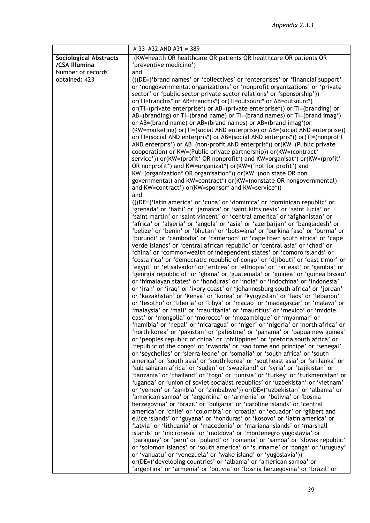|                               | # 33 #32 AND #31 = 389                                                                                                                                        |
|-------------------------------|---------------------------------------------------------------------------------------------------------------------------------------------------------------|
| <b>Sociological Abstracts</b> | (KW=health OR healthcare OR patients OR healthcare OR patients OR                                                                                             |
| /CSA Illumina                 | 'preventive medicine')                                                                                                                                        |
| Number of records             | and                                                                                                                                                           |
| obtained: 423                 | (((DE=('brand names' or 'collectives' or 'enterprises' or 'financial support'                                                                                 |
|                               | or 'nongovernmental organizations' or 'nonprofit organizations' or 'private                                                                                   |
|                               | sector' or 'public sector private sector relations' or 'sponsorship'))                                                                                        |
|                               | or(TI=franchis* or AB=franchis*) or(TI=outsourc* or AB=outsourc*)                                                                                             |
|                               | or(TI=(private enterprise*) or AB=(private enterprise*)) or TI=(branding) or                                                                                  |
|                               | $AB=(branding)$ or TI=(brand name) or TI=(brand names) or TI=(brand imag*)                                                                                    |
|                               | or $AB=(brand name)$ or $AB=(brand names)$ or $AB=(brand image*)$ or                                                                                          |
|                               | (KW=marketing) or (TI=(social AND enterprise) or AB=(social AND enterprise))                                                                                  |
|                               | or(TI=(social AND enterpris*) or AB=(social AND enterpris*)) or(TI=(nonprofit                                                                                 |
|                               | AND enterpris*) or AB=(non-profit AND enterpris*)) or(KW=(Public private                                                                                      |
|                               | cooperation) or KW=(Public private partnership)) or(KW=(contract*                                                                                             |
|                               | service*)) or(KW=(profit* OR nonprofit*) and KW=organisat*) or(KW=(profit*                                                                                    |
|                               | OR nonprofit*) and KW=organizat*) or(KW=('not for profit') and                                                                                                |
|                               | KW=(organization* OR organisation*)) or(KW=(non state OR non                                                                                                  |
|                               | governmental) and KW=contract*) or(KW=(nonstate OR nongovernmental)                                                                                           |
|                               | and KW=contract*) or (KW=sponsor* and KW=service*))                                                                                                           |
|                               | and<br>(((DE=('latin america' or 'cuba' or 'dominica' or 'dominican republic' or                                                                              |
|                               | 'grenada' or 'haiti' or 'jamaica' or 'saint kitts nevis' or 'saint lucia' or                                                                                  |
|                               | 'saint martin' or 'saint vincent' or 'central america' or 'afghanistan' or                                                                                    |
|                               | 'africa' or 'algeria' or 'angola' or 'asia' or 'azerbaijan' or 'bangladesh' or                                                                                |
|                               | 'belize' or 'benin' or 'bhutan' or 'botswana' or 'burkina faso' or 'burma' or                                                                                 |
|                               | 'burundi' or 'cambodia' or 'cameroon' or 'cape town south africa' or 'cape                                                                                    |
|                               | verde islands' or 'central african republic' or 'central asia' or 'chad' or                                                                                   |
|                               | 'china' or 'commonwealth of independent states' or 'comoro islands' or                                                                                        |
|                               | 'costa rica' or 'democratic republic of congo' or 'djibouti' or 'east timor' or                                                                               |
|                               | 'egypt' or 'el salvador' or 'eritrea' or 'ethiopia' or 'far east' or 'gambia' or                                                                              |
|                               | 'georgia republic of' or 'ghana' or 'guatemala' or 'guinea' or 'guinea bissau'                                                                                |
|                               | or 'himalayan states' or 'honduras' or 'india' or 'indochina' or 'indonesia'                                                                                  |
|                               | or 'iran' or 'iraq' or 'ivory coast' or 'johannesburg south africa' or 'jordan'                                                                               |
|                               | or 'kazakhstan' or 'kenya' or 'korea' or 'kyrgyzstan' or 'laos' or 'lebanon'                                                                                  |
|                               | or 'lesotho' or 'liberia' or 'libya' or 'macao' or 'madagascar' or 'malawi' or                                                                                |
|                               | 'malaysia' or 'mali' or 'mauritania' or 'mauritius' or 'mexico' or 'middle                                                                                    |
|                               | east' or 'mongolia' or 'morocco' or 'mozambique' or 'myanmar' or                                                                                              |
|                               | 'namibia' or 'nepal' or 'nicaragua' or 'niger' or 'nigeria' or 'north africa' or                                                                              |
|                               | 'north korea' or 'pakistan' or 'palestine' or 'panama' or 'papua new guinea'<br>or 'peoples republic of china' or 'philippines' or 'pretoria south africa' or |
|                               | 'republic of the congo' or 'rwanda' or 'sao tome and principe' or 'senegal'                                                                                   |
|                               | or 'seychelles' or 'sierra leone' or 'somalia' or 'south africa' or 'south                                                                                    |
|                               | america' or 'south asia' or 'south korea' or 'southeast asia' or 'sri lanka' or                                                                               |
|                               | 'sub saharan africa' or 'sudan' or 'swaziland' or 'syria' or 'tajikistan' or                                                                                  |
|                               | 'tanzania' or 'thailand' or 'togo' or 'tunisia' or 'turkey' or 'turkmenistan' or                                                                              |
|                               | 'uganda' or 'union of soviet socialist republics' or 'uzbekistan' or 'vietnam'                                                                                |
|                               | or 'yemen' or 'zambia' or 'zimbabwe')) or(DE=('uzbekistan' or 'albania' or                                                                                    |
|                               | 'american samoa' or 'argentina' or 'armenia' or 'bolivia' or 'bosnia                                                                                          |
|                               | herzegovina' or 'brazil' or 'bulgaria' or 'caroline islands' or 'central                                                                                      |
|                               | america' or 'chile' or 'colombia' or 'croatia' or 'ecuador' or 'gilbert and                                                                                   |
|                               | ellice islands' or 'guyana' or 'honduras' or 'kosovo' or 'latin america' or                                                                                   |
|                               | 'latvia' or 'lithuania' or 'macedonia' or 'mariana islands' or 'marshall                                                                                      |
|                               | islands' or 'micronesia' or 'moldova' or 'montenegro yugoslavia' or                                                                                           |
|                               | 'paraguay' or 'peru' or 'poland' or 'romania' or 'samoa' or 'slovak republic'                                                                                 |
|                               | or 'solomon islands' or 'south america' or 'suriname' or 'tonga' or 'uruguay'                                                                                 |
|                               | or 'vanuatu' or 'venezuela' or 'wake island' or 'yugoslavia'))<br>or(DE=('developing countries' or 'albania' or 'american samoa' or                           |
|                               | 'argentina' or 'armenia' or 'bolivia' or 'bosnia herzegovina' or 'brazil' or                                                                                  |
|                               |                                                                                                                                                               |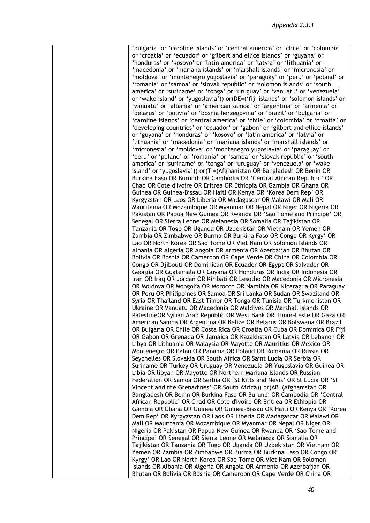'bulgaria' or 'caroline islands' or 'central america' or 'chile' or 'colombia' or 'croatia' or 'ecuador' or 'gilbert and ellice islands' or 'guyana' or 'honduras' or 'kosovo' or 'latin america' or 'latvia' or 'lithuania' or 'macedonia' or 'mariana islands' or 'marshall islands' or 'micronesia' or 'moldova' or 'montenegro yugoslavia' or 'paraguay' or 'peru' or 'poland' or 'romania' or 'samoa' or 'slovak republic' or 'solomon islands' or 'south america' or 'suriname' or 'tonga' or 'uruguay' or 'vanuatu' or 'venezuela' or 'wake island' or 'yugoslavia')) or(DE=('fiji islands' or 'solomon islands' or 'vanuatu' or 'albania' or 'american samoa' or 'argentina' or 'armenia' or 'belarus' or 'bolivia' or 'bosnia herzegovina' or 'brazil' or 'bulgaria' or 'caroline islands' or 'central america' or 'chile' or 'colombia' or 'croatia' or 'developing countries' or 'ecuador' or 'gabon' or 'gilbert and ellice islands' or 'guyana' or 'honduras' or 'kosovo' or 'latin america' or 'latvia' or 'lithuania' or 'macedonia' or 'mariana islands' or 'marshall islands' or 'micronesia' or 'moldova' or 'montenegro yugoslavia' or 'paraguay' or 'peru' or 'poland' or 'romania' or 'samoa' or 'slovak republic' or 'south america' or 'suriname' or 'tonga' or 'uruguay' or 'venezuela' or 'wake island' or 'yugoslavia')) or(TI=(Afghanistan OR Bangladesh OR Benin OR Burkina Faso OR Burundi OR Cambodia OR 'Central African Republic' OR Chad OR Cote d'Ivoire OR Eritrea OR Ethiopia OR Gambia OR Ghana OR Guinea OR Guinea-Bissau OR Haiti OR Kenya OR 'Korea Dem Rep' OR Kyrgyzstan OR Laos OR Liberia OR Madagascar OR Malawi OR Mali OR Mauritania OR Mozambique OR Myanmar OR Nepal OR Niger OR Nigeria OR Pakistan OR Papua New Guinea OR Rwanda OR 'Sao Tome and Principe' OR Senegal OR Sierra Leone OR Melanesia OR Somalia OR Tajikistan OR Tanzania OR Togo OR Uganda OR Uzbekistan OR Vietnam OR Yemen OR Zambia OR Zimbabwe OR Burma OR Burkina Faso OR Congo OR Kyrgy\* OR Lao OR North Korea OR Sao Tome OR Viet Nam OR Solomon Islands OR Albania OR Algeria OR Angola OR Armenia OR Azerbaijan OR Bhutan OR Bolivia OR Bosnia OR Cameroon OR Cape Verde OR China OR Colombia OR Congo OR Djibouti OR Dominican OR Ecuador OR Egypt OR Salvador OR Georgia OR Guatemala OR Guyana OR Honduras OR India OR Indonesia OR Iran OR Iraq OR Jordan OR Kiribati OR Lesotho OR Macedonia OR Micronesia OR Moldova OR Mongolia OR Morocco OR Namibia OR Nicaragua OR Paraguay OR Peru OR Philippines OR Samoa OR Sri Lanka OR Sudan OR Swaziland OR Syria OR Thailand OR East Timor OR Tonga OR Tunisia OR Turkmenistan OR Ukraine OR Vanuatu OR Macedonia OR Maldives OR Marshall Islands OR PalestineOR Syrian Arab Republic OR West Bank OR Timor-Leste OR Gaza OR American Samoa OR Argentina OR Belize OR Belarus OR Botswana OR Brazil OR Bulgaria OR Chile OR Costa Rica OR Croatia OR Cuba OR Dominica OR Fiji OR Gabon OR Grenada OR Jamaica OR Kazakhstan OR Latvia OR Lebanon OR Libya OR Lithuania OR Malaysia OR Mayotte OR Mauritius OR Mexico OR Montenegro OR Palau OR Panama OR Poland OR Romania OR Russia OR Seychelles OR Slovakia OR South Africa OR Saint Lucia OR Serbia OR Suriname OR Turkey OR Uruguay OR Venezuela OR Yugoslavia OR Guinea OR Libia OR libyan OR Mayotte OR Northern Mariana Islands OR Russian Federation OR Samoa OR Serbia OR 'St Kitts and Nevis' OR St Lucia OR 'St Vincent and the Grenadines' OR South Africa)) or(AB=(Afghanistan OR Bangladesh OR Benin OR Burkina Faso OR Burundi OR Cambodia OR 'Central African Republic' OR Chad OR Cote d'Ivoire OR Eritrea OR Ethiopia OR Gambia OR Ghana OR Guinea OR Guinea-Bissau OR Haiti OR Kenya OR 'Korea Dem Rep' OR Kyrgyzstan OR Laos OR Liberia OR Madagascar OR Malawi OR Mali OR Mauritania OR Mozambique OR Myanmar OR Nepal OR Niger OR Nigeria OR Pakistan OR Papua New Guinea OR Rwanda OR 'Sao Tome and Principe' OR Senegal OR Sierra Leone OR Melanesia OR Somalia OR Tajikistan OR Tanzania OR Togo OR Uganda OR Uzbekistan OR Vietnam OR Yemen OR Zambia OR Zimbabwe OR Burma OR Burkina Faso OR Congo OR Kyrgy\* OR Lao OR North Korea OR Sao Tome OR Viet Nam OR Solomon Islands OR Albania OR Algeria OR Angola OR Armenia OR Azerbaijan OR Bhutan OR Bolivia OR Bosnia OR Cameroon OR Cape Verde OR China OR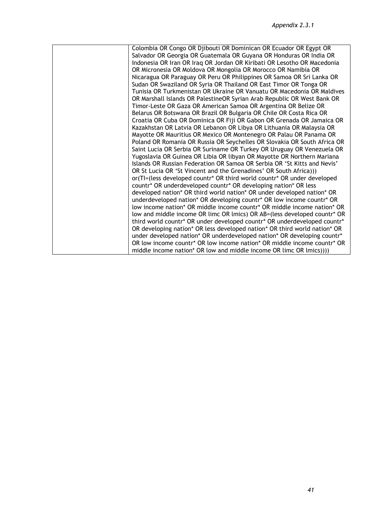| Colombia OR Congo OR Djibouti OR Dominican OR Ecuador OR Egypt OR<br>Salvador OR Georgia OR Guatemala OR Guyana OR Honduras OR India OR<br>Indonesia OR Iran OR Iraq OR Jordan OR Kiribati OR Lesotho OR Macedonia<br>OR Micronesia OR Moldova OR Mongolia OR Morocco OR Namibia OR<br>Nicaragua OR Paraguay OR Peru OR Philippines OR Samoa OR Sri Lanka OR<br>Sudan OR Swaziland OR Syria OR Thailand OR East Timor OR Tonga OR<br>Tunisia OR Turkmenistan OR Ukraine OR Vanuatu OR Macedonia OR Maldives<br>OR Marshall Islands OR Palestine OR Syrian Arab Republic OR West Bank OR<br>Timor-Leste OR Gaza OR American Samoa OR Argentina OR Belize OR<br>Belarus OR Botswana OR Brazil OR Bulgaria OR Chile OR Costa Rica OR<br>Croatia OR Cuba OR Dominica OR Fiji OR Gabon OR Grenada OR Jamaica OR<br>Kazakhstan OR Latvia OR Lebanon OR Libya OR Lithuania OR Malaysia OR<br>Mayotte OR Mauritius OR Mexico OR Montenegro OR Palau OR Panama OR<br>Poland OR Romania OR Russia OR Seychelles OR Slovakia OR South Africa OR<br>Saint Lucia OR Serbia OR Suriname OR Turkey OR Uruguay OR Venezuela OR<br>Yugoslavia OR Guinea OR Libia OR libyan OR Mayotte OR Northern Mariana<br>Islands OR Russian Federation OR Samoa OR Serbia OR 'St Kitts and Nevis'<br>OR St Lucia OR 'St Vincent and the Grenadines' OR South Africa))<br>or(TI=(less developed countr* OR third world countr* OR under developed<br>countr* OR underdeveloped countr* OR developing nation* OR less<br>developed nation* OR third world nation* OR under developed nation* OR<br>underdeveloped nation* OR developing countr* OR low income countr* OR<br>low income nation* OR middle income countr* OR middle income nation* OR<br>low and middle income OR limc OR lmics) OR AB=(less developed countr* OR<br>third world countr* OR under developed countr* OR underdeveloped countr*<br>OR developing nation* OR less developed nation* OR third world nation* OR<br>under developed nation* OR underdeveloped nation* OR developing countr*<br>OR low income countr* OR low income nation* OR middle income countr* OR<br>middle income nation* OR low and middle income OR limc OR lmics)))) |  |
|----------------------------------------------------------------------------------------------------------------------------------------------------------------------------------------------------------------------------------------------------------------------------------------------------------------------------------------------------------------------------------------------------------------------------------------------------------------------------------------------------------------------------------------------------------------------------------------------------------------------------------------------------------------------------------------------------------------------------------------------------------------------------------------------------------------------------------------------------------------------------------------------------------------------------------------------------------------------------------------------------------------------------------------------------------------------------------------------------------------------------------------------------------------------------------------------------------------------------------------------------------------------------------------------------------------------------------------------------------------------------------------------------------------------------------------------------------------------------------------------------------------------------------------------------------------------------------------------------------------------------------------------------------------------------------------------------------------------------------------------------------------------------------------------------------------------------------------------------------------------------------------------------------------------------------------------------------------------------------------------------------------------------------------------------------------------------------------------------------------------------------------------------------------------------------------|--|
|                                                                                                                                                                                                                                                                                                                                                                                                                                                                                                                                                                                                                                                                                                                                                                                                                                                                                                                                                                                                                                                                                                                                                                                                                                                                                                                                                                                                                                                                                                                                                                                                                                                                                                                                                                                                                                                                                                                                                                                                                                                                                                                                                                                        |  |
|                                                                                                                                                                                                                                                                                                                                                                                                                                                                                                                                                                                                                                                                                                                                                                                                                                                                                                                                                                                                                                                                                                                                                                                                                                                                                                                                                                                                                                                                                                                                                                                                                                                                                                                                                                                                                                                                                                                                                                                                                                                                                                                                                                                        |  |
|                                                                                                                                                                                                                                                                                                                                                                                                                                                                                                                                                                                                                                                                                                                                                                                                                                                                                                                                                                                                                                                                                                                                                                                                                                                                                                                                                                                                                                                                                                                                                                                                                                                                                                                                                                                                                                                                                                                                                                                                                                                                                                                                                                                        |  |
|                                                                                                                                                                                                                                                                                                                                                                                                                                                                                                                                                                                                                                                                                                                                                                                                                                                                                                                                                                                                                                                                                                                                                                                                                                                                                                                                                                                                                                                                                                                                                                                                                                                                                                                                                                                                                                                                                                                                                                                                                                                                                                                                                                                        |  |
|                                                                                                                                                                                                                                                                                                                                                                                                                                                                                                                                                                                                                                                                                                                                                                                                                                                                                                                                                                                                                                                                                                                                                                                                                                                                                                                                                                                                                                                                                                                                                                                                                                                                                                                                                                                                                                                                                                                                                                                                                                                                                                                                                                                        |  |
|                                                                                                                                                                                                                                                                                                                                                                                                                                                                                                                                                                                                                                                                                                                                                                                                                                                                                                                                                                                                                                                                                                                                                                                                                                                                                                                                                                                                                                                                                                                                                                                                                                                                                                                                                                                                                                                                                                                                                                                                                                                                                                                                                                                        |  |
|                                                                                                                                                                                                                                                                                                                                                                                                                                                                                                                                                                                                                                                                                                                                                                                                                                                                                                                                                                                                                                                                                                                                                                                                                                                                                                                                                                                                                                                                                                                                                                                                                                                                                                                                                                                                                                                                                                                                                                                                                                                                                                                                                                                        |  |
|                                                                                                                                                                                                                                                                                                                                                                                                                                                                                                                                                                                                                                                                                                                                                                                                                                                                                                                                                                                                                                                                                                                                                                                                                                                                                                                                                                                                                                                                                                                                                                                                                                                                                                                                                                                                                                                                                                                                                                                                                                                                                                                                                                                        |  |
|                                                                                                                                                                                                                                                                                                                                                                                                                                                                                                                                                                                                                                                                                                                                                                                                                                                                                                                                                                                                                                                                                                                                                                                                                                                                                                                                                                                                                                                                                                                                                                                                                                                                                                                                                                                                                                                                                                                                                                                                                                                                                                                                                                                        |  |
|                                                                                                                                                                                                                                                                                                                                                                                                                                                                                                                                                                                                                                                                                                                                                                                                                                                                                                                                                                                                                                                                                                                                                                                                                                                                                                                                                                                                                                                                                                                                                                                                                                                                                                                                                                                                                                                                                                                                                                                                                                                                                                                                                                                        |  |
|                                                                                                                                                                                                                                                                                                                                                                                                                                                                                                                                                                                                                                                                                                                                                                                                                                                                                                                                                                                                                                                                                                                                                                                                                                                                                                                                                                                                                                                                                                                                                                                                                                                                                                                                                                                                                                                                                                                                                                                                                                                                                                                                                                                        |  |
|                                                                                                                                                                                                                                                                                                                                                                                                                                                                                                                                                                                                                                                                                                                                                                                                                                                                                                                                                                                                                                                                                                                                                                                                                                                                                                                                                                                                                                                                                                                                                                                                                                                                                                                                                                                                                                                                                                                                                                                                                                                                                                                                                                                        |  |
|                                                                                                                                                                                                                                                                                                                                                                                                                                                                                                                                                                                                                                                                                                                                                                                                                                                                                                                                                                                                                                                                                                                                                                                                                                                                                                                                                                                                                                                                                                                                                                                                                                                                                                                                                                                                                                                                                                                                                                                                                                                                                                                                                                                        |  |
|                                                                                                                                                                                                                                                                                                                                                                                                                                                                                                                                                                                                                                                                                                                                                                                                                                                                                                                                                                                                                                                                                                                                                                                                                                                                                                                                                                                                                                                                                                                                                                                                                                                                                                                                                                                                                                                                                                                                                                                                                                                                                                                                                                                        |  |
|                                                                                                                                                                                                                                                                                                                                                                                                                                                                                                                                                                                                                                                                                                                                                                                                                                                                                                                                                                                                                                                                                                                                                                                                                                                                                                                                                                                                                                                                                                                                                                                                                                                                                                                                                                                                                                                                                                                                                                                                                                                                                                                                                                                        |  |
|                                                                                                                                                                                                                                                                                                                                                                                                                                                                                                                                                                                                                                                                                                                                                                                                                                                                                                                                                                                                                                                                                                                                                                                                                                                                                                                                                                                                                                                                                                                                                                                                                                                                                                                                                                                                                                                                                                                                                                                                                                                                                                                                                                                        |  |
|                                                                                                                                                                                                                                                                                                                                                                                                                                                                                                                                                                                                                                                                                                                                                                                                                                                                                                                                                                                                                                                                                                                                                                                                                                                                                                                                                                                                                                                                                                                                                                                                                                                                                                                                                                                                                                                                                                                                                                                                                                                                                                                                                                                        |  |
|                                                                                                                                                                                                                                                                                                                                                                                                                                                                                                                                                                                                                                                                                                                                                                                                                                                                                                                                                                                                                                                                                                                                                                                                                                                                                                                                                                                                                                                                                                                                                                                                                                                                                                                                                                                                                                                                                                                                                                                                                                                                                                                                                                                        |  |
|                                                                                                                                                                                                                                                                                                                                                                                                                                                                                                                                                                                                                                                                                                                                                                                                                                                                                                                                                                                                                                                                                                                                                                                                                                                                                                                                                                                                                                                                                                                                                                                                                                                                                                                                                                                                                                                                                                                                                                                                                                                                                                                                                                                        |  |
|                                                                                                                                                                                                                                                                                                                                                                                                                                                                                                                                                                                                                                                                                                                                                                                                                                                                                                                                                                                                                                                                                                                                                                                                                                                                                                                                                                                                                                                                                                                                                                                                                                                                                                                                                                                                                                                                                                                                                                                                                                                                                                                                                                                        |  |
|                                                                                                                                                                                                                                                                                                                                                                                                                                                                                                                                                                                                                                                                                                                                                                                                                                                                                                                                                                                                                                                                                                                                                                                                                                                                                                                                                                                                                                                                                                                                                                                                                                                                                                                                                                                                                                                                                                                                                                                                                                                                                                                                                                                        |  |
|                                                                                                                                                                                                                                                                                                                                                                                                                                                                                                                                                                                                                                                                                                                                                                                                                                                                                                                                                                                                                                                                                                                                                                                                                                                                                                                                                                                                                                                                                                                                                                                                                                                                                                                                                                                                                                                                                                                                                                                                                                                                                                                                                                                        |  |
|                                                                                                                                                                                                                                                                                                                                                                                                                                                                                                                                                                                                                                                                                                                                                                                                                                                                                                                                                                                                                                                                                                                                                                                                                                                                                                                                                                                                                                                                                                                                                                                                                                                                                                                                                                                                                                                                                                                                                                                                                                                                                                                                                                                        |  |
|                                                                                                                                                                                                                                                                                                                                                                                                                                                                                                                                                                                                                                                                                                                                                                                                                                                                                                                                                                                                                                                                                                                                                                                                                                                                                                                                                                                                                                                                                                                                                                                                                                                                                                                                                                                                                                                                                                                                                                                                                                                                                                                                                                                        |  |
|                                                                                                                                                                                                                                                                                                                                                                                                                                                                                                                                                                                                                                                                                                                                                                                                                                                                                                                                                                                                                                                                                                                                                                                                                                                                                                                                                                                                                                                                                                                                                                                                                                                                                                                                                                                                                                                                                                                                                                                                                                                                                                                                                                                        |  |
|                                                                                                                                                                                                                                                                                                                                                                                                                                                                                                                                                                                                                                                                                                                                                                                                                                                                                                                                                                                                                                                                                                                                                                                                                                                                                                                                                                                                                                                                                                                                                                                                                                                                                                                                                                                                                                                                                                                                                                                                                                                                                                                                                                                        |  |
|                                                                                                                                                                                                                                                                                                                                                                                                                                                                                                                                                                                                                                                                                                                                                                                                                                                                                                                                                                                                                                                                                                                                                                                                                                                                                                                                                                                                                                                                                                                                                                                                                                                                                                                                                                                                                                                                                                                                                                                                                                                                                                                                                                                        |  |
|                                                                                                                                                                                                                                                                                                                                                                                                                                                                                                                                                                                                                                                                                                                                                                                                                                                                                                                                                                                                                                                                                                                                                                                                                                                                                                                                                                                                                                                                                                                                                                                                                                                                                                                                                                                                                                                                                                                                                                                                                                                                                                                                                                                        |  |
|                                                                                                                                                                                                                                                                                                                                                                                                                                                                                                                                                                                                                                                                                                                                                                                                                                                                                                                                                                                                                                                                                                                                                                                                                                                                                                                                                                                                                                                                                                                                                                                                                                                                                                                                                                                                                                                                                                                                                                                                                                                                                                                                                                                        |  |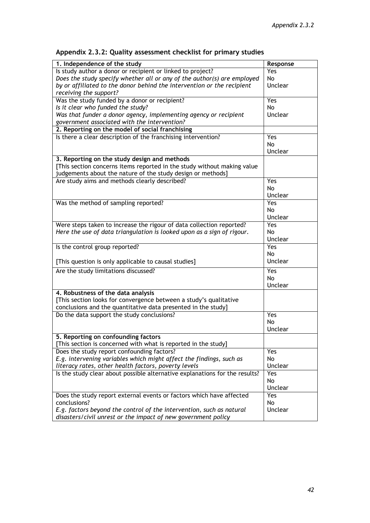| 1. Independence of the study                                                | Response   |
|-----------------------------------------------------------------------------|------------|
| Is study author a donor or recipient or linked to project?                  | Yes        |
| Does the study specify whether all or any of the author(s) are employed     | <b>No</b>  |
| by or affiliated to the donor behind the intervention or the recipient      | Unclear    |
| receiving the support?                                                      |            |
| Was the study funded by a donor or recipient?                               | <b>Yes</b> |
| Is it clear who funded the study?                                           | <b>No</b>  |
| Was that funder a donor agency, implementing agency or recipient            | Unclear    |
| government associated with the intervention?                                |            |
| 2. Reporting on the model of social franchising                             |            |
| Is there a clear description of the franchising intervention?               | Yes        |
|                                                                             | <b>No</b>  |
|                                                                             | Unclear    |
| 3. Reporting on the study design and methods                                |            |
| [This section concerns items reported in the study without making value     |            |
| judgements about the nature of the study design or methods]                 |            |
| Are study aims and methods clearly described?                               | Yes        |
|                                                                             | <b>No</b>  |
|                                                                             | Unclear    |
| Was the method of sampling reported?                                        | Yes        |
|                                                                             | No         |
|                                                                             | Unclear    |
| Were steps taken to increase the rigour of data collection reported?        | Yes        |
| Here the use of data triangulation is looked upon as a sign of rigour.      | No         |
|                                                                             | Unclear    |
| Is the control group reported?                                              | Yes        |
|                                                                             | No         |
| [This question is only applicable to causal studies]                        | Unclear    |
| Are the study limitations discussed?                                        | Yes        |
|                                                                             | No         |
|                                                                             | Unclear    |
| 4. Robustness of the data analysis                                          |            |
| [This section looks for convergence between a study's qualitative           |            |
| conclusions and the quantitative data presented in the study]               |            |
| Do the data support the study conclusions?                                  | Yes        |
|                                                                             | No         |
|                                                                             | Unclear    |
| 5. Reporting on confounding factors                                         |            |
| [This section is concerned with what is reported in the study]              |            |
| Does the study report confounding factors?                                  | Yes        |
| E.g. intervening variables which might affect the findings, such as         | No         |
| literacy rates, other health factors, poverty levels                        | Unclear    |
| Is the study clear about possible alternative explanations for the results? | Yes        |
|                                                                             | No         |
|                                                                             | Unclear    |
| Does the study report external events or factors which have affected        | Yes        |
| conclusions?                                                                | No         |
| E.g. factors beyond the control of the intervention, such as natural        | Unclear    |
| disasters/civil unrest or the impact of new government policy               |            |

## <span id="page-45-0"></span>**Appendix 2.3.2: Quality assessment checklist for primary studies**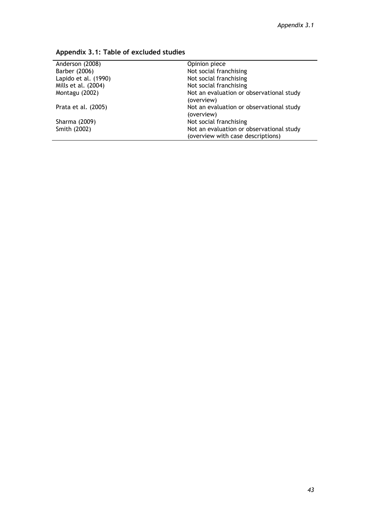### <span id="page-46-0"></span>**Appendix 3.1: Table of excluded studies**

l,

| Anderson (2008)      | Opinion piece                            |
|----------------------|------------------------------------------|
| Barber (2006)        | Not social franchising                   |
| Lapido et al. (1990) | Not social franchising                   |
| Mills et al. (2004)  | Not social franchising                   |
| Montagu (2002)       | Not an evaluation or observational study |
|                      | (overview)                               |
| Prata et al. (2005)  | Not an evaluation or observational study |
|                      | (overview)                               |
| Sharma (2009)        | Not social franchising                   |
| Smith (2002)         | Not an evaluation or observational study |
|                      | (overview with case descriptions)        |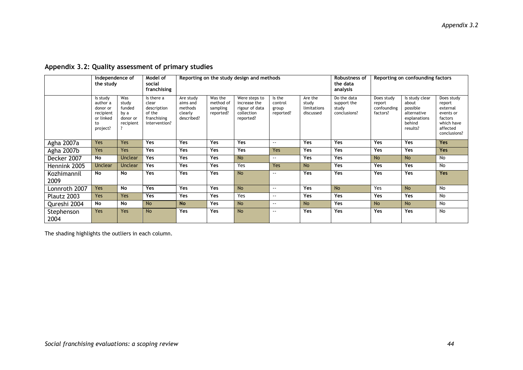|                     | Independence of<br>the study                                                 |                                                         | Model of<br>social<br>franchising                                            | Reporting on the study design and methods                 |                                               |                                                                            | Robustness of<br>the data<br>analysis   | Reporting on confounding factors             |                                                     |                                                 |                                                                                          |                                                                                                    |
|---------------------|------------------------------------------------------------------------------|---------------------------------------------------------|------------------------------------------------------------------------------|-----------------------------------------------------------|-----------------------------------------------|----------------------------------------------------------------------------|-----------------------------------------|----------------------------------------------|-----------------------------------------------------|-------------------------------------------------|------------------------------------------------------------------------------------------|----------------------------------------------------------------------------------------------------|
|                     | Is study<br>author a<br>donor or<br>recipient<br>or linked<br>to<br>project? | Was<br>study<br>funded<br>by a<br>donor or<br>recipient | Is there a<br>clear<br>description<br>of the<br>franchising<br>intervention? | Are study<br>aims and<br>methods<br>clearly<br>described? | Was the<br>method of<br>sampling<br>reported? | Were steps to<br>increase the<br>rigour of data<br>collection<br>reported? | Is the<br>control<br>group<br>reported? | Are the<br>study<br>limitations<br>discussed | Do the data<br>support the<br>study<br>conclusions? | Does study<br>report<br>confounding<br>factors? | Is study clear<br>about<br>possible<br>alternative<br>explanations<br>behind<br>results? | Does study<br>report<br>external<br>events or<br>factors<br>which have<br>affected<br>conclusions? |
| Agha 2007a          | Yes                                                                          | Yes                                                     | <b>Yes</b>                                                                   | Yes                                                       | <b>Yes</b>                                    | Yes                                                                        | $\sim$ $\sim$                           | Yes                                          | Yes                                                 | Yes                                             | <b>Yes</b>                                                                               | Yes                                                                                                |
| Agha 2007b          | Yes                                                                          | <b>Yes</b>                                              | <b>Yes</b>                                                                   | <b>Yes</b>                                                | <b>Yes</b>                                    | Yes                                                                        | <b>Yes</b>                              | Yes                                          | <b>Yes</b>                                          | Yes                                             | Yes                                                                                      | Yes                                                                                                |
| Decker 2007         | No                                                                           | <b>Unclear</b>                                          | <b>Yes</b>                                                                   | <b>Yes</b>                                                | <b>Yes</b>                                    | <b>No</b>                                                                  | $\sim$ $\sim$                           | Yes                                          | Yes                                                 | <b>No</b>                                       | <b>No</b>                                                                                | No                                                                                                 |
| Hennink 2005        | Unclear                                                                      | <b>Unclear</b>                                          | <b>Yes</b>                                                                   | Yes                                                       | Yes                                           | Yes                                                                        | <b>Yes</b>                              | <b>No</b>                                    | <b>Yes</b>                                          | <b>Yes</b>                                      | <b>Yes</b>                                                                               | No                                                                                                 |
| Kozhimannil<br>2009 | No                                                                           | No.                                                     | <b>Yes</b>                                                                   | <b>Yes</b>                                                | <b>Yes</b>                                    | <b>No</b>                                                                  | $\sim$ $-$                              | Yes                                          | <b>Yes</b>                                          | Yes                                             | Yes                                                                                      | <b>Yes</b>                                                                                         |
| Lonnroth 2007       | Yes                                                                          | No                                                      | <b>Yes</b>                                                                   | <b>Yes</b>                                                | Yes                                           | <b>No</b>                                                                  | $\sim$ $\sim$                           | Yes                                          | <b>No</b>                                           | Yes                                             | <b>No</b>                                                                                | No                                                                                                 |
| Plautz 2003         | Yes                                                                          | Yes                                                     | <b>Yes</b>                                                                   | <b>Yes</b>                                                | <b>Yes</b>                                    | Yes                                                                        | $\sim$ $-$                              | Yes                                          | <b>Yes</b>                                          | Yes                                             | <b>Yes</b>                                                                               | No                                                                                                 |
| Qureshi 2004        | No                                                                           | No                                                      | <b>No</b>                                                                    | <b>No</b>                                                 | Yes                                           | <b>No</b>                                                                  | $\sim$ $\sim$                           | <b>No</b>                                    | Yes                                                 | <b>No</b>                                       | <b>No</b>                                                                                | No                                                                                                 |
| Stephenson<br>2004  | Yes                                                                          | <b>Yes</b>                                              | <b>No</b>                                                                    | <b>Yes</b>                                                | <b>Yes</b>                                    | <b>No</b>                                                                  | $\sim$ $\sim$                           | Yes                                          | Yes                                                 | Yes                                             | <b>Yes</b>                                                                               | No                                                                                                 |

## **Appendix 3.2: Quality assessment of primary studies**

<span id="page-47-1"></span><span id="page-47-0"></span>The shading highlights the outliers in each column.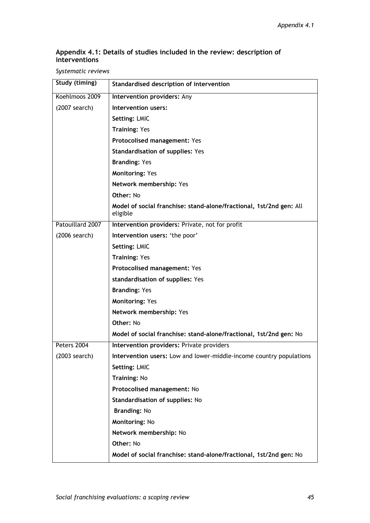#### <span id="page-48-0"></span>**Appendix 4.1: Details of studies included in the review: description of interventions**

*Systematic reviews*

| Study (timing)   | Standardised description of intervention                                        |
|------------------|---------------------------------------------------------------------------------|
| Koehlmoos 2009   | Intervention providers: Any                                                     |
| (2007 search)    | Intervention users:                                                             |
|                  | Setting: LMIC                                                                   |
|                  | <b>Training: Yes</b>                                                            |
|                  | Protocolised management: Yes                                                    |
|                  | <b>Standardisation of supplies: Yes</b>                                         |
|                  | <b>Branding: Yes</b>                                                            |
|                  | <b>Monitoring: Yes</b>                                                          |
|                  | Network membership: Yes                                                         |
|                  | Other: No                                                                       |
|                  | Model of social franchise: stand-alone/fractional, 1st/2nd gen: All<br>eligible |
| Patouillard 2007 | Intervention providers: Private, not for profit                                 |
| (2006 search)    | Intervention users: 'the poor'                                                  |
|                  | Setting: LMIC                                                                   |
|                  | <b>Training: Yes</b>                                                            |
|                  | Protocolised management: Yes                                                    |
|                  | standardisation of supplies: Yes                                                |
|                  | <b>Branding: Yes</b>                                                            |
|                  | <b>Monitoring: Yes</b>                                                          |
|                  | Network membership: Yes                                                         |
|                  | Other: No                                                                       |
|                  | Model of social franchise: stand-alone/fractional, 1st/2nd gen: No              |
| Peters 2004      | Intervention providers: Private providers                                       |
| (2003 search)    | Intervention users: Low and lower-middle-income country populations             |
|                  | <b>Setting: LMIC</b>                                                            |
|                  | Training: No                                                                    |
|                  | Protocolised management: No                                                     |
|                  | Standardisation of supplies: No                                                 |
|                  | <b>Branding: No</b>                                                             |
|                  | Monitoring: No                                                                  |
|                  | Network membership: No                                                          |
|                  | Other: No                                                                       |
|                  | Model of social franchise: stand-alone/fractional, 1st/2nd gen: No              |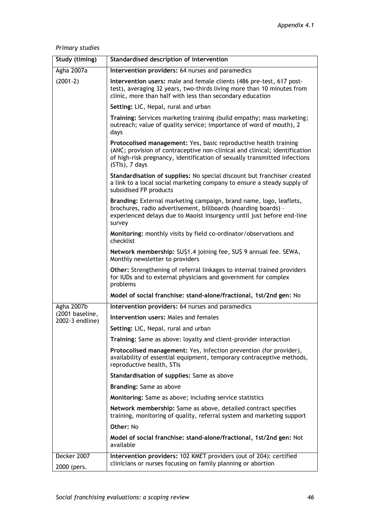*Primary studies*

| Study (timing)                     | Standardised description of intervention                                                                                                                                                                                                      |
|------------------------------------|-----------------------------------------------------------------------------------------------------------------------------------------------------------------------------------------------------------------------------------------------|
| Agha 2007a                         | Intervention providers: 64 nurses and paramedics                                                                                                                                                                                              |
| $(2001-2)$                         | Intervention users: male and female clients (486 pre-test, 617 post-<br>test), averaging 32 years, two-thirds living more than 10 minutes from<br>clinic, more than half with less than secondary education                                   |
|                                    | Setting: LIC, Nepal, rural and urban                                                                                                                                                                                                          |
|                                    | Training: Services marketing training (build empathy; mass marketing;<br>outreach; value of quality service; importance of word of mouth), 2<br>days                                                                                          |
|                                    | Protocolised management: Yes, basic reproductive health training<br>(ANC; provision of contraceptive non-clinical and clinical; identification<br>of high-risk pregnancy, identification of sexually transmitted infections<br>(STIs), 7 days |
|                                    | Standardisation of supplies: No special discount but franchiser created<br>a link to a local social marketing company to ensure a steady supply of<br>subsidised FP products                                                                  |
|                                    | Branding: External marketing campaign, brand name, logo, leaflets,<br>brochures, radio advertisement, billboards (hoarding boards) -<br>experienced delays due to Maoist insurgency until just before end-line<br>survey                      |
|                                    | Monitoring: monthly visits by field co-ordinator/observations and<br>checklist                                                                                                                                                                |
|                                    | Network membership: SU\$1.4 joining fee, SU\$ 9 annual fee. SEWA,<br>Monthly newsletter to providers                                                                                                                                          |
|                                    | Other: Strengthening of referral linkages to internal trained providers<br>for IUDs and to external physicians and government for complex<br>problems                                                                                         |
|                                    | Model of social franchise: stand-alone/fractional, 1st/2nd gen: No                                                                                                                                                                            |
| <b>Agha 2007b</b>                  | Intervention providers: 64 nurses and paramedics                                                                                                                                                                                              |
| (2001 baseline,<br>2002-3 endline) | Intervention users: Males and females                                                                                                                                                                                                         |
|                                    | Setting: LIC, Nepal, rural and urban                                                                                                                                                                                                          |
|                                    | Training: Same as above: loyalty and client-provider interaction                                                                                                                                                                              |
|                                    | Protocolised management: Yes, infection prevention (for provider),<br>availability of essential equipment, temporary contraceptive methods,<br>reproductive health, STIs                                                                      |
|                                    | Standardisation of supplies: Same as above                                                                                                                                                                                                    |
|                                    | <b>Branding:</b> Same as above                                                                                                                                                                                                                |
|                                    | <b>Monitoring:</b> Same as above; including service statistics                                                                                                                                                                                |
|                                    | Network membership: Same as above, detailed contract specifies<br>training, monitoring of quality, referral system and marketing support                                                                                                      |
|                                    | Other: No                                                                                                                                                                                                                                     |
|                                    | Model of social franchise: stand-alone/fractional, 1st/2nd gen: Not<br>available                                                                                                                                                              |
| Decker 2007<br>2000 (pers.         | Intervention providers: 102 KMET providers (out of 204): certified<br>clinicians or nurses focusing on family planning or abortion                                                                                                            |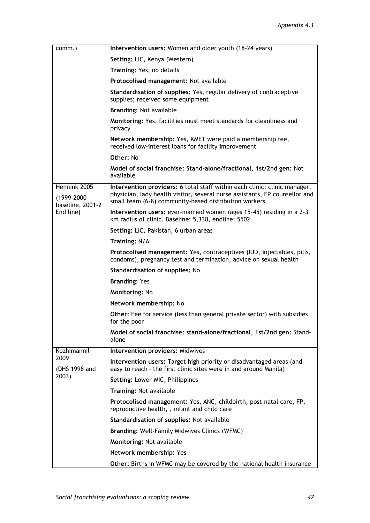| comm.)                                         | Intervention users: Women and older youth (18-24 years)                                                                                                                                                           |  |  |  |  |
|------------------------------------------------|-------------------------------------------------------------------------------------------------------------------------------------------------------------------------------------------------------------------|--|--|--|--|
|                                                | Setting: LIC, Kenya (Western)                                                                                                                                                                                     |  |  |  |  |
|                                                | Training: Yes, no details                                                                                                                                                                                         |  |  |  |  |
|                                                | Protocolised management: Not available                                                                                                                                                                            |  |  |  |  |
|                                                | Standardisation of supplies: Yes, regular delivery of contraceptive<br>supplies; received some equipment                                                                                                          |  |  |  |  |
|                                                | Branding: Not available                                                                                                                                                                                           |  |  |  |  |
|                                                | Monitoring: Yes, facilities must meet standards for cleanliness and<br>privacy                                                                                                                                    |  |  |  |  |
|                                                | Network membership: Yes, KMET were paid a membership fee,<br>received low-interest loans for facility improvement                                                                                                 |  |  |  |  |
|                                                | Other: No                                                                                                                                                                                                         |  |  |  |  |
|                                                | Model of social franchise: Stand-alone/fractional, 1st/2nd gen: Not<br>available                                                                                                                                  |  |  |  |  |
| Hennink 2005<br>(1999-2000<br>baseline, 2001-2 | Intervention providers: 6 total staff within each clinic: clinic manager,<br>physician, lady health visitor, several nurse assistants, FP counsellor and<br>small team (6-8) community-based distribution workers |  |  |  |  |
| End line)                                      | Intervention users: ever-married women (ages 15-45) residing in a 2-3<br>km radius of clinic. Baseline: 5,338, endline: 5502                                                                                      |  |  |  |  |
|                                                | Setting: LIC, Pakistan, 6 urban areas                                                                                                                                                                             |  |  |  |  |
|                                                | Training: N/A                                                                                                                                                                                                     |  |  |  |  |
|                                                | Protocolised management: Yes, contraceptives (IUD, injectables, pills,<br>condoms), pregnancy test and termination, advice on sexual health                                                                       |  |  |  |  |
|                                                | <b>Standardisation of supplies: No</b>                                                                                                                                                                            |  |  |  |  |
|                                                | <b>Branding: Yes</b>                                                                                                                                                                                              |  |  |  |  |
|                                                | Monitoring: No                                                                                                                                                                                                    |  |  |  |  |
|                                                | Network membership: No                                                                                                                                                                                            |  |  |  |  |
|                                                | Other: Fee for service (less than general private sector) with subsidies<br>for the poor                                                                                                                          |  |  |  |  |
|                                                | Model of social franchise: stand-alone/fractional, 1st/2nd gen: Stand-<br>alone                                                                                                                                   |  |  |  |  |
| Kozhimannil                                    | Intervention providers: Midwives                                                                                                                                                                                  |  |  |  |  |
| 2009<br>(DHS 1998 and                          | Intervention users: Target high priority or disadvantaged areas (and<br>easy to reach - the first clinic sites were in and around Manila)                                                                         |  |  |  |  |
| 2003)                                          | Setting: Lower-MIC, Philippines                                                                                                                                                                                   |  |  |  |  |
|                                                | Training: Not available                                                                                                                                                                                           |  |  |  |  |
|                                                | Protocolised management: Yes, ANC, childbirth, post-natal care, FP,<br>reproductive health, , infant and child care                                                                                               |  |  |  |  |
|                                                | Standardisation of supplies: Not available                                                                                                                                                                        |  |  |  |  |
|                                                | Branding: Well-Family Midwives Clinics (WFMC)                                                                                                                                                                     |  |  |  |  |
|                                                | Monitoring: Not available                                                                                                                                                                                         |  |  |  |  |
|                                                | Network membership: Yes                                                                                                                                                                                           |  |  |  |  |
|                                                | Other: Births in WFMC may be covered by the national health insurance                                                                                                                                             |  |  |  |  |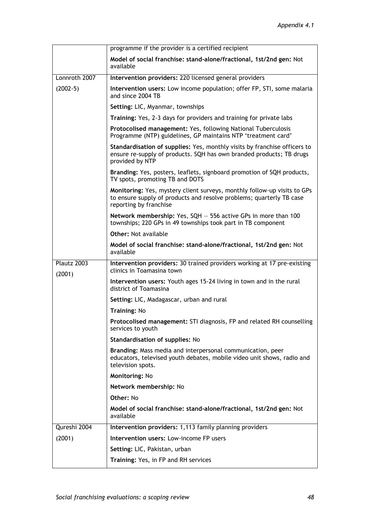|                       | programme if the provider is a certified recipient                                                                                                                         |
|-----------------------|----------------------------------------------------------------------------------------------------------------------------------------------------------------------------|
|                       | Model of social franchise: stand-alone/fractional, 1st/2nd gen: Not<br>available                                                                                           |
| Lonnroth 2007         | Intervention providers: 220 licensed general providers                                                                                                                     |
| $(2002-5)$            | Intervention users: Low income population; offer FP, STI, some malaria<br>and since 2004 TB                                                                                |
|                       | Setting: LIC, Myanmar, townships                                                                                                                                           |
|                       | Training: Yes, 2-3 days for providers and training for private labs                                                                                                        |
|                       | Protocolised management: Yes, following National Tuberculosis<br>Programme (NTP) guidelines, GP maintains NTP 'treatment card'                                             |
|                       | Standardisation of supplies: Yes, monthly visits by franchise officers to<br>ensure re-supply of products. SQH has own branded products; TB drugs<br>provided by NTP       |
|                       | Branding: Yes, posters, leaflets, signboard promotion of SQH products,<br>TV spots, promoting TB and DOTS                                                                  |
|                       | Monitoring: Yes, mystery client surveys, monthly follow-up visits to GPs<br>to ensure supply of products and resolve problems; quarterly TB case<br>reporting by franchise |
|                       | Network membership: Yes, SQH - 556 active GPs in more than 100<br>townships; 220 GPs in 49 townships took part in TB component                                             |
|                       | <b>Other: Not available</b>                                                                                                                                                |
|                       | Model of social franchise: stand-alone/fractional, 1st/2nd gen: Not<br>available                                                                                           |
| Plautz 2003<br>(2001) | Intervention providers: 30 trained providers working at 17 pre-existing<br>clinics in Toamasina town                                                                       |
|                       | Intervention users: Youth ages 15-24 living in town and in the rural<br>district of Toamasina                                                                              |
|                       | Setting: LIC, Madagascar, urban and rural                                                                                                                                  |
|                       | Training: No                                                                                                                                                               |
|                       | Protocolised management: STI diagnosis, FP and related RH counselling<br>services to youth                                                                                 |
|                       | <b>Standardisation of supplies: No</b>                                                                                                                                     |
|                       | Branding: Mass media and interpersonal communication, peer<br>educators, televised youth debates, mobile video unit shows, radio and<br>television spots.                  |
|                       | Monitoring: No                                                                                                                                                             |
|                       | Network membership: No                                                                                                                                                     |
|                       | Other: No                                                                                                                                                                  |
|                       | Model of social franchise: stand-alone/fractional, 1st/2nd gen: Not<br>available                                                                                           |
| Qureshi 2004          | Intervention providers: 1,113 family planning providers                                                                                                                    |
| (2001)                | Intervention users: Low-income FP users                                                                                                                                    |
|                       | Setting: LIC, Pakistan, urban                                                                                                                                              |
|                       | Training: Yes, in FP and RH services                                                                                                                                       |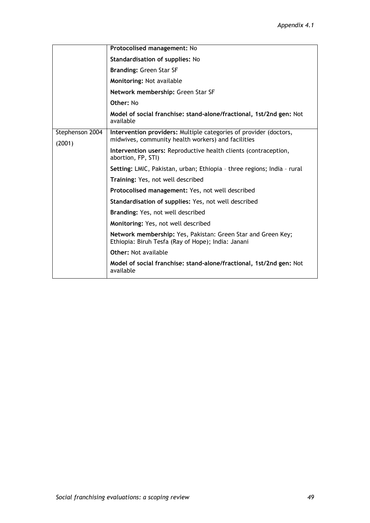|                           | Protocolised management: No                                                                                             |
|---------------------------|-------------------------------------------------------------------------------------------------------------------------|
|                           | <b>Standardisation of supplies: No</b>                                                                                  |
|                           | <b>Branding: Green Star SF</b>                                                                                          |
|                           | Monitoring: Not available                                                                                               |
|                           | Network membership: Green Star SF                                                                                       |
|                           | Other: No                                                                                                               |
|                           | Model of social franchise: stand-alone/fractional, 1st/2nd gen: Not<br>available                                        |
| Stephenson 2004<br>(2001) | Intervention providers: Multiple categories of provider (doctors,<br>midwives, community health workers) and facilities |
|                           | Intervention users: Reproductive health clients (contraception,<br>abortion, FP, STI)                                   |
|                           | Setting: LMIC, Pakistan, urban; Ethiopia - three regions; India - rural                                                 |
|                           | Training: Yes, not well described                                                                                       |
|                           | Protocolised management: Yes, not well described                                                                        |
|                           | Standardisation of supplies: Yes, not well described                                                                    |
|                           | Branding: Yes, not well described                                                                                       |
|                           | Monitoring: Yes, not well described                                                                                     |
|                           | Network membership: Yes, Pakistan: Green Star and Green Key;<br>Ethiopia: Biruh Tesfa (Ray of Hope); India: Janani      |
|                           | <b>Other: Not available</b>                                                                                             |
|                           | Model of social franchise: stand-alone/fractional, 1st/2nd gen: Not<br>available                                        |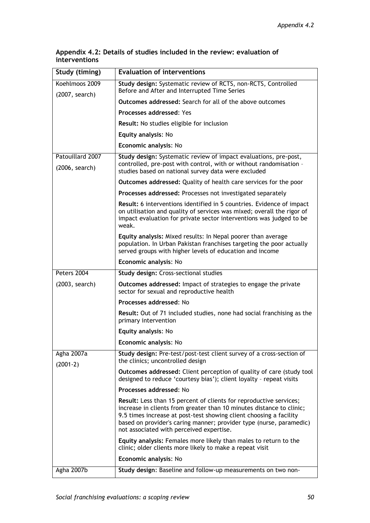## <span id="page-53-0"></span>**Appendix 4.2: Details of studies included in the review: evaluation of interventions**

| Study (timing)                     | <b>Evaluation of interventions</b>                                                                                                                                                                                                                                                                                                  |
|------------------------------------|-------------------------------------------------------------------------------------------------------------------------------------------------------------------------------------------------------------------------------------------------------------------------------------------------------------------------------------|
| Koehlmoos 2009<br>(2007, search)   | Study design: Systematic review of RCTS, non-RCTS, Controlled<br>Before and After and Interrupted Time Series                                                                                                                                                                                                                       |
|                                    | <b>Outcomes addressed:</b> Search for all of the above outcomes                                                                                                                                                                                                                                                                     |
|                                    | <b>Processes addressed: Yes</b>                                                                                                                                                                                                                                                                                                     |
|                                    | Result: No studies eligible for inclusion                                                                                                                                                                                                                                                                                           |
|                                    | <b>Equity analysis: No</b>                                                                                                                                                                                                                                                                                                          |
|                                    | Economic analysis: No                                                                                                                                                                                                                                                                                                               |
| Patouillard 2007<br>(2006, search) | Study design: Systematic review of impact evaluations, pre-post,<br>controlled, pre-post with control, with or without randomisation -<br>studies based on national survey data were excluded                                                                                                                                       |
|                                    | <b>Outcomes addressed: Quality of health care services for the poor</b>                                                                                                                                                                                                                                                             |
|                                    | Processes addressed: Processes not investigated separately                                                                                                                                                                                                                                                                          |
|                                    | Result: 6 interventions identified in 5 countries. Evidence of impact<br>on utilisation and quality of services was mixed; overall the rigor of<br>impact evaluation for private sector interventions was judged to be<br>weak.                                                                                                     |
|                                    | Equity analysis: Mixed results: In Nepal poorer than average<br>population. In Urban Pakistan franchises targeting the poor actually<br>served groups with higher levels of education and income                                                                                                                                    |
|                                    | Economic analysis: No                                                                                                                                                                                                                                                                                                               |
| Peters 2004                        | Study design: Cross-sectional studies                                                                                                                                                                                                                                                                                               |
| (2003, search)                     | Outcomes addressed: Impact of strategies to engage the private<br>sector for sexual and reproductive health                                                                                                                                                                                                                         |
|                                    | Processes addressed: No                                                                                                                                                                                                                                                                                                             |
|                                    | <b>Result:</b> Out of 71 included studies, none had social franchising as the<br>primary intervention                                                                                                                                                                                                                               |
|                                    | <b>Equity analysis: No</b>                                                                                                                                                                                                                                                                                                          |
|                                    | Economic analysis: No                                                                                                                                                                                                                                                                                                               |
| Agha 2007a<br>$(2001-2)$           | Study design: Pre-test/post-test client survey of a cross-section of<br>the clinics; uncontrolled design                                                                                                                                                                                                                            |
|                                    | Outcomes addressed: Client perception of quality of care (study tool<br>designed to reduce 'courtesy bias'); client loyalty - repeat visits                                                                                                                                                                                         |
|                                    | Processes addressed: No                                                                                                                                                                                                                                                                                                             |
|                                    | Result: Less than 15 percent of clients for reproductive services;<br>increase in clients from greater than 10 minutes distance to clinic;<br>9.5 times increase at post-test showing client choosing a facility<br>based on provider's caring manner; provider type (nurse, paramedic)<br>not associated with perceived expertise. |
|                                    | <b>Equity analysis:</b> Females more likely than males to return to the<br>clinic; older clients more likely to make a repeat visit                                                                                                                                                                                                 |
|                                    | Economic analysis: No                                                                                                                                                                                                                                                                                                               |
| Agha 2007b                         | Study design: Baseline and follow-up measurements on two non-                                                                                                                                                                                                                                                                       |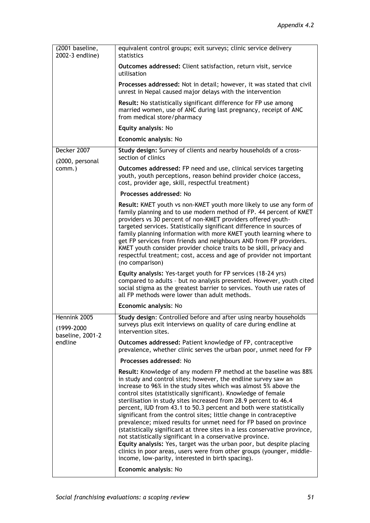| (2001 baseline,<br>2002-3 endline)             | equivalent control groups; exit surveys; clinic service delivery<br>statistics                                                                                                                                                                                                                                                                                                                                                                                                                                                                                                                                                                                                                                                                                                                                                                                                                                  |
|------------------------------------------------|-----------------------------------------------------------------------------------------------------------------------------------------------------------------------------------------------------------------------------------------------------------------------------------------------------------------------------------------------------------------------------------------------------------------------------------------------------------------------------------------------------------------------------------------------------------------------------------------------------------------------------------------------------------------------------------------------------------------------------------------------------------------------------------------------------------------------------------------------------------------------------------------------------------------|
|                                                | <b>Outcomes addressed:</b> Client satisfaction, return visit, service<br>utilisation                                                                                                                                                                                                                                                                                                                                                                                                                                                                                                                                                                                                                                                                                                                                                                                                                            |
|                                                | Processes addressed: Not in detail; however, it was stated that civil<br>unrest in Nepal caused major delays with the intervention                                                                                                                                                                                                                                                                                                                                                                                                                                                                                                                                                                                                                                                                                                                                                                              |
|                                                | <b>Result:</b> No statistically significant difference for FP use among<br>married women, use of ANC during last pregnancy, receipt of ANC<br>from medical store/pharmacy                                                                                                                                                                                                                                                                                                                                                                                                                                                                                                                                                                                                                                                                                                                                       |
|                                                | <b>Equity analysis: No</b>                                                                                                                                                                                                                                                                                                                                                                                                                                                                                                                                                                                                                                                                                                                                                                                                                                                                                      |
|                                                | Economic analysis: No                                                                                                                                                                                                                                                                                                                                                                                                                                                                                                                                                                                                                                                                                                                                                                                                                                                                                           |
| Decker 2007<br>(2000, personal                 | Study design: Survey of clients and nearby households of a cross-<br>section of clinics                                                                                                                                                                                                                                                                                                                                                                                                                                                                                                                                                                                                                                                                                                                                                                                                                         |
| comm.)                                         | Outcomes addressed: FP need and use, clinical services targeting<br>youth, youth perceptions, reason behind provider choice (access,<br>cost, provider age, skill, respectful treatment)                                                                                                                                                                                                                                                                                                                                                                                                                                                                                                                                                                                                                                                                                                                        |
|                                                | Processes addressed: No                                                                                                                                                                                                                                                                                                                                                                                                                                                                                                                                                                                                                                                                                                                                                                                                                                                                                         |
|                                                | Result: KMET youth vs non-KMET youth more likely to use any form of<br>family planning and to use modern method of FP. 44 percent of KMET<br>providers vs 30 percent of non-KMET providers offered youth-<br>targeted services. Statistically significant difference in sources of<br>family planning information with more KMET youth learning where to<br>get FP services from friends and neighbours AND from FP providers.<br>KMET youth consider provider choice traits to be skill, privacy and<br>respectful treatment; cost, access and age of provider not important<br>(no comparison)                                                                                                                                                                                                                                                                                                                |
|                                                | Equity analysis: Yes-target youth for FP services (18-24 yrs)<br>compared to adults - but no analysis presented. However, youth cited<br>social stigma as the greatest barrier to services. Youth use rates of<br>all FP methods were lower than adult methods.                                                                                                                                                                                                                                                                                                                                                                                                                                                                                                                                                                                                                                                 |
|                                                | Economic analysis: No                                                                                                                                                                                                                                                                                                                                                                                                                                                                                                                                                                                                                                                                                                                                                                                                                                                                                           |
| Hennink 2005<br>(1999-2000<br>baseline, 2001-2 | Study design: Controlled before and after using nearby households<br>surveys plus exit interviews on quality of care during endline at<br>intervention sites.                                                                                                                                                                                                                                                                                                                                                                                                                                                                                                                                                                                                                                                                                                                                                   |
| endline                                        | Outcomes addressed: Patient knowledge of FP, contraceptive<br>prevalence, whether clinic serves the urban poor, unmet need for FP                                                                                                                                                                                                                                                                                                                                                                                                                                                                                                                                                                                                                                                                                                                                                                               |
|                                                | Processes addressed: No                                                                                                                                                                                                                                                                                                                                                                                                                                                                                                                                                                                                                                                                                                                                                                                                                                                                                         |
|                                                | Result: Knowledge of any modern FP method at the baseline was 88%<br>in study and control sites; however, the endline survey saw an<br>increase to 96% in the study sites which was almost 5% above the<br>control sites (statistically significant). Knowledge of female<br>sterilisation in study sites increased from 28.9 percent to 46.4<br>percent, IUD from 43.1 to 50.3 percent and both were statistically<br>significant from the control sites; little change in contraceptive<br>prevalence; mixed results for unmet need for FP based on province<br>(statistically significant at three sites in a less conservative province,<br>not statistically significant in a conservative province.<br>Equity analysis: Yes, target was the urban poor, but despite placing<br>clinics in poor areas, users were from other groups (younger, middle-<br>income, low-parity, interested in birth spacing). |
|                                                | Economic analysis: No                                                                                                                                                                                                                                                                                                                                                                                                                                                                                                                                                                                                                                                                                                                                                                                                                                                                                           |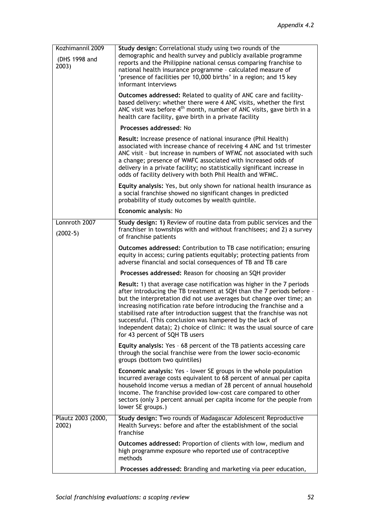| Kozhimannil 2009<br>(DHS 1998 and<br>2003) | Study design: Correlational study using two rounds of the<br>demographic and health survey and publicly available programme<br>reports and the Philippine national census comparing franchise to<br>national health insurance programme - calculated measure of<br>'presence of facilities per 10,000 births' in a region; and 15 key<br>informant interviews                                                                                                                                                                                   |
|--------------------------------------------|-------------------------------------------------------------------------------------------------------------------------------------------------------------------------------------------------------------------------------------------------------------------------------------------------------------------------------------------------------------------------------------------------------------------------------------------------------------------------------------------------------------------------------------------------|
|                                            | Outcomes addressed: Related to quality of ANC care and facility-<br>based delivery: whether there were 4 ANC visits, whether the first<br>ANC visit was before $4th$ month, number of ANC visits, gave birth in a<br>health care facility, gave birth in a private facility                                                                                                                                                                                                                                                                     |
|                                            | Processes addressed: No                                                                                                                                                                                                                                                                                                                                                                                                                                                                                                                         |
|                                            | Result: Increase presence of national insurance (Phil Health)<br>associated with increase chance of receiving 4 ANC and 1st trimester<br>ANC visit - but increase in numbers of WFMC not associated with such<br>a change; presence of WMFC associated with increased odds of<br>delivery in a private facility; no statistically significant increase in<br>odds of facility delivery with both Phil Health and WFMC.                                                                                                                          |
|                                            | Equity analysis: Yes, but only shown for national health insurance as<br>a social franchise showed no significant changes in predicted<br>probability of study outcomes by wealth quintile.                                                                                                                                                                                                                                                                                                                                                     |
|                                            | Economic analysis: No                                                                                                                                                                                                                                                                                                                                                                                                                                                                                                                           |
| Lonnroth 2007<br>$(2002-5)$                | Study design: 1) Review of routine data from public services and the<br>franchiser in townships with and without franchisees; and 2) a survey<br>of franchise patients                                                                                                                                                                                                                                                                                                                                                                          |
|                                            | <b>Outcomes addressed:</b> Contribution to TB case notification; ensuring<br>equity in access; curing patients equitably; protecting patients from<br>adverse financial and social consequences of TB and TB care                                                                                                                                                                                                                                                                                                                               |
|                                            | Processes addressed: Reason for choosing an SQH provider                                                                                                                                                                                                                                                                                                                                                                                                                                                                                        |
|                                            | Result: 1) that average case notification was higher in the 7 periods<br>after introducing the TB treatment at SQH than the 7 periods before -<br>but the interpretation did not use averages but change over time; an<br>increasing notification rate before introducing the franchise and a<br>stabilised rate after introduction suggest that the franchise was not<br>successful. (This conclusion was hampered by the lack of<br>independent data); 2) choice of clinic: it was the usual source of care<br>for 43 percent of SQH TB users |
|                                            | Equity analysis: Yes - 68 percent of the TB patients accessing care<br>through the social franchise were from the lower socio-economic<br>groups (bottom two quintiles)                                                                                                                                                                                                                                                                                                                                                                         |
|                                            | <b>Economic analysis:</b> Yes - lower SE groups in the whole population<br>incurred average costs equivalent to 68 percent of annual per capita<br>household income versus a median of 28 percent of annual household<br>income. The franchise provided low-cost care compared to other<br>sectors (only 3 percent annual per capita income for the people from<br>lower SE groups.)                                                                                                                                                            |
| Plautz 2003 (2000,<br>2002)                | Study design: Two rounds of Madagascar Adolescent Reproductive<br>Health Surveys: before and after the establishment of the social<br>franchise                                                                                                                                                                                                                                                                                                                                                                                                 |
|                                            | Outcomes addressed: Proportion of clients with low, medium and<br>high programme exposure who reported use of contraceptive<br>methods                                                                                                                                                                                                                                                                                                                                                                                                          |
|                                            | Processes addressed: Branding and marketing via peer education,                                                                                                                                                                                                                                                                                                                                                                                                                                                                                 |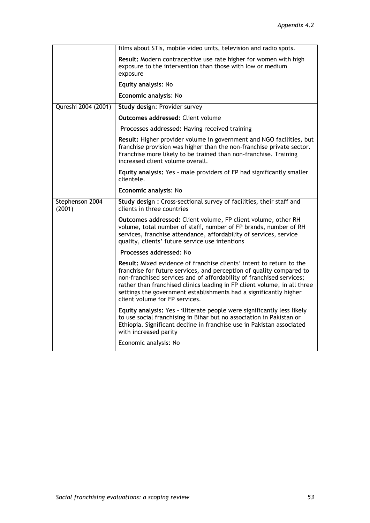|                           | films about STIs, mobile video units, television and radio spots.                                                                                                                                                                                                                                                                                                                                              |
|---------------------------|----------------------------------------------------------------------------------------------------------------------------------------------------------------------------------------------------------------------------------------------------------------------------------------------------------------------------------------------------------------------------------------------------------------|
|                           | <b>Result:</b> Modern contraceptive use rate higher for women with high<br>exposure to the intervention than those with low or medium<br>exposure                                                                                                                                                                                                                                                              |
|                           | <b>Equity analysis: No</b>                                                                                                                                                                                                                                                                                                                                                                                     |
|                           | Economic analysis: No                                                                                                                                                                                                                                                                                                                                                                                          |
| Qureshi 2004 (2001)       | Study design: Provider survey                                                                                                                                                                                                                                                                                                                                                                                  |
|                           | <b>Outcomes addressed: Client volume</b>                                                                                                                                                                                                                                                                                                                                                                       |
|                           | Processes addressed: Having received training                                                                                                                                                                                                                                                                                                                                                                  |
|                           | Result: Higher provider volume in government and NGO facilities, but<br>franchise provision was higher than the non-franchise private sector.<br>Franchise more likely to be trained than non-franchise. Training<br>increased client volume overall.                                                                                                                                                          |
|                           | <b>Equity analysis:</b> Yes - male providers of FP had significantly smaller<br>clientele.                                                                                                                                                                                                                                                                                                                     |
|                           | Economic analysis: No                                                                                                                                                                                                                                                                                                                                                                                          |
|                           |                                                                                                                                                                                                                                                                                                                                                                                                                |
| Stephenson 2004<br>(2001) | Study design : Cross-sectional survey of facilities, their staff and<br>clients in three countries                                                                                                                                                                                                                                                                                                             |
|                           | Outcomes addressed: Client volume, FP client volume, other RH<br>volume, total number of staff, number of FP brands, number of RH<br>services, franchise attendance, affordability of services, service<br>quality, clients' future service use intentions                                                                                                                                                     |
|                           | Processes addressed: No                                                                                                                                                                                                                                                                                                                                                                                        |
|                           | <b>Result:</b> Mixed evidence of franchise clients' intent to return to the<br>franchise for future services, and perception of quality compared to<br>non-franchised services and of affordability of franchised services;<br>rather than franchised clinics leading in FP client volume, in all three<br>settings the government establishments had a significantly higher<br>client volume for FP services. |
|                           | Equity analysis: Yes - illiterate people were significantly less likely<br>to use social franchising in Bihar but no association in Pakistan or<br>Ethiopia. Significant decline in franchise use in Pakistan associated<br>with increased parity                                                                                                                                                              |